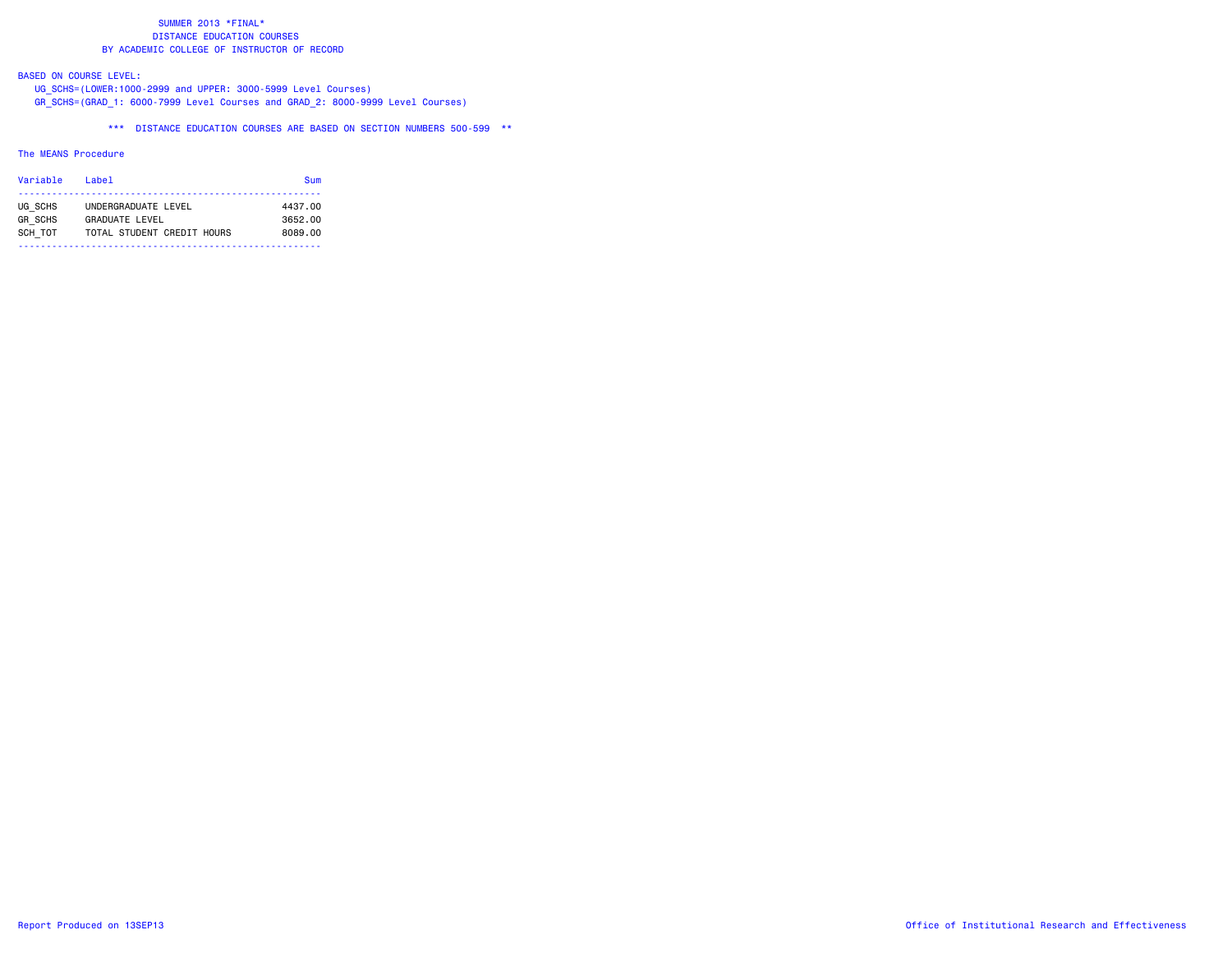# BASED ON COURSE LEVEL:

 UG\_SCHS=(LOWER:1000-2999 and UPPER: 3000-5999 Level Courses) GR\_SCHS=(GRAD\_1: 6000-7999 Level Courses and GRAD\_2: 8000-9999 Level Courses)

\*\*\* DISTANCE EDUCATION COURSES ARE BASED ON SECTION NUMBERS 500-599 \*\*

### The MEANS Procedure

| Variable       | l ahel                     | Sum     |
|----------------|----------------------------|---------|
| UG SCHS        | UNDERGRADUATE LEVEL        | 4437.00 |
| <b>GR SCHS</b> | <b>GRADUATE LEVEL</b>      | 3652.00 |
| SCH TOT        | TOTAL STUDENT CREDIT HOURS | 8089.00 |
|                |                            |         |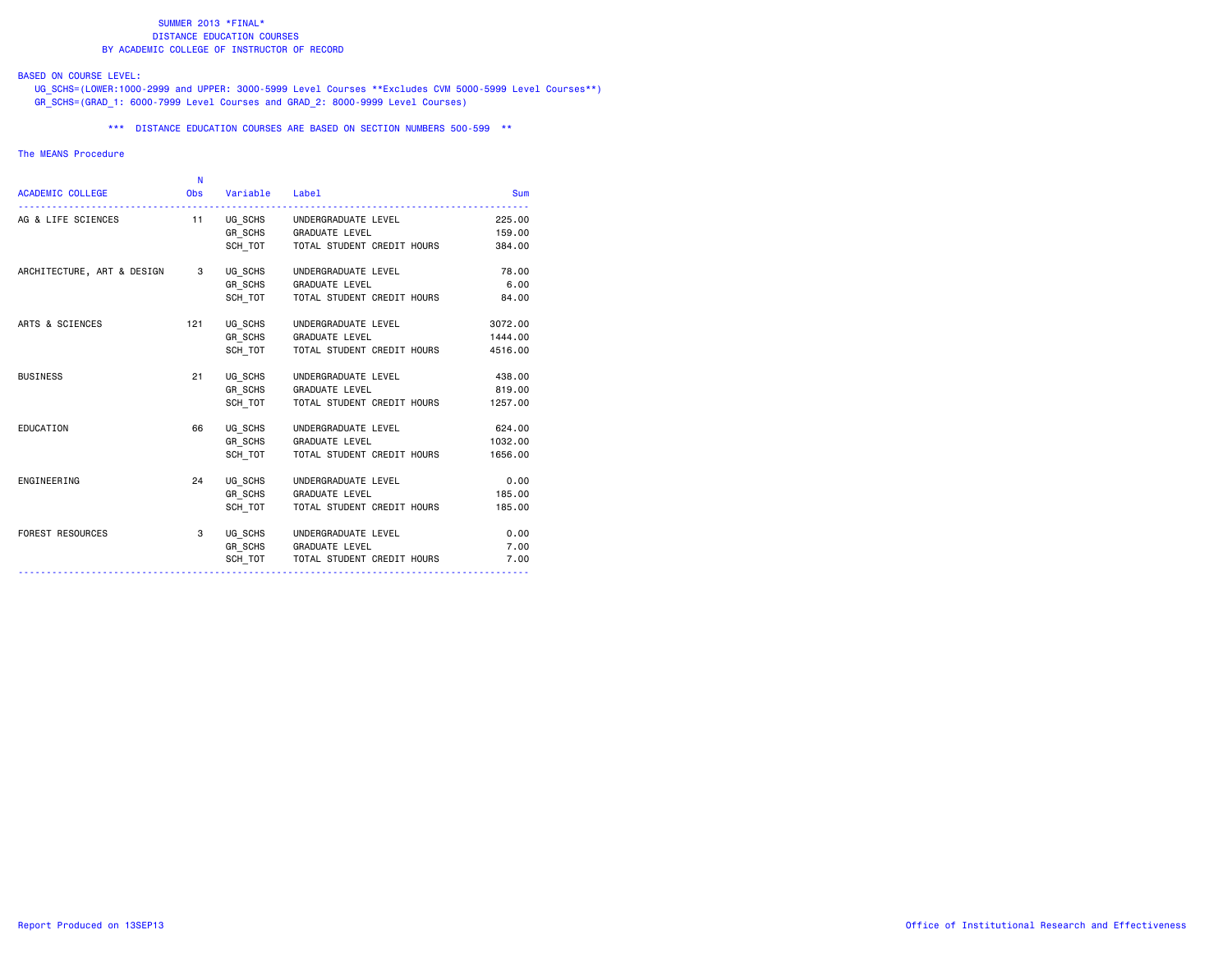# BASED ON COURSE LEVEL:

 UG\_SCHS=(LOWER:1000-2999 and UPPER: 3000-5999 Level Courses \*\*Excludes CVM 5000-5999 Level Courses\*\*) GR\_SCHS=(GRAD\_1: 6000-7999 Level Courses and GRAD\_2: 8000-9999 Level Courses)

\*\*\* DISTANCE EDUCATION COURSES ARE BASED ON SECTION NUMBERS 500-599 \*\*

#### The MEANS Procedure

|                            | N   |                    |                                    |         |
|----------------------------|-----|--------------------|------------------------------------|---------|
| <b>ACADEMIC COLLEGE</b>    |     | Obs Variable Label |                                    | Sum     |
| AG & LIFE SCIENCES         |     |                    | 11 UG_SCHS UNDERGRADUATE LEVEL     | 225,00  |
|                            |     |                    | GR SCHS GRADUATE LEVEL             | 159.00  |
|                            |     |                    | SCH TOT TOTAL STUDENT CREDIT HOURS | 384.00  |
| ARCHITECTURE, ART & DESIGN | 3   | UG SCHS            | UNDERGRADUATE LEVEL                | 78.00   |
|                            |     | GR SCHS            | <b>GRADUATE LEVEL</b>              | 6.00    |
|                            |     | SCH TOT            | TOTAL STUDENT CREDIT HOURS         | 84.00   |
| ARTS & SCIENCES            | 121 | UG SCHS            | UNDERGRADUATE LEVEL                | 3072.00 |
|                            |     |                    | GR SCHS GRADUATE LEVEL             | 1444.00 |
|                            |     | SCH TOT            | TOTAL STUDENT CREDIT HOURS         | 4516.00 |
| <b>BUSINESS</b>            | 21  |                    | UG SCHS UNDERGRADUATE LEVEL        | 438,00  |
|                            |     |                    | GR SCHS GRADUATE LEVEL             | 819.00  |
|                            |     | SCH TOT            | TOTAL STUDENT CREDIT HOURS         | 1257.00 |
| EDUCATION                  | 66  |                    | UG SCHS UNDERGRADUATE LEVEL        | 624.00  |
|                            |     |                    | GR_SCHS GRADUATE LEVEL             | 1032.00 |
|                            |     | SCH TOT            | TOTAL STUDENT CREDIT HOURS         | 1656.00 |
| ENGINEERING                | 24  | UG SCHS            | UNDERGRADUATE LEVEL                | 0.00    |
|                            |     |                    | GR_SCHS GRADUATE LEVEL             | 185.00  |
|                            |     | SCH TOT            | TOTAL STUDENT CREDIT HOURS         | 185.00  |
| <b>FOREST RESOURCES</b>    | 3   |                    | UG SCHS UNDERGRADUATE LEVEL        | 0.00    |
|                            |     |                    | GR SCHS GRADUATE LEVEL             | 7.00    |
|                            |     | SCH TOT            | TOTAL STUDENT CREDIT HOURS         | 7.00    |
|                            |     |                    |                                    |         |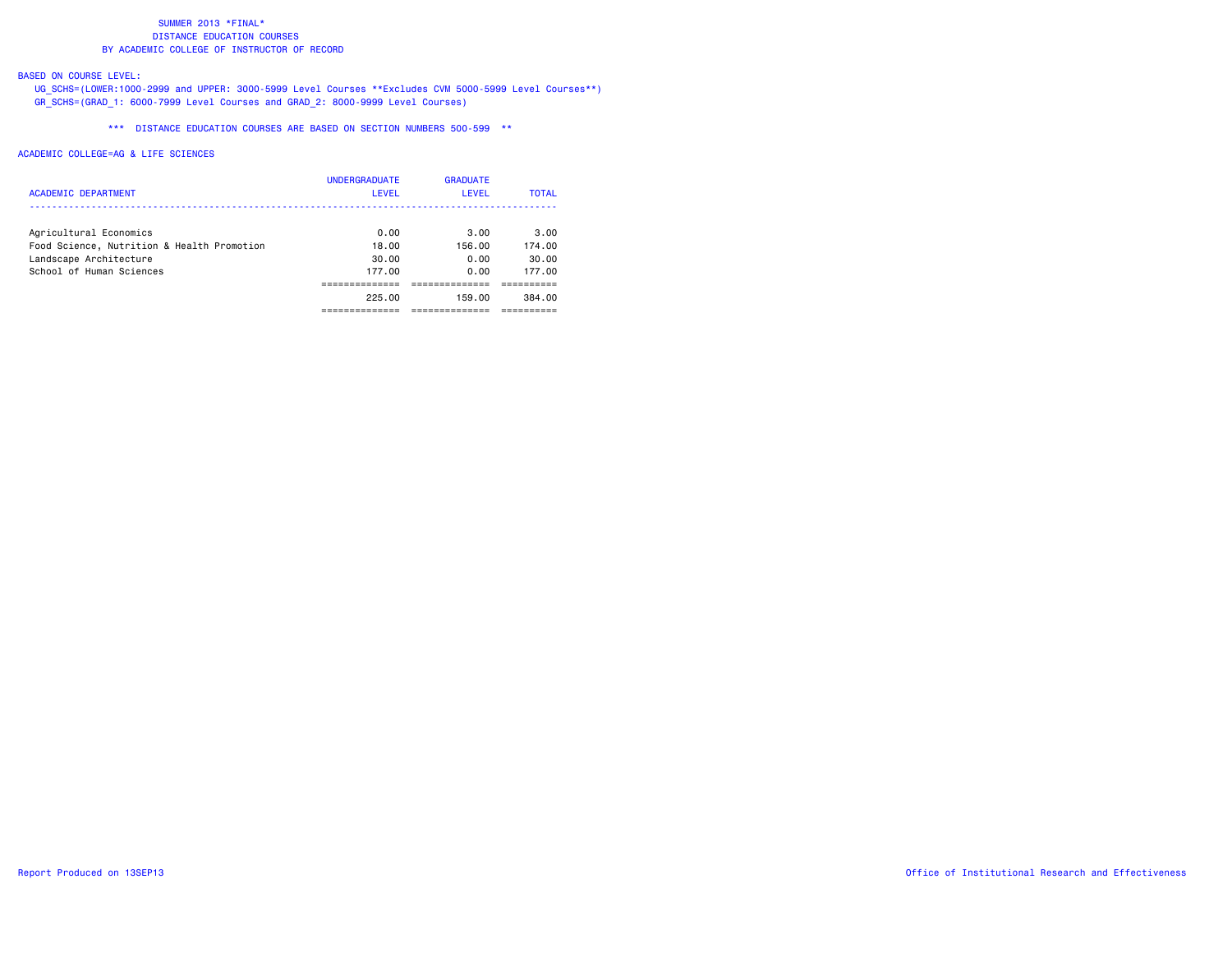## BASED ON COURSE LEVEL:

 UG\_SCHS=(LOWER:1000-2999 and UPPER: 3000-5999 Level Courses \*\*Excludes CVM 5000-5999 Level Courses\*\*) GR\_SCHS=(GRAD\_1: 6000-7999 Level Courses and GRAD\_2: 8000-9999 Level Courses)

\*\*\* DISTANCE EDUCATION COURSES ARE BASED ON SECTION NUMBERS 500-599 \*\*

| <b>ACADEMIC DEPARTMENT</b>                 | <b>UNDERGRADUATE</b><br>LEVEL | <b>GRADUATE</b><br>LEVEL | <b>TOTAL</b> |
|--------------------------------------------|-------------------------------|--------------------------|--------------|
| Agricultural Economics                     | 0.00                          | 3.00                     | 3.00         |
| Food Science, Nutrition & Health Promotion | 18.00                         | 156.00                   | 174.00       |
| Landscape Architecture                     | 30.00                         | 0.00                     | 30.00        |
| School of Human Sciences                   | 177.00                        | 0.00                     | 177.00       |
|                                            |                               |                          |              |
|                                            | 225.00                        | 159.00                   | 384.00       |
|                                            |                               |                          |              |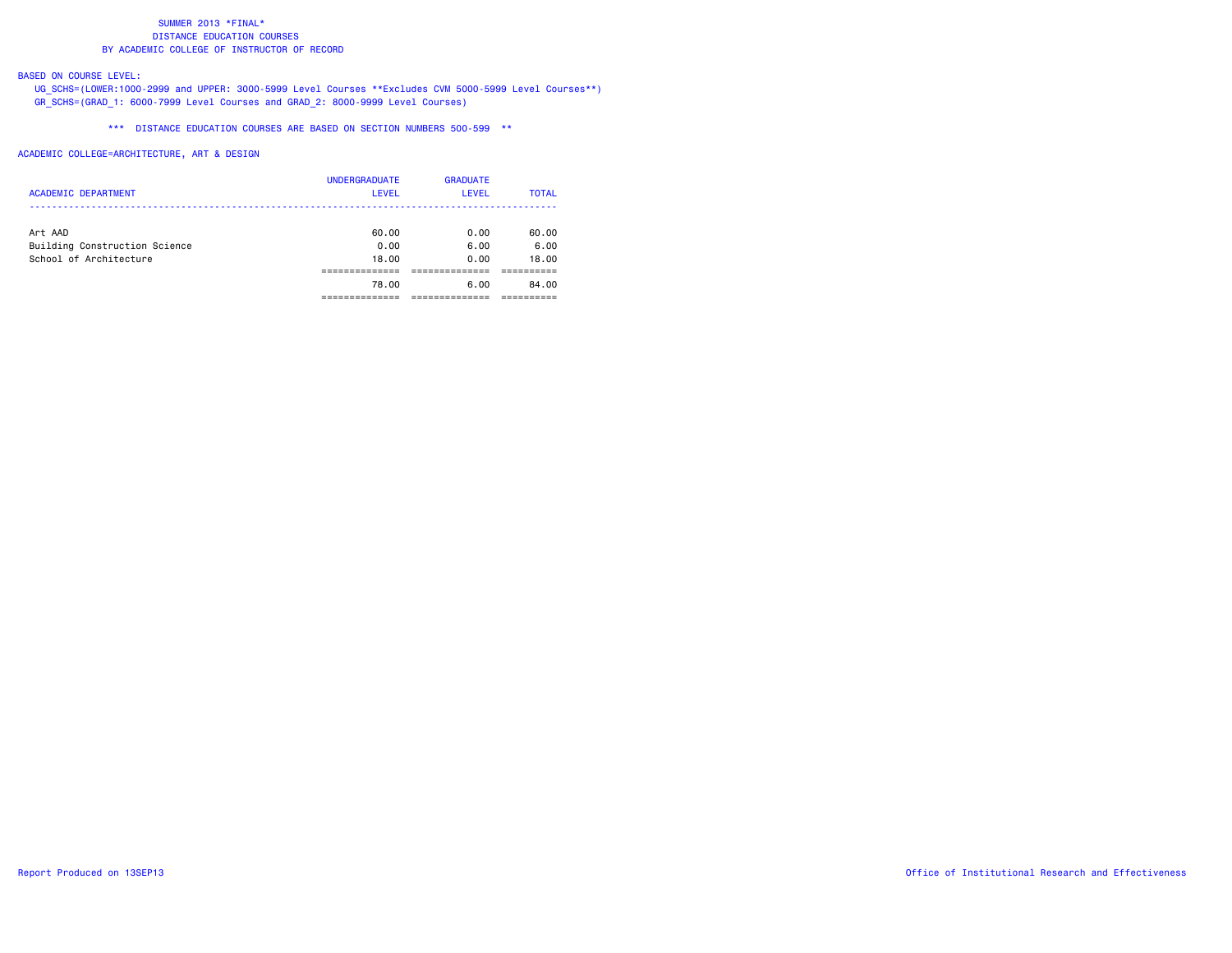## BASED ON COURSE LEVEL:

 UG\_SCHS=(LOWER:1000-2999 and UPPER: 3000-5999 Level Courses \*\*Excludes CVM 5000-5999 Level Courses\*\*) GR\_SCHS=(GRAD\_1: 6000-7999 Level Courses and GRAD\_2: 8000-9999 Level Courses)

\*\*\* DISTANCE EDUCATION COURSES ARE BASED ON SECTION NUMBERS 500-599 \*\*

| <b>ACADEMIC DEPARTMENT</b>    | <b>UNDERGRADUATE</b><br><b>LEVEL</b> | <b>GRADUATE</b><br><b>LEVEL</b> | <b>TOTAL</b> |
|-------------------------------|--------------------------------------|---------------------------------|--------------|
| Art AAD                       | 60.00                                | 0.00                            | 60.00        |
| Building Construction Science | 0.00                                 | 6.00                            | 6.00         |
| School of Architecture        | 18,00                                | 0.00                            | 18.00        |
|                               |                                      |                                 |              |
|                               | 78.00                                | 6.00                            | 84.00        |
|                               |                                      |                                 |              |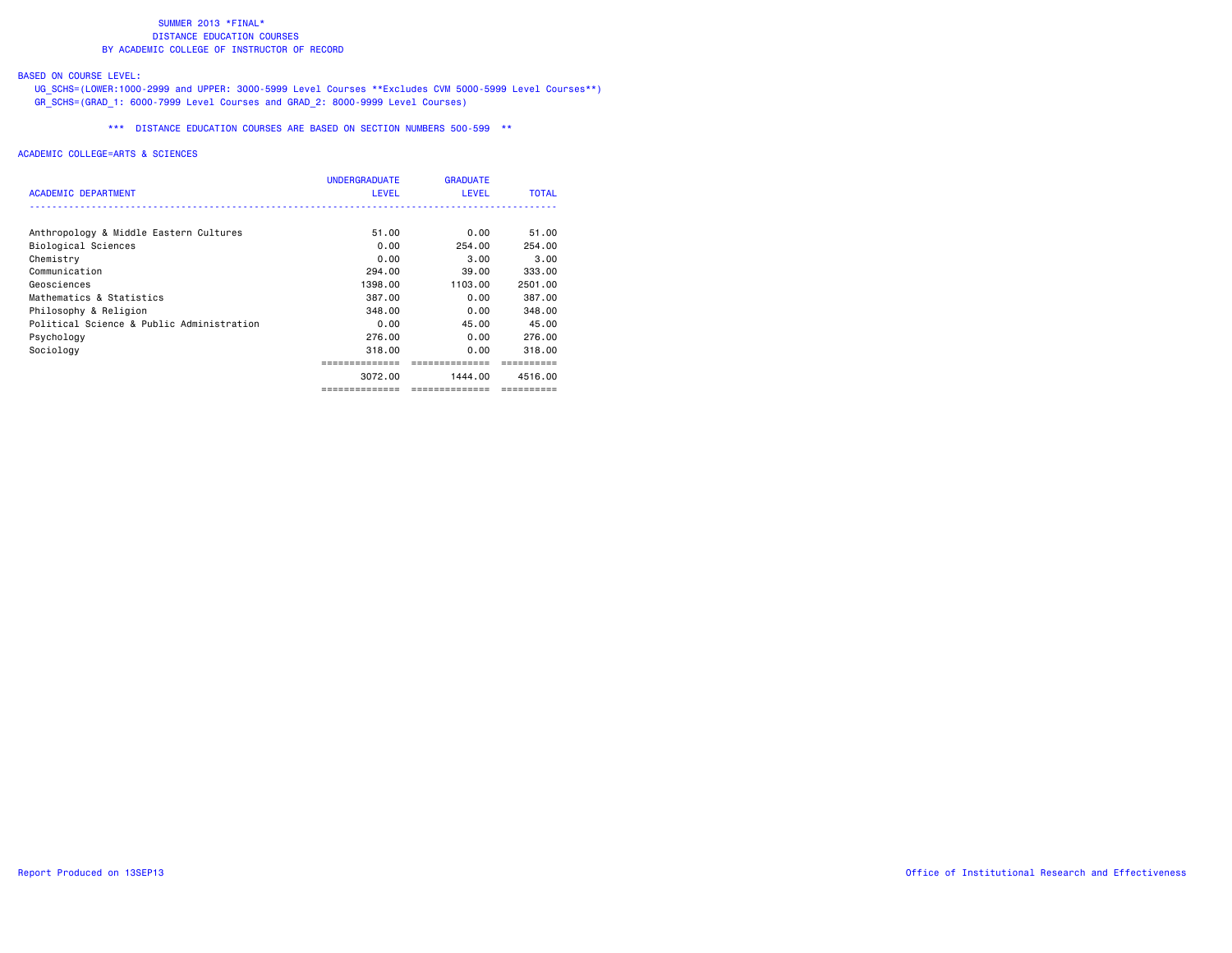## BASED ON COURSE LEVEL:

 UG\_SCHS=(LOWER:1000-2999 and UPPER: 3000-5999 Level Courses \*\*Excludes CVM 5000-5999 Level Courses\*\*) GR\_SCHS=(GRAD\_1: 6000-7999 Level Courses and GRAD\_2: 8000-9999 Level Courses)

\*\*\* DISTANCE EDUCATION COURSES ARE BASED ON SECTION NUMBERS 500-599 \*\*

| ACADEMIC DEPARTMENT                       | <b>UNDERGRADUATE</b><br><b>LEVEL</b> | <b>GRADUATE</b><br><b>LEVEL</b> | <b>TOTAL</b> |
|-------------------------------------------|--------------------------------------|---------------------------------|--------------|
| Anthropology & Middle Eastern Cultures    | 51.00                                | 0.00                            | 51.00        |
| Biological Sciences                       | 0.00                                 | 254.00                          | 254.00       |
| Chemistry                                 | 0.00                                 | 3.00                            | 3,00         |
| Communication                             | 294.00                               | 39.00                           | 333.00       |
| Geosciences                               | 1398.00                              | 1103.00                         | 2501.00      |
| Mathematics & Statistics                  | 387.00                               | 0.00                            | 387.00       |
| Philosophy & Religion                     | 348.00                               | 0.00                            | 348.00       |
| Political Science & Public Administration | 0.00                                 | 45.00                           | 45.00        |
| Psychology                                | 276.00                               | 0.00                            | 276.00       |
| Sociology                                 | 318.00                               | 0.00                            | 318.00       |
|                                           |                                      | --------------                  |              |
|                                           | 3072.00                              | 1444.00                         | 4516.00      |
|                                           | =============                        | ==============                  | ==========   |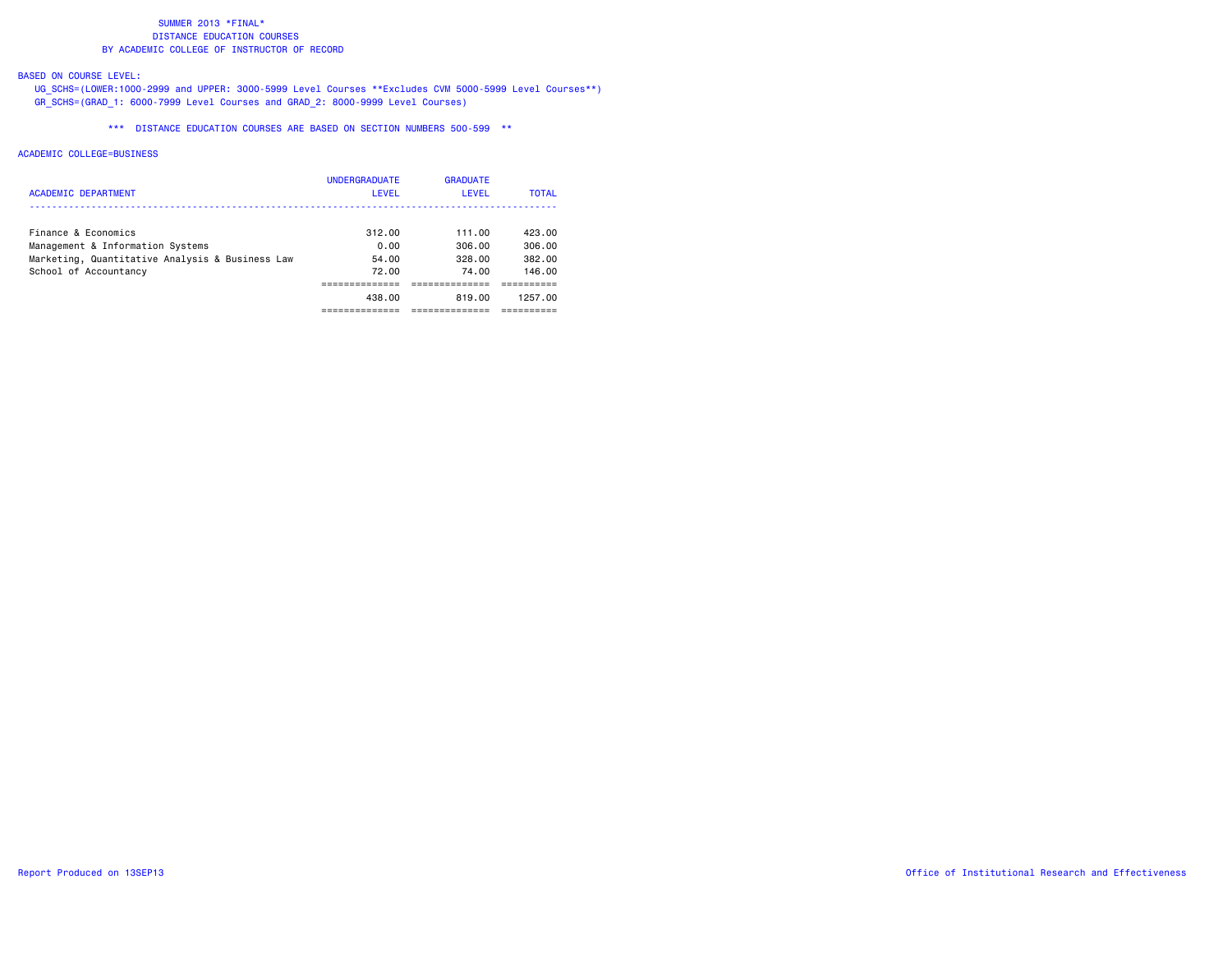## BASED ON COURSE LEVEL:

 UG\_SCHS=(LOWER:1000-2999 and UPPER: 3000-5999 Level Courses \*\*Excludes CVM 5000-5999 Level Courses\*\*) GR\_SCHS=(GRAD\_1: 6000-7999 Level Courses and GRAD\_2: 8000-9999 Level Courses)

\*\*\* DISTANCE EDUCATION COURSES ARE BASED ON SECTION NUMBERS 500-599 \*\*

| <b>ACADEMIC DEPARTMENT</b>                      | <b>UNDERGRADUATE</b><br><b>LEVEL</b> | <b>GRADUATE</b><br>LEVEL | <b>TOTAL</b> |
|-------------------------------------------------|--------------------------------------|--------------------------|--------------|
| Finance & Economics                             | 312.00                               | 111.00                   | 423.00       |
| Management & Information Systems                | 0.00                                 | 306.00                   | 306.00       |
| Marketing, Quantitative Analysis & Business Law | 54.00                                | 328.00                   | 382.00       |
| School of Accountancy                           | 72.00                                | 74.00                    | 146.00       |
|                                                 |                                      |                          |              |
|                                                 | 438.00                               | 819.00                   | 1257.00      |
|                                                 |                                      |                          |              |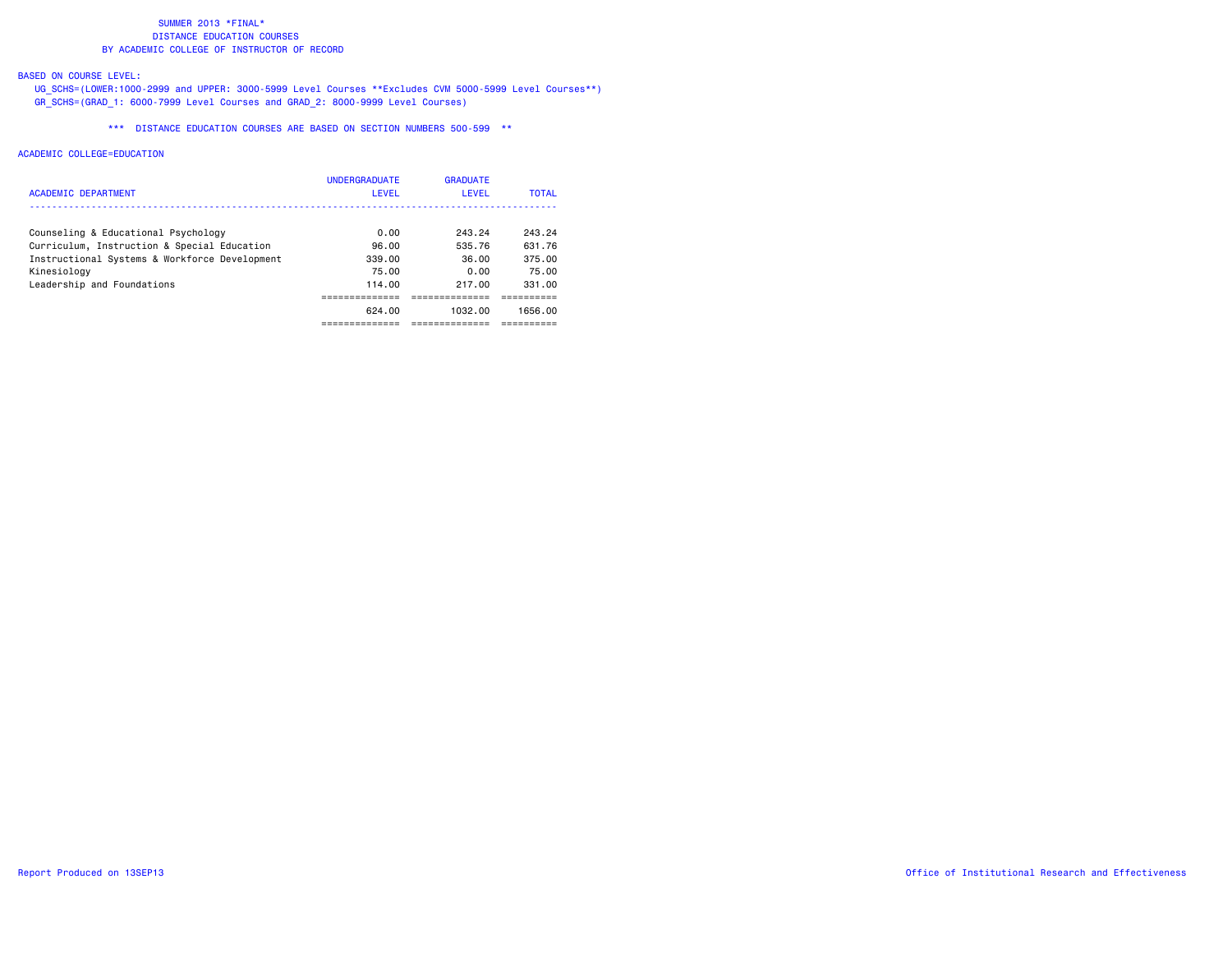## BASED ON COURSE LEVEL:

 UG\_SCHS=(LOWER:1000-2999 and UPPER: 3000-5999 Level Courses \*\*Excludes CVM 5000-5999 Level Courses\*\*) GR\_SCHS=(GRAD\_1: 6000-7999 Level Courses and GRAD\_2: 8000-9999 Level Courses)

\*\*\* DISTANCE EDUCATION COURSES ARE BASED ON SECTION NUMBERS 500-599 \*\*

| ACADEMIC DEPARTMENT                           | <b>UNDERGRADUATE</b><br>LEVEL | <b>GRADUATE</b><br>LEVEL | <b>TOTAL</b> |
|-----------------------------------------------|-------------------------------|--------------------------|--------------|
| Counseling & Educational Psychology           | 0.00                          | 243.24                   | 243.24       |
| Curriculum, Instruction & Special Education   | 96.00                         | 535.76                   | 631.76       |
| Instructional Systems & Workforce Development | 339.00                        | 36.00                    | 375.00       |
| Kinesiology                                   | 75.00                         | 0.00                     | 75.00        |
| Leadership and Foundations                    | 114.00                        | 217.00                   | 331.00       |
|                                               | ----------                    |                          |              |
|                                               | 624.00                        | 1032.00                  | 1656.00      |
|                                               |                               |                          |              |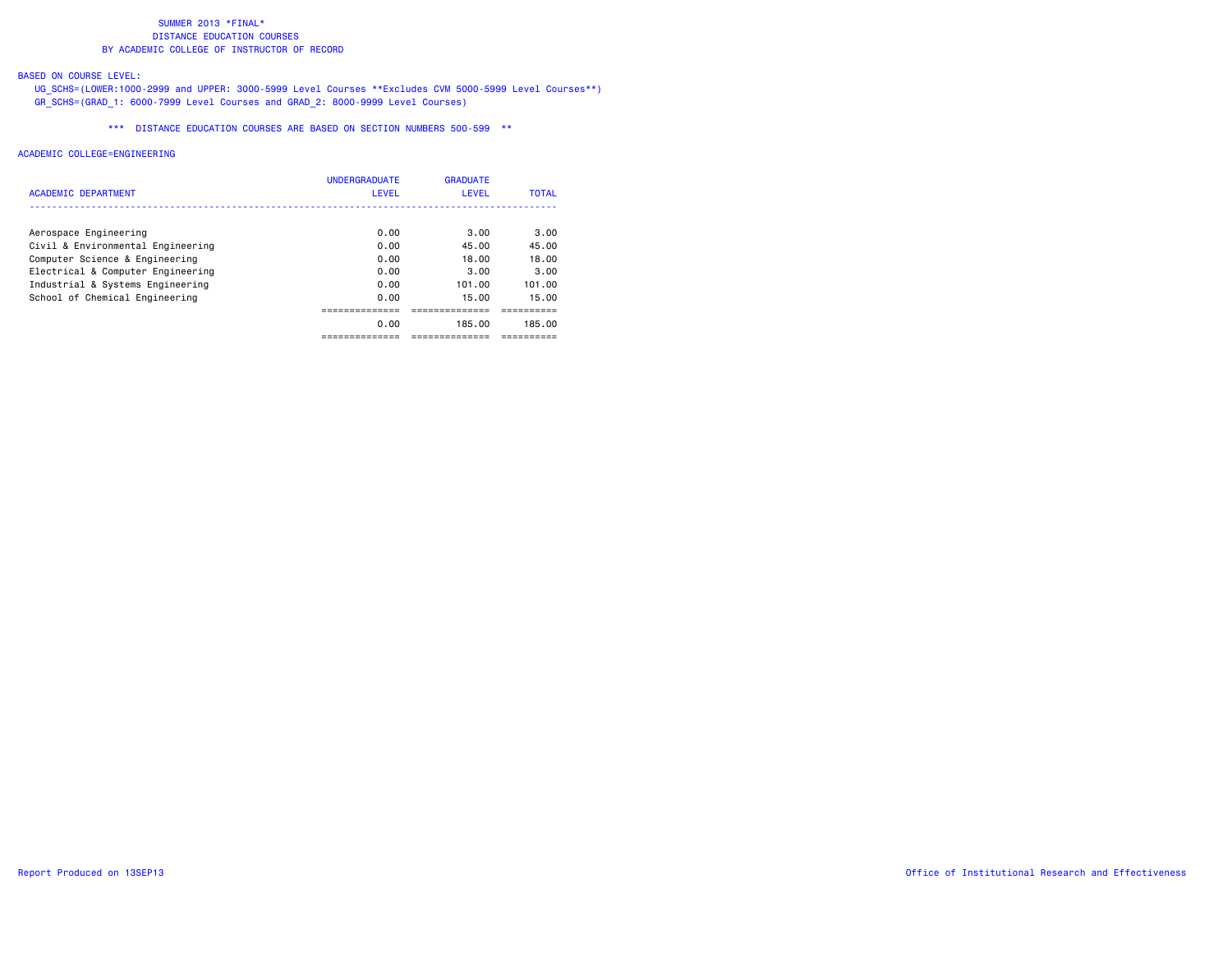## BASED ON COURSE LEVEL:

 UG\_SCHS=(LOWER:1000-2999 and UPPER: 3000-5999 Level Courses \*\*Excludes CVM 5000-5999 Level Courses\*\*) GR\_SCHS=(GRAD\_1: 6000-7999 Level Courses and GRAD\_2: 8000-9999 Level Courses)

\*\*\* DISTANCE EDUCATION COURSES ARE BASED ON SECTION NUMBERS 500-599 \*\*

| ACADEMIC DEPARTMENT               | <b>UNDERGRADUATE</b><br>LEVEL | <b>GRADUATE</b><br>LEVEL | <b>TOTAL</b> |
|-----------------------------------|-------------------------------|--------------------------|--------------|
| Aerospace Engineering             | 0.00                          | 3.00                     | 3.00         |
| Civil & Environmental Engineering | 0.00                          | 45.00                    | 45.00        |
| Computer Science & Engineering    | 0.00                          | 18.00                    | 18.00        |
| Electrical & Computer Engineering | 0.00                          | 3.00                     | 3.00         |
| Industrial & Systems Engineering  | 0.00                          | 101.00                   | 101.00       |
| School of Chemical Engineering    | 0.00                          | 15.00                    | 15.00        |
|                                   |                               |                          |              |
|                                   | 0.00                          | 185.00                   | 185.00       |
|                                   |                               |                          |              |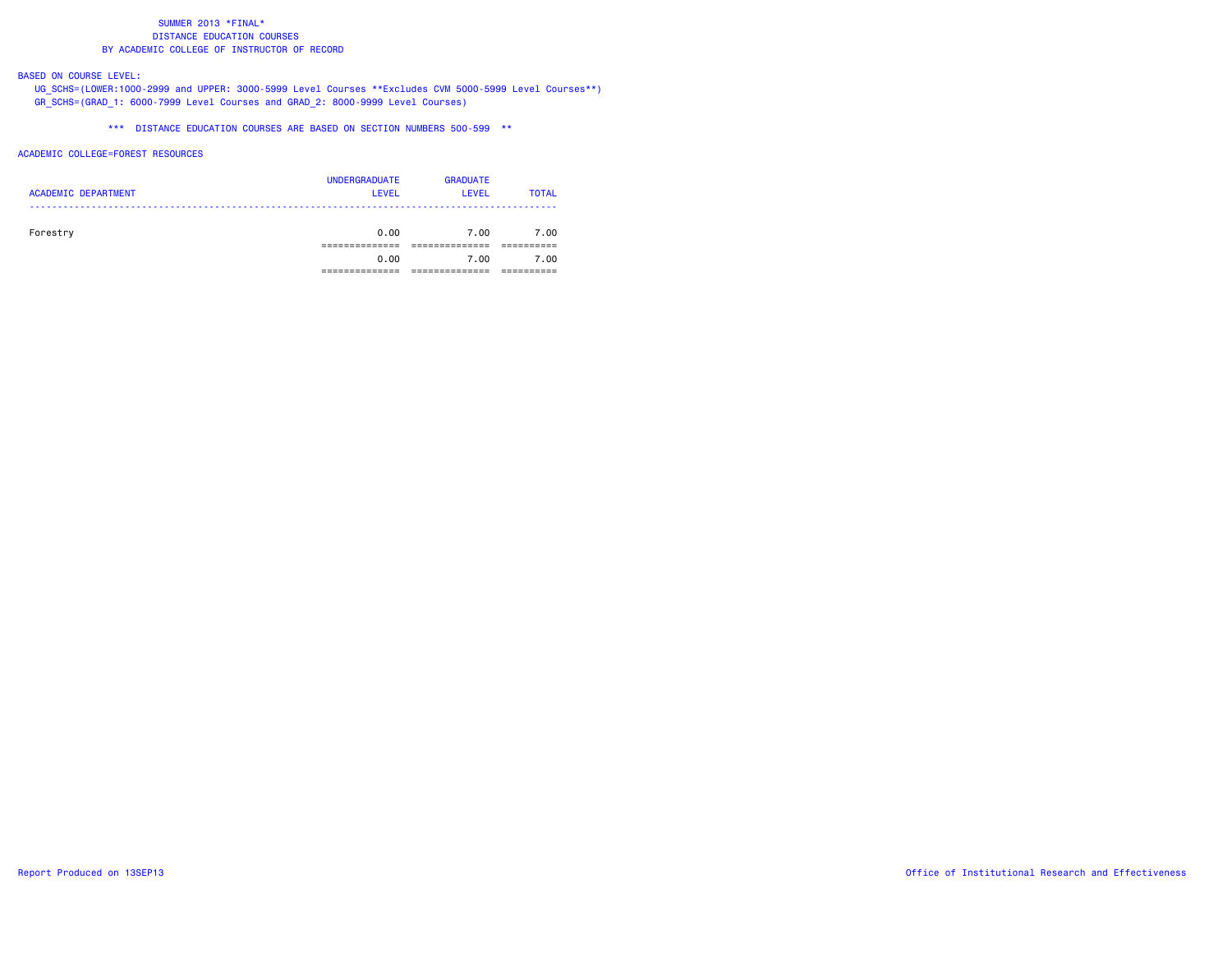## BASED ON COURSE LEVEL:

 UG\_SCHS=(LOWER:1000-2999 and UPPER: 3000-5999 Level Courses \*\*Excludes CVM 5000-5999 Level Courses\*\*) GR\_SCHS=(GRAD\_1: 6000-7999 Level Courses and GRAD\_2: 8000-9999 Level Courses)

\*\*\* DISTANCE EDUCATION COURSES ARE BASED ON SECTION NUMBERS 500-599 \*\*

### ACADEMIC COLLEGE=FOREST RESOURCES

| <b>ACADEMIC DEPARTMENT</b> | <b>UNDERGRADUATE</b><br><b>LEVEL</b> | <b>GRADUATE</b><br><b>LEVEL</b> | <b>TOTAL</b> |
|----------------------------|--------------------------------------|---------------------------------|--------------|
| Forestry                   | 0.00                                 | 7.00                            | 7.00         |
|                            | 0.00                                 | 7.00                            | 7.00         |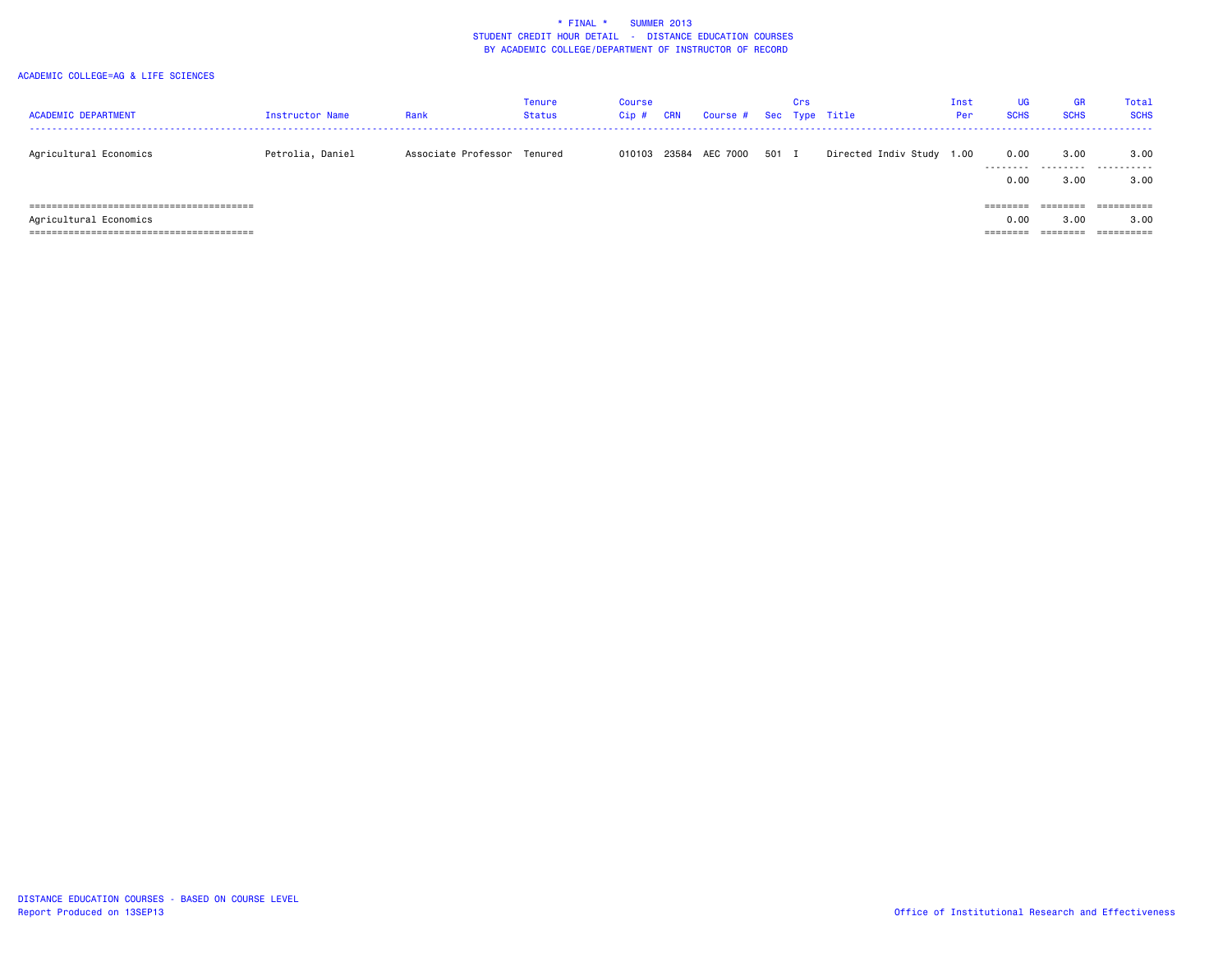| <b>ACADEMIC DEPARTMENT</b> | Instructor Name  | Rank                        | Tenure<br><b>Status</b> | <b>Course</b><br>$Cip$ # | <b>CRN</b> | Course # Sec Type Title |       | Crs |                           | Inst<br>Per | <b>UG</b><br><b>SCHS</b> | <b>GR</b><br><b>SCHS</b> | Total<br><b>SCHS</b>       |
|----------------------------|------------------|-----------------------------|-------------------------|--------------------------|------------|-------------------------|-------|-----|---------------------------|-------------|--------------------------|--------------------------|----------------------------|
| Agricultural Economics     | Petrolia, Daniel | Associate Professor Tenured |                         | 010103                   | 23584      | AEC 7000                | 501 I |     | Directed Indiv Study 1.00 |             | 0.00                     | 3.00                     | 3,00<br>                   |
| Agricultural Economics     |                  |                             |                         |                          |            |                         |       |     |                           |             | 0.00<br>========<br>0.00 | 3.00<br>========<br>3.00 | 3.00<br>==========<br>3,00 |
|                            |                  |                             |                         |                          |            |                         |       |     |                           |             | ========                 | ========                 | ==========                 |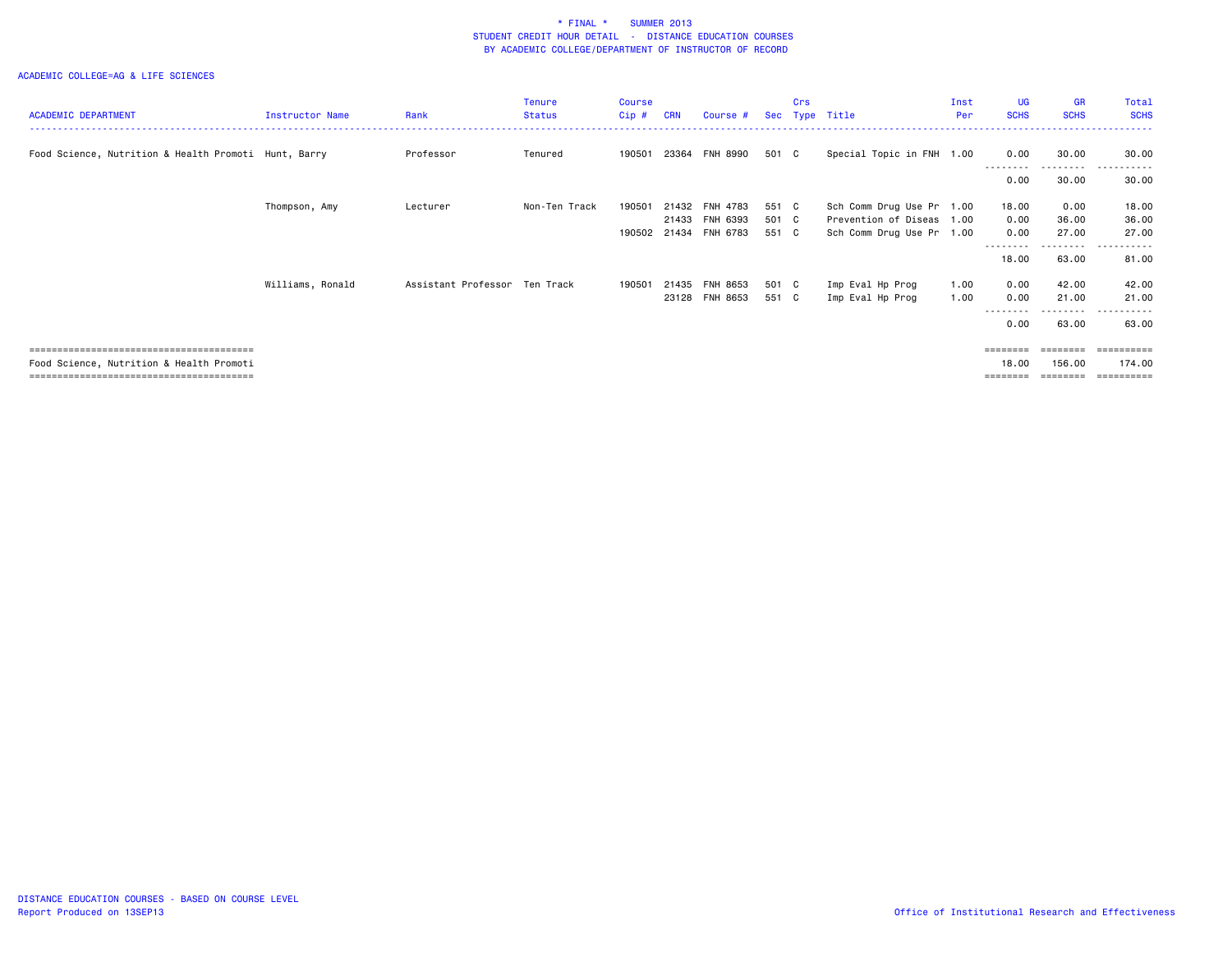| <b>ACADEMIC DEPARTMENT</b>                           | Instructor Name  | Rank                          | <b>Tenure</b><br><b>Status</b> | Course<br>Cip# | <b>CRN</b> | Course #        |       | Crs | Sec Type Title            | Inst<br>Per | <b>UG</b><br><b>SCHS</b> | <b>GR</b><br><b>SCHS</b> | Total<br><b>SCHS</b> |
|------------------------------------------------------|------------------|-------------------------------|--------------------------------|----------------|------------|-----------------|-------|-----|---------------------------|-------------|--------------------------|--------------------------|----------------------|
|                                                      |                  |                               |                                |                |            |                 |       |     |                           |             |                          |                          |                      |
| Food Science, Nutrition & Health Promoti Hunt, Barry |                  | Professor                     | Tenured                        | 190501         | 23364      | FNH 8990        | 501 C |     | Special Topic in FNH 1.00 |             | 0.00                     | 30.00<br>.               | 30.00<br>.           |
|                                                      |                  |                               |                                |                |            |                 |       |     |                           |             | 0.00                     | 30.00                    | 30.00                |
|                                                      | Thompson, Amy    | Lecturer                      | Non-Ten Track                  | 190501         | 21432      | FNH 4783        | 551 C |     | Sch Comm Drug Use Pr 1.00 |             | 18.00                    | 0.00                     | 18.00                |
|                                                      |                  |                               |                                |                | 21433      | FNH 6393        | 501 C |     | Prevention of Diseas 1.00 |             | 0.00                     | 36.00                    | 36.00                |
|                                                      |                  |                               |                                | 190502         | 21434      | FNH 6783        | 551 C |     | Sch Comm Drug Use Pr 1.00 |             | 0.00                     | 27.00                    | 27.00                |
|                                                      |                  |                               |                                |                |            |                 |       |     |                           |             | ---------<br>18.00       | ---------<br>63.00       | .<br>.<br>81.00      |
|                                                      | Williams, Ronald | Assistant Professor Ten Track |                                | 190501         | 21435      | <b>FNH 8653</b> | 501 C |     | Imp Eval Hp Prog          | 1.00        | 0.00                     | 42.00                    | 42.00                |
|                                                      |                  |                               |                                |                | 23128      | FNH 8653        | 551 C |     | Imp Eval Hp Prog          | 1.00        | 0.00                     | 21.00                    | 21.00                |
|                                                      |                  |                               |                                |                |            |                 |       |     |                           |             | 0.00                     | - - - - -<br>63.00       | 63.00                |
|                                                      |                  |                               |                                |                |            |                 |       |     |                           |             | $=$ = = = = = = =        | ========                 | ==========           |
| Food Science, Nutrition & Health Promoti             |                  |                               |                                |                |            |                 |       |     |                           |             | 18,00                    | 156.00                   | 174.00               |
|                                                      |                  |                               |                                |                |            |                 |       |     |                           |             | ========                 | --------                 | -----------          |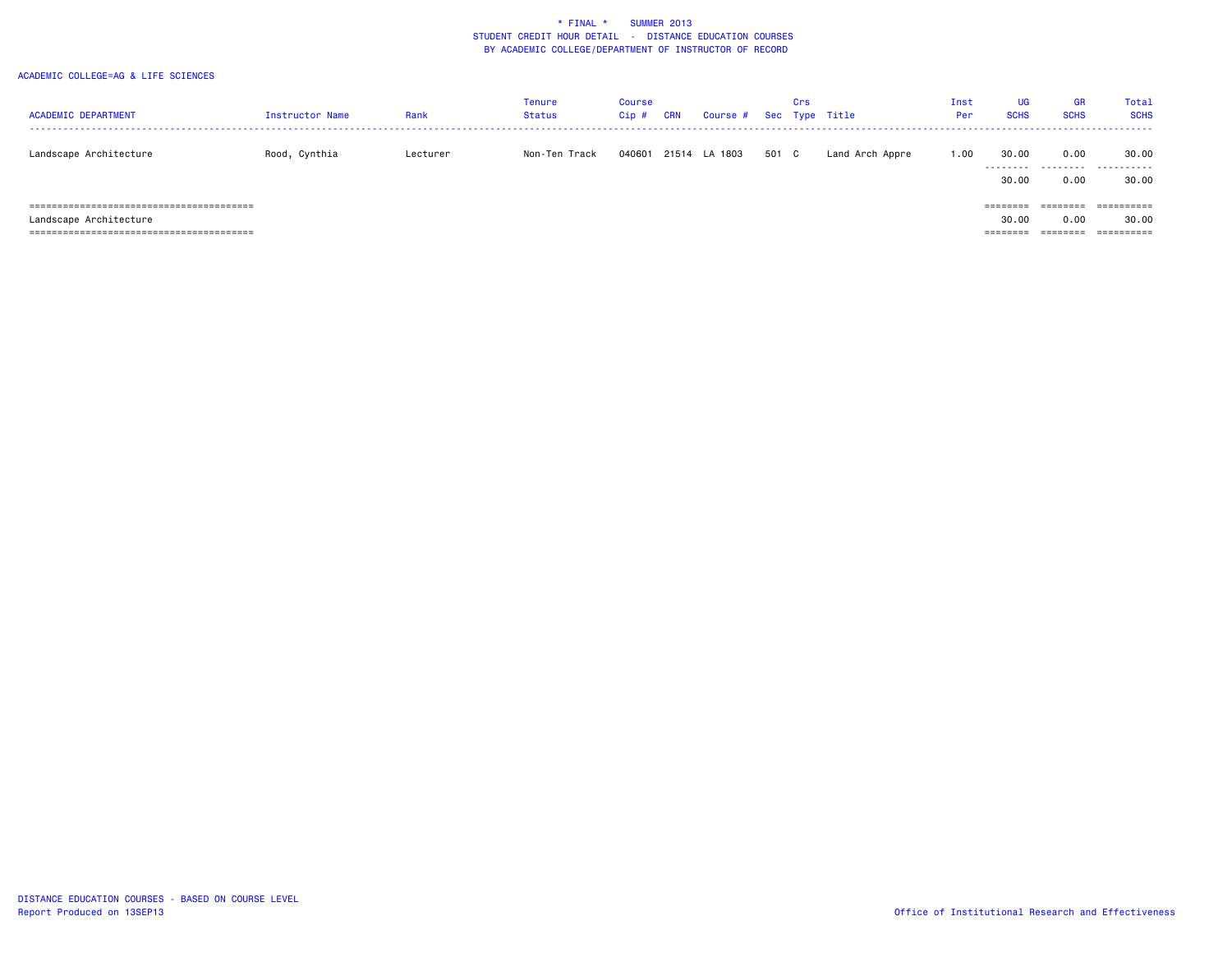| <b>ACADEMIC DEPARTMENT</b> | <b>Instructor Name</b> | Rank     | Tenure<br>Status | Course<br>Cip# | <b>CRN</b> | Course # |     | Crs | Sec Type Title  | Inst<br>Per | UG<br><b>SCHS</b>  | <b>GR</b><br><b>SCHS</b> | Total<br><b>SCHS</b> |
|----------------------------|------------------------|----------|------------------|----------------|------------|----------|-----|-----|-----------------|-------------|--------------------|--------------------------|----------------------|
| Landscape Architecture     | Rood, Cynthia          | Lecturer | Non-Ten Track    | 040601         | 21514      | LA 1803  | 501 | C.  | Land Arch Appre | 1.00        | 30.00<br>--------- | 0.00<br>.                | 30.00<br>-------     |
|                            |                        |          |                  |                |            |          |     |     |                 |             | 30.00              | 0.00                     | 30.00                |
|                            |                        |          |                  |                |            |          |     |     |                 |             | ========           |                          |                      |
| Landscape Architecture     |                        |          |                  |                |            |          |     |     |                 |             | 30.00              | 0.00                     | 30.00                |
|                            |                        |          |                  |                |            |          |     |     |                 |             | =======            | ========                 |                      |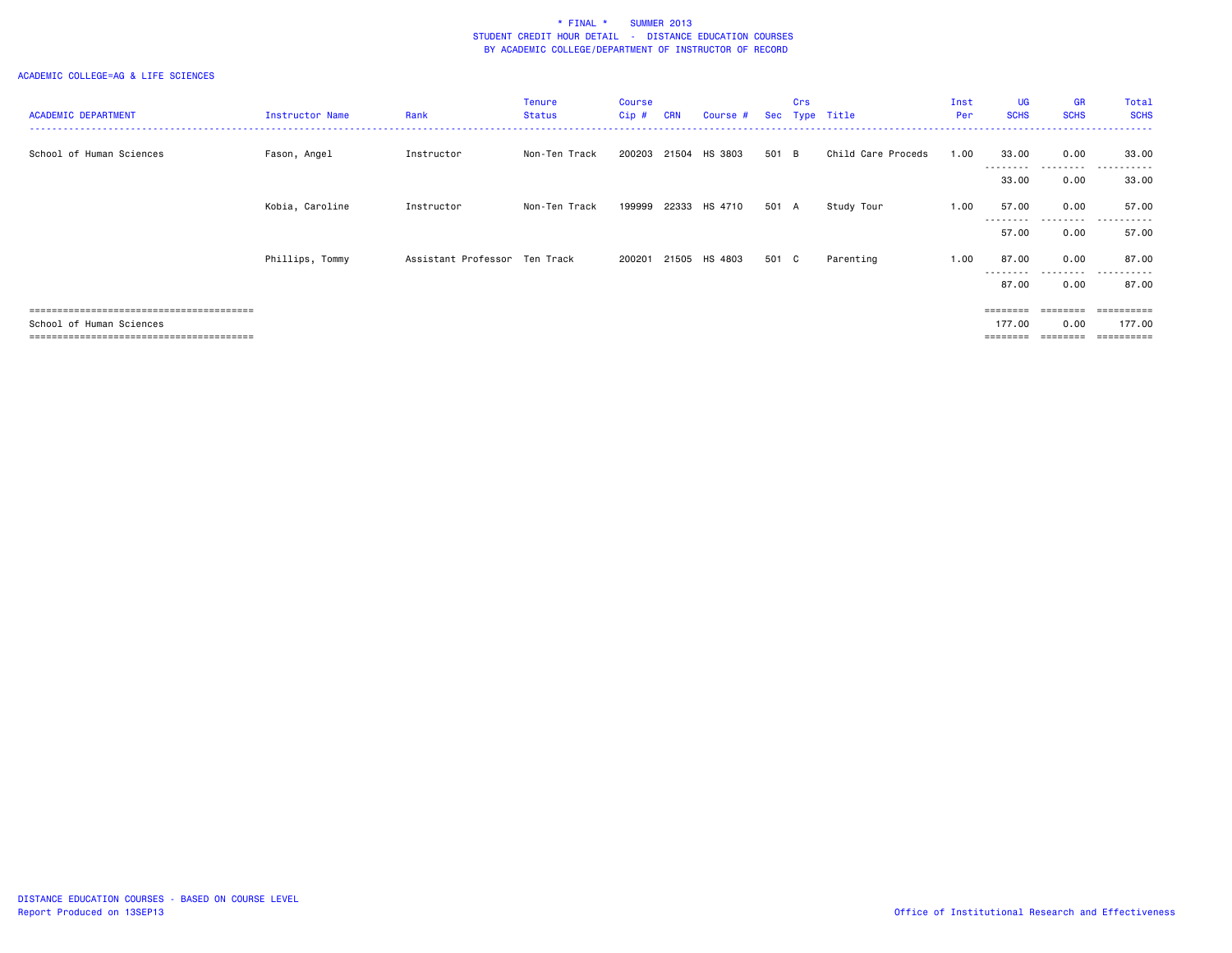| <b>ACADEMIC DEPARTMENT</b> | Instructor Name | Rank                          | Tenure<br><b>Status</b> | <b>Course</b><br>$Cip$ # | <b>CRN</b> | Course #      |       | Crs | Sec Type Title     | Inst<br>Per: | <b>UG</b><br><b>SCHS</b> | <b>GR</b><br><b>SCHS</b> | Total<br><b>SCHS</b> |
|----------------------------|-----------------|-------------------------------|-------------------------|--------------------------|------------|---------------|-------|-----|--------------------|--------------|--------------------------|--------------------------|----------------------|
| School of Human Sciences   | Fason, Angel    | Instructor                    | Non-Ten Track           | 200203                   |            | 21504 HS 3803 | 501 B |     | Child Care Proceds | 1.00         | 33.00                    | 0.00                     | 33.00                |
|                            |                 |                               |                         |                          |            |               |       |     |                    |              | --------<br>33.00        | .<br>$- - -$<br>0.00     | 33.00                |
|                            | Kobia, Caroline | Instructor                    | Non-Ten Track           | 199999                   |            | 22333 HS 4710 | 501 A |     | Study Tour         | 1.00         | 57.00                    | 0.00                     | 57.00                |
|                            |                 |                               |                         |                          |            |               |       |     |                    |              | 57.00                    | --------<br>0.00         | 57.00                |
|                            | Phillips, Tommy | Assistant Professor Ten Track |                         | 200201                   |            | 21505 HS 4803 | 501 C |     | Parenting          | 1.00         | 87.00                    | 0.00                     | 87.00<br>$- - -$     |
|                            |                 |                               |                         |                          |            |               |       |     |                    |              | 87.00                    | ------<br>0.00           | 87.00                |
|                            |                 |                               |                         |                          |            |               |       |     |                    |              | $=$ = = = = = = =        | ========                 | ==========           |
| School of Human Sciences   |                 |                               |                         |                          |            |               |       |     |                    |              | 177.00                   | 0.00                     | 177.00<br>:=======   |
|                            |                 |                               |                         |                          |            |               |       |     |                    |              |                          |                          |                      |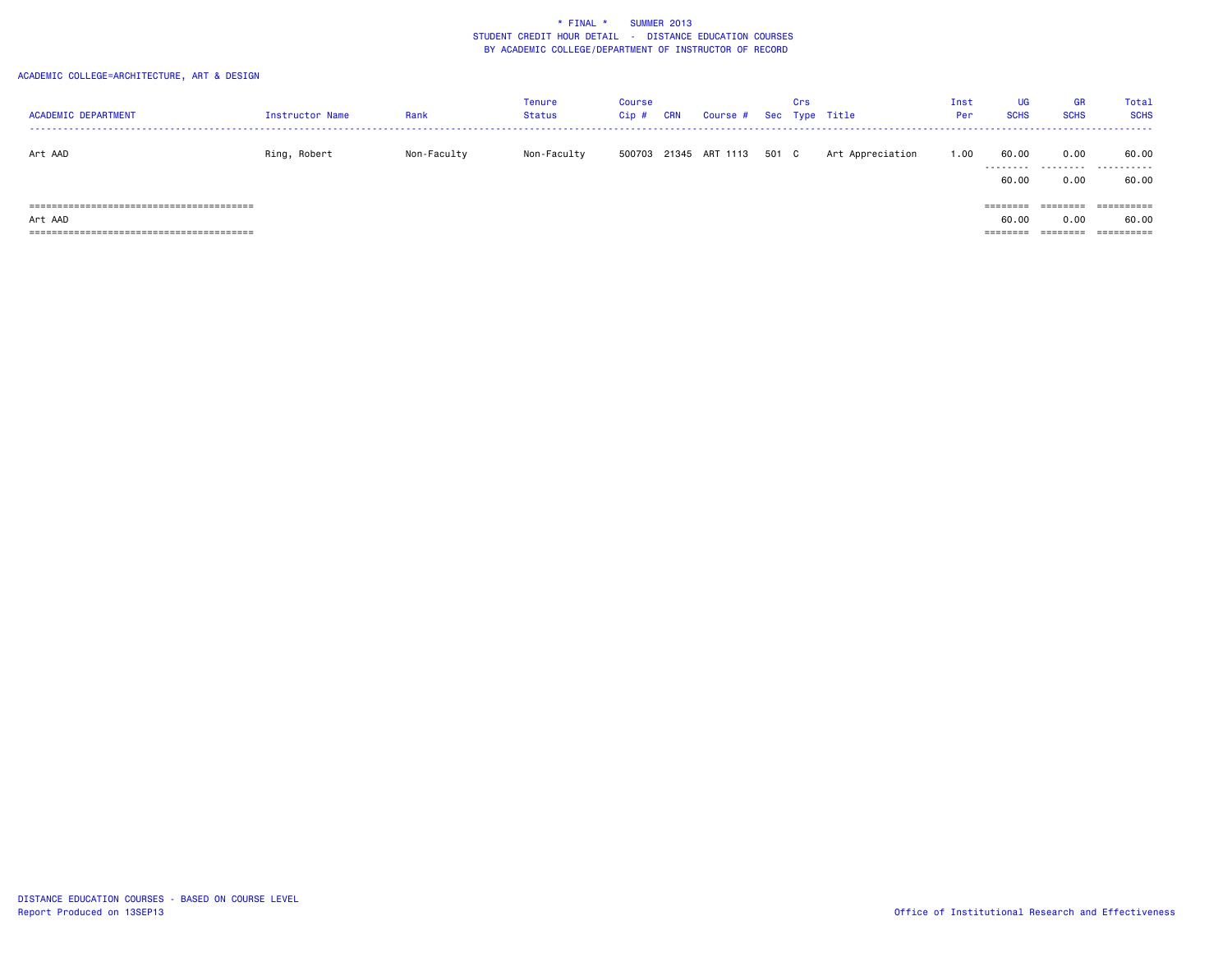|                                 |                 |             | Tenure        | Course  |            |                         |       | Crs |                  | Inst | <b>UG</b>   | <b>GR</b>   | Total                 |
|---------------------------------|-----------------|-------------|---------------|---------|------------|-------------------------|-------|-----|------------------|------|-------------|-------------|-----------------------|
| <b>ACADEMIC DEPARTMENT</b>      | Instructor Name | Rank        | <b>Status</b> | $Cip$ # | <b>CRN</b> | Course # Sec Type Title |       |     |                  | Per  | <b>SCHS</b> | <b>SCHS</b> | <b>SCHS</b>           |
|                                 |                 |             |               |         |            |                         |       |     |                  |      |             |             |                       |
| Art AAD                         | Ring, Robert    | Non-Faculty | Non-Faculty   |         |            | 500703 21345 ART 1113   | 501 C |     | Art Appreciation | 1.00 | 60.00       | 0.00        | 60.00                 |
|                                 |                 |             |               |         |            |                         |       |     |                  |      | .           | .           | .                     |
|                                 |                 |             |               |         |            |                         |       |     |                  |      | 60.00       | 0.00        | 60.00                 |
|                                 |                 |             |               |         |            |                         |       |     |                  |      |             |             |                       |
| ;===========================    |                 |             |               |         |            |                         |       |     |                  |      | ========    | ========    | $=$ = = = = = = = = = |
| Art AAD                         |                 |             |               |         |            |                         |       |     |                  |      | 60.00       | 0.00        | 60.00                 |
| ======================<br>===== |                 |             |               |         |            |                         |       |     |                  |      |             |             | ==========            |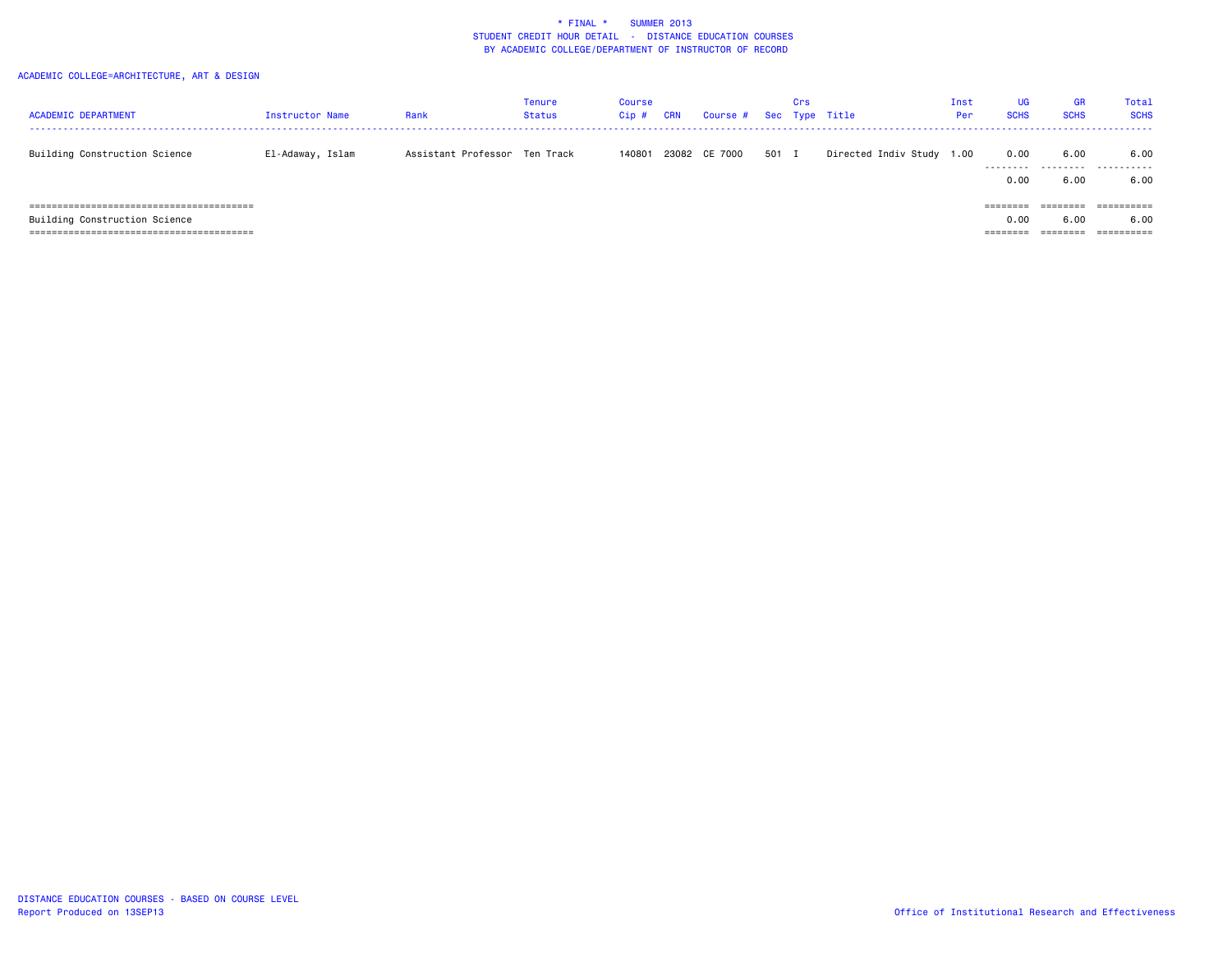| <b>ACADEMIC DEPARTMENT</b>    | Instructor Name  | Rank                          | Tenure<br><b>Status</b> | <b>Course</b><br>Cip# | <b>CRN</b> | Course # Sec Type Title |       | Crs |                           | Inst<br>Per | <b>UG</b><br><b>SCHS</b>             | <b>GR</b><br><b>SCHS</b>    | Total<br><b>SCHS</b> |
|-------------------------------|------------------|-------------------------------|-------------------------|-----------------------|------------|-------------------------|-------|-----|---------------------------|-------------|--------------------------------------|-----------------------------|----------------------|
| Building Construction Science | El-Adaway, Islam | Assistant Professor Ten Track |                         | 140801                |            | 23082 CE 7000           | 501 I |     | Directed Indiv Study 1.00 |             | 0.00<br>---------<br>0.00            | 6.00<br>---------<br>6.00   | 6.00<br>.<br>6.00    |
| Building Construction Science |                  |                               |                         |                       |            |                         |       |     |                           |             | $=$ = = = = = = =<br>0.00<br>======= | ________<br>-------<br>6.00 | ==========<br>6.00   |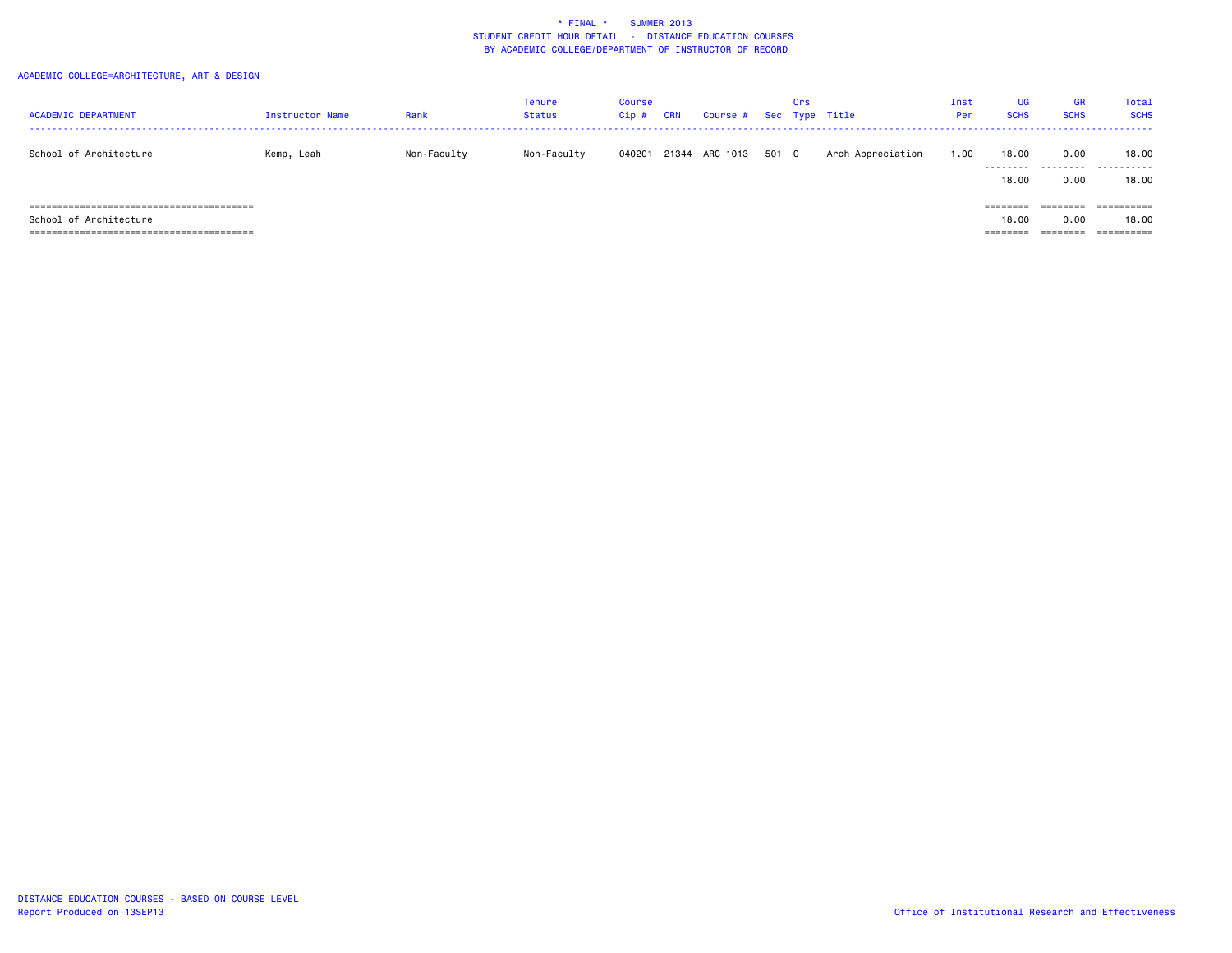| <b>ACADEMIC DEPARTMENT</b> | <b>Instructor Name</b> | Rank        | <b>Tenure</b><br><b>Status</b> | <b>Course</b><br>$Cip$ # | CRN | Course # Sec Type Title |       | Crs |                   | Inst<br>Per | UG<br><b>SCHS</b>                         | <b>GR</b><br><b>SCHS</b>                          | Total<br><b>SCHS</b>              |
|----------------------------|------------------------|-------------|--------------------------------|--------------------------|-----|-------------------------|-------|-----|-------------------|-------------|-------------------------------------------|---------------------------------------------------|-----------------------------------|
| School of Architecture     | Kemp, Leah             | Non-Faculty | Non-Faculty                    | 040201                   |     | 21344 ARC 1013          | 501 C |     | Arch Appreciation | 1.00        | 18,00<br>.<br>18,00                       | 0.00<br>.<br>0.00                                 | 18,00<br>.<br>18.00               |
| School of Architecture     |                        |             |                                |                          |     |                         |       |     |                   |             | ========<br>18,00<br>--------<br>-------- | $=$ = = = = = = =<br>0.00<br>________<br>-------- | ==========<br>18,00<br>========== |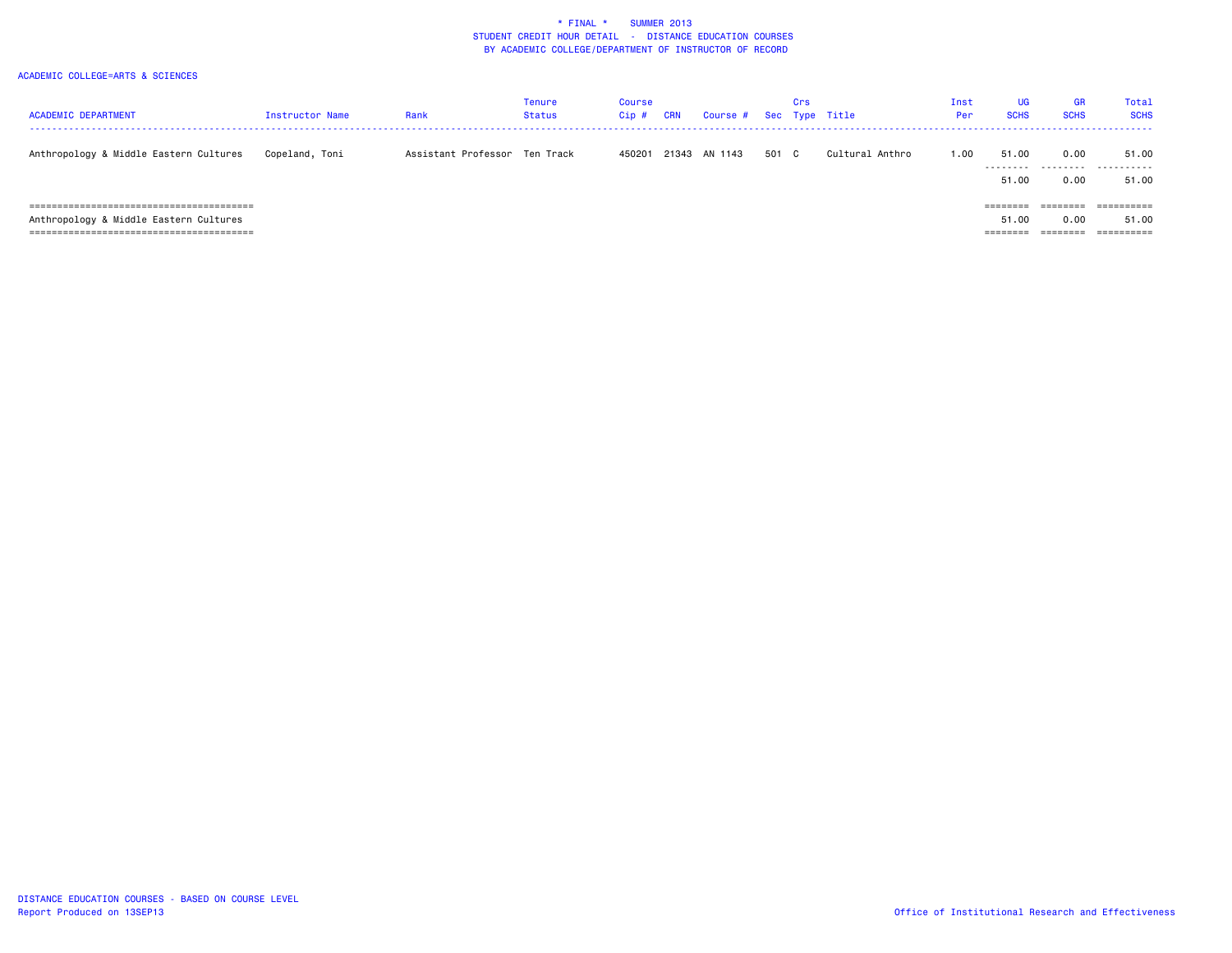| <b>ACADEMIC DEPARTMENT</b>             | <b>Instructor Name</b> | Rank                          | Tenure<br><b>Status</b> | Course<br>$Cip$ # | <b>CRN</b> | Course # Sec Type Title |       | Crs |                 | Inst<br>Per | <b>UG</b><br><b>SCHS</b>      | <b>GR</b><br><b>SCHS</b>     | Total<br><b>SCHS</b> |
|----------------------------------------|------------------------|-------------------------------|-------------------------|-------------------|------------|-------------------------|-------|-----|-----------------|-------------|-------------------------------|------------------------------|----------------------|
| Anthropology & Middle Eastern Cultures | Copeland, Toni         | Assistant Professor Ten Track |                         | 450201            |            | 21343 AN 1143           | 501 C |     | Cultural Anthro | 1.00        | 51.00<br>.<br>51.00           | 0.00<br>.<br>0.00            | 51.00<br>.<br>51.00  |
| Anthropology & Middle Eastern Cultures |                        |                               |                         |                   |            |                         |       |     |                 |             | ========<br>51.00<br>======== | ========<br>0.00<br>======== | ==========<br>51.00  |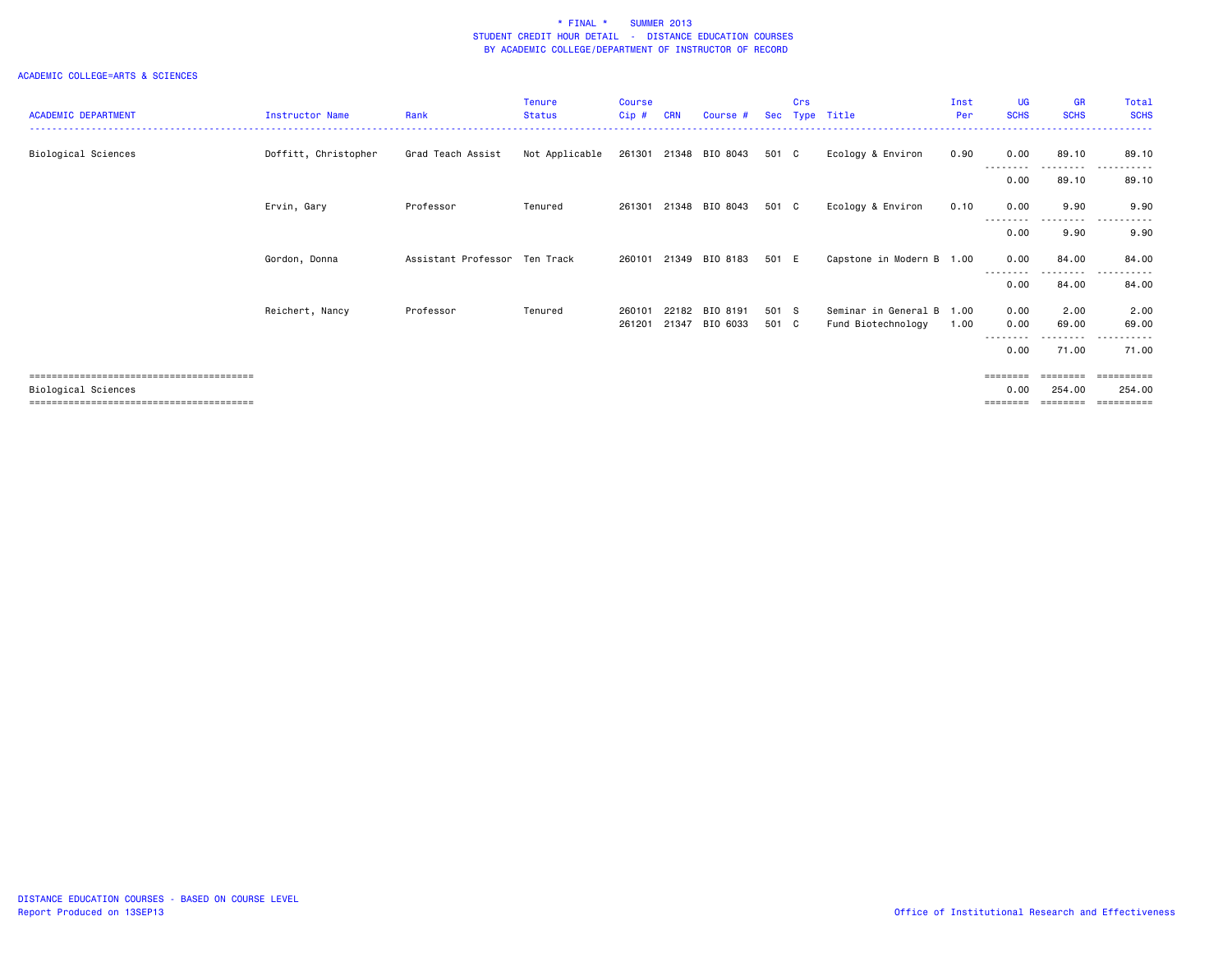|                            |                        |                               | <b>Tenure</b>  | <b>Course</b>    |            |                                  |                | Crs |                                                 | Inst | UG                        | <b>GR</b>             | Total                 |
|----------------------------|------------------------|-------------------------------|----------------|------------------|------------|----------------------------------|----------------|-----|-------------------------------------------------|------|---------------------------|-----------------------|-----------------------|
| <b>ACADEMIC DEPARTMENT</b> | <b>Instructor Name</b> | Rank                          | <b>Status</b>  | Cip#             | <b>CRN</b> | Course #                         |                |     | Sec Type Title                                  | Per  | <b>SCHS</b>               | <b>SCHS</b>           | <b>SCHS</b>           |
| Biological Sciences        | Doffitt, Christopher   | Grad Teach Assist             | Not Applicable |                  |            | 261301 21348 BIO 8043            | 501 C          |     | Ecology & Environ                               | 0.90 | 0.00                      | 89.10<br>.            | 89.10<br>.            |
|                            |                        |                               |                |                  |            |                                  |                |     |                                                 |      | 0.00                      | 89.10                 | 89.10                 |
|                            | Ervin, Gary            | Professor                     | Tenured        | 261301           |            | 21348 BIO 8043                   | 501 C          |     | Ecology & Environ                               | 0.10 | 0.00                      | 9.90<br>. <b>.</b>    | 9.90<br>$- - -$       |
|                            |                        |                               |                |                  |            |                                  |                |     |                                                 |      | 0.00                      | 9.90                  | 9.90                  |
|                            | Gordon, Donna          | Assistant Professor Ten Track |                | 260101           |            | 21349 BIO 8183                   | 501 E          |     | Capstone in Modern B 1.00                       |      | 0.00                      | 84.00<br>. <u>.</u> . | 84.00                 |
|                            |                        |                               |                |                  |            |                                  |                |     |                                                 |      | 0.00                      | 84.00                 | 84.00                 |
|                            | Reichert, Nancy        | Professor                     | Tenured        | 260101<br>261201 |            | 22182 BIO 8191<br>21347 BIO 6033 | 501 S<br>501 C |     | Seminar in General B 1.00<br>Fund Biotechnology | 1.00 | 0.00<br>0.00              | 2.00<br>69.00         | 2.00<br>69.00         |
|                            |                        |                               |                |                  |            |                                  |                |     |                                                 |      | 0.00                      | --------<br>71.00     | $- - -$<br>.<br>71.00 |
| Biological Sciences        |                        |                               |                |                  |            |                                  |                |     |                                                 |      | $=$ = = = = = = =<br>0.00 | ========<br>254.00    | ==========<br>254.00  |
|                            |                        |                               |                |                  |            |                                  |                |     |                                                 |      | =======                   | ========              |                       |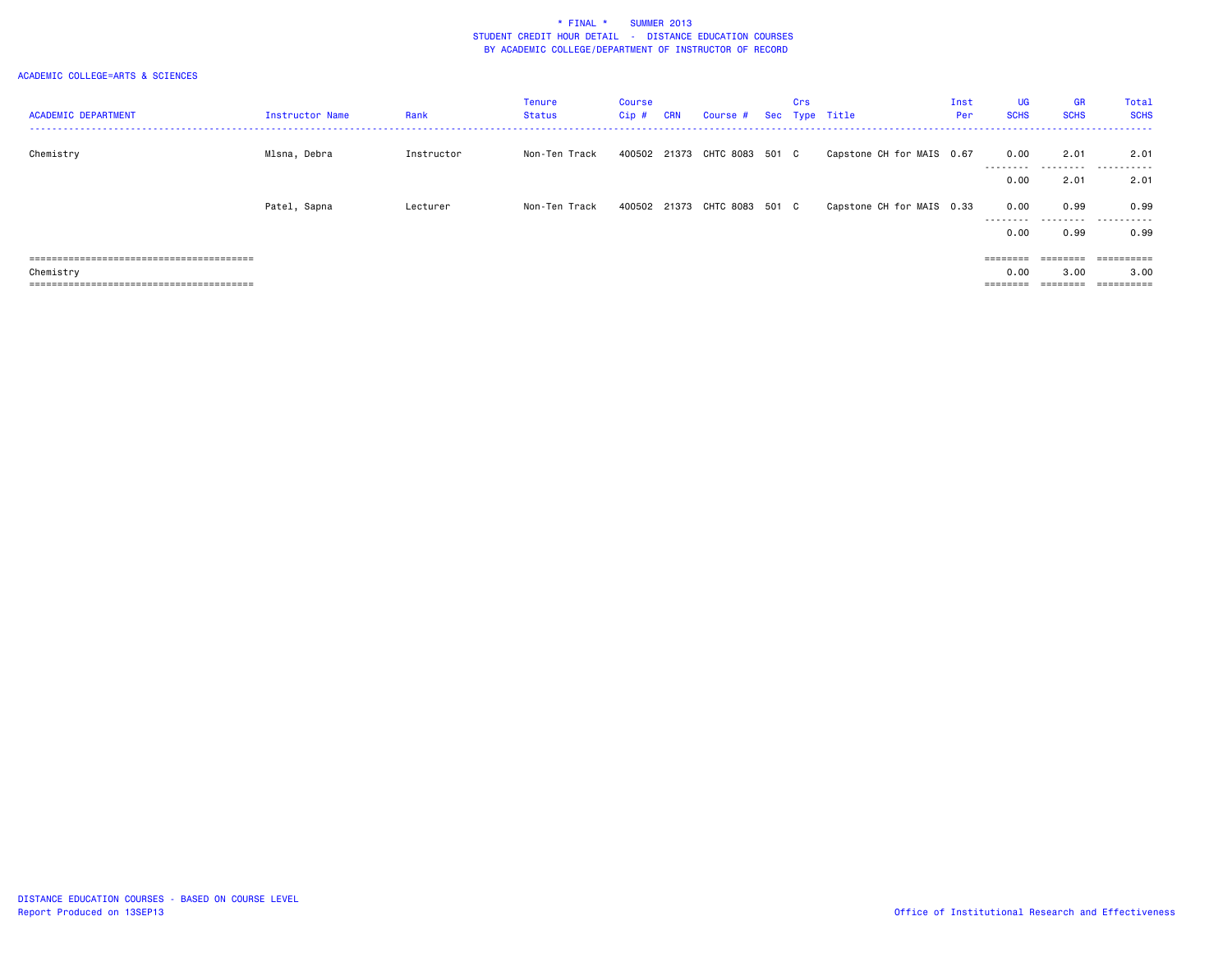| <b>ACADEMIC DEPARTMENT</b>  | <b>Instructor Name</b> | Rank       | <b>Tenure</b><br>Status | <b>Course</b><br>$Cip$ # | <b>CRN</b> | Course # Sec Type Title      | Crs |                           | Inst<br>Per | <b>UG</b><br><b>SCHS</b> | <b>GR</b><br><b>SCHS</b> | Total<br><b>SCHS</b> |
|-----------------------------|------------------------|------------|-------------------------|--------------------------|------------|------------------------------|-----|---------------------------|-------------|--------------------------|--------------------------|----------------------|
| Chemistry                   | Mlsna, Debra           | Instructor | Non-Ten Track           |                          |            | 400502 21373 CHTC 8083 501 C |     | Capstone CH for MAIS 0.67 |             | 0.00                     | 2.01                     | 2.01                 |
|                             |                        |            |                         |                          |            |                              |     |                           |             | ---------<br>0.00        | 2.01                     | 2.01                 |
|                             | Patel, Sapna           | Lecturer   | Non-Ten Track           |                          |            | 400502 21373 CHTC 8083 501 C |     | Capstone CH for MAIS 0.33 |             | 0.00                     | 0.99                     | 0.99                 |
|                             |                        |            |                         |                          |            |                              |     |                           |             | ---------<br>0.00        | .<br>0.99                | .<br>0.99            |
|                             |                        |            |                         |                          |            |                              |     |                           |             |                          | $=$ = = = = = = =        | ==========           |
| Chemistry                   |                        |            |                         |                          |            |                              |     |                           |             | 0.00                     | 3.00                     | 3.00                 |
| =========================== |                        |            |                         |                          |            |                              |     |                           |             |                          | ========                 | ==========           |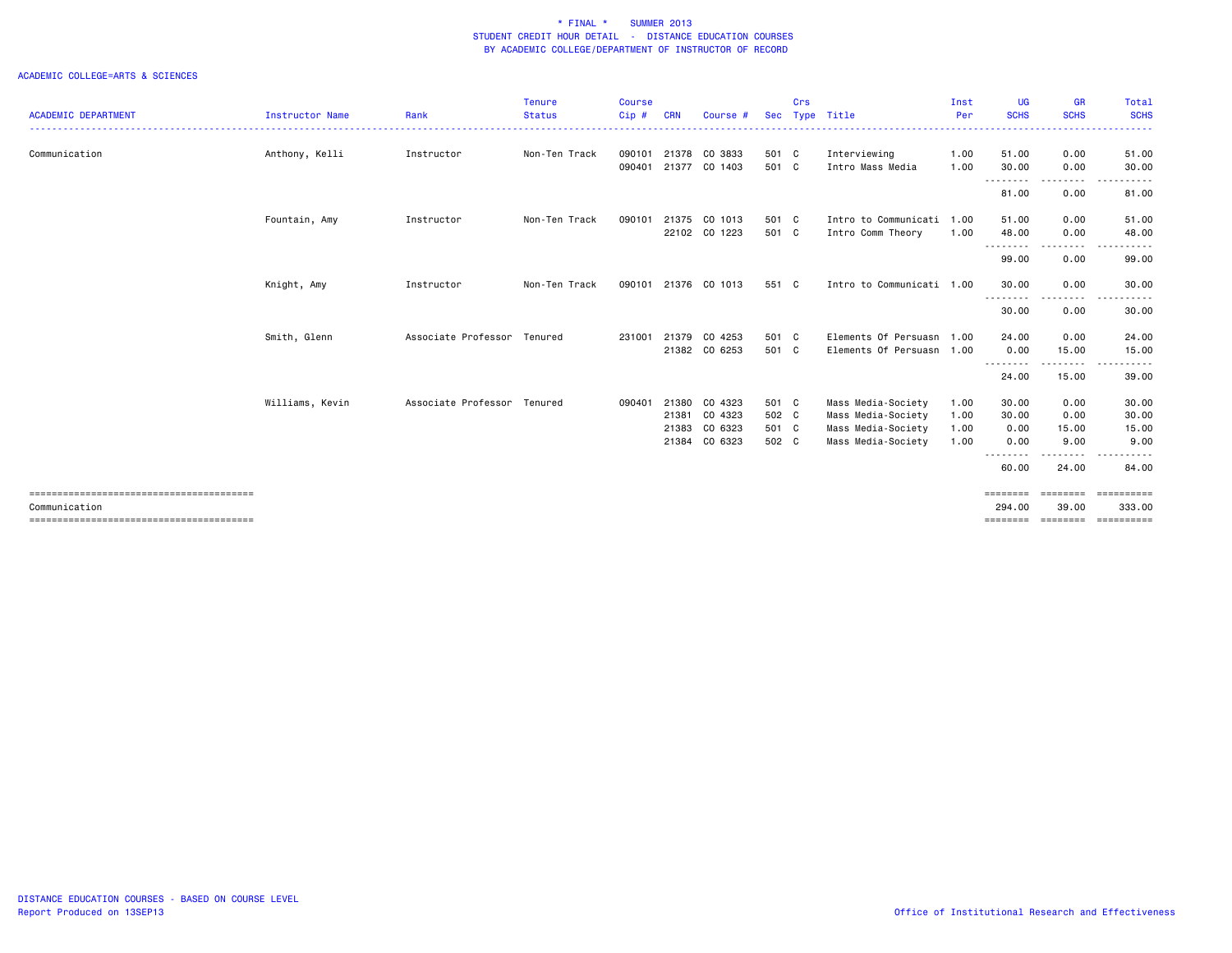|                            |                        |                             | <b>Tenure</b> | <b>Course</b> |            |                      |            | Crs |                           | Inst | <b>UG</b>                | <b>GR</b>                                                                                                                          | Total              |
|----------------------------|------------------------|-----------------------------|---------------|---------------|------------|----------------------|------------|-----|---------------------------|------|--------------------------|------------------------------------------------------------------------------------------------------------------------------------|--------------------|
| <b>ACADEMIC DEPARTMENT</b> | <b>Instructor Name</b> | Rank                        | <b>Status</b> | Cip#          | <b>CRN</b> | Course #             | <b>Sec</b> |     | Type Title                | Per  | <b>SCHS</b>              | <b>SCHS</b>                                                                                                                        | <b>SCHS</b>        |
| Communication              | Anthony, Kelli         | Instructor                  | Non-Ten Track | 090101        | 21378      | CO 3833              | 501 C      |     | Interviewing              | 1.00 | 51.00                    | 0.00                                                                                                                               | 51.00              |
|                            |                        |                             |               | 090401        |            | 21377 CO 1403        | 501 C      |     | Intro Mass Media          | 1.00 | 30.00                    | 0.00                                                                                                                               | 30.00              |
|                            |                        |                             |               |               |            |                      |            |     |                           |      | .<br>81.00               | ---------<br>0.00                                                                                                                  | .<br>81.00         |
|                            | Fountain, Amy          | Instructor                  | Non-Ten Track | 090101        |            | 21375 CO 1013        | 501 C      |     | Intro to Communicati      | 1.00 | 51.00                    | 0.00                                                                                                                               | 51.00              |
|                            |                        |                             |               |               |            | 22102 CO 1223        | 501 C      |     | Intro Comm Theory         | 1.00 | 48.00                    | 0.00                                                                                                                               | 48.00              |
|                            |                        |                             |               |               |            |                      |            |     |                           |      | .<br>99.00               | .<br>0.00                                                                                                                          | 99.00              |
|                            | Knight, Amy            | Instructor                  | Non-Ten Track |               |            | 090101 21376 CO 1013 | 551 C      |     | Intro to Communicati 1.00 |      | 30.00                    | 0.00                                                                                                                               | 30.00              |
|                            |                        |                             |               |               |            |                      |            |     |                           |      | .<br>30.00               | 0.00                                                                                                                               | 30.00              |
|                            | Smith, Glenn           | Associate Professor Tenured |               | 231001        |            | 21379 CO 4253        | 501 C      |     | Elements Of Persuasn      | 1.00 | 24.00                    | 0.00                                                                                                                               | 24.00              |
|                            |                        |                             |               |               |            | 21382 CO 6253        | 501 C      |     | Elements Of Persuasn 1.00 |      | 0.00                     | 15.00                                                                                                                              | 15.00              |
|                            |                        |                             |               |               |            |                      |            |     |                           |      | - - - - - - - -<br>24.00 | -----<br>15.00                                                                                                                     | 39.00              |
|                            | Williams, Kevin        | Associate Professor Tenured |               | 090401        |            | 21380 CO 4323        | 501 C      |     | Mass Media-Society        | 1.00 | 30.00                    | 0.00                                                                                                                               | 30.00              |
|                            |                        |                             |               |               | 21381      | CO 4323              | 502 C      |     | Mass Media-Society        | 1.00 | 30.00                    | 0.00                                                                                                                               | 30.00              |
|                            |                        |                             |               |               | 21383      | CO 6323              | 501 C      |     | Mass Media-Society        | 1.00 | 0.00                     | 15.00                                                                                                                              | 15.00              |
|                            |                        |                             |               |               |            | 21384 CO 6323        | 502 C      |     | Mass Media-Society        | 1.00 | 0.00                     | 9.00                                                                                                                               | 9.00               |
|                            |                        |                             |               |               |            |                      |            |     |                           |      | 60.00                    | $\frac{1}{2} \left( \frac{1}{2} \right) \left( \frac{1}{2} \right) \left( \frac{1}{2} \right) \left( \frac{1}{2} \right)$<br>24.00 | 84.00              |
|                            |                        |                             |               |               |            |                      |            |     |                           |      | ========                 | <b>SEESSEES</b>                                                                                                                    | ==========         |
| Communication              |                        |                             |               |               |            |                      |            |     |                           |      | 294,00                   | 39,00                                                                                                                              | 333,00             |
|                            |                        |                             |               |               |            |                      |            |     |                           |      | ========                 |                                                                                                                                    | ================== |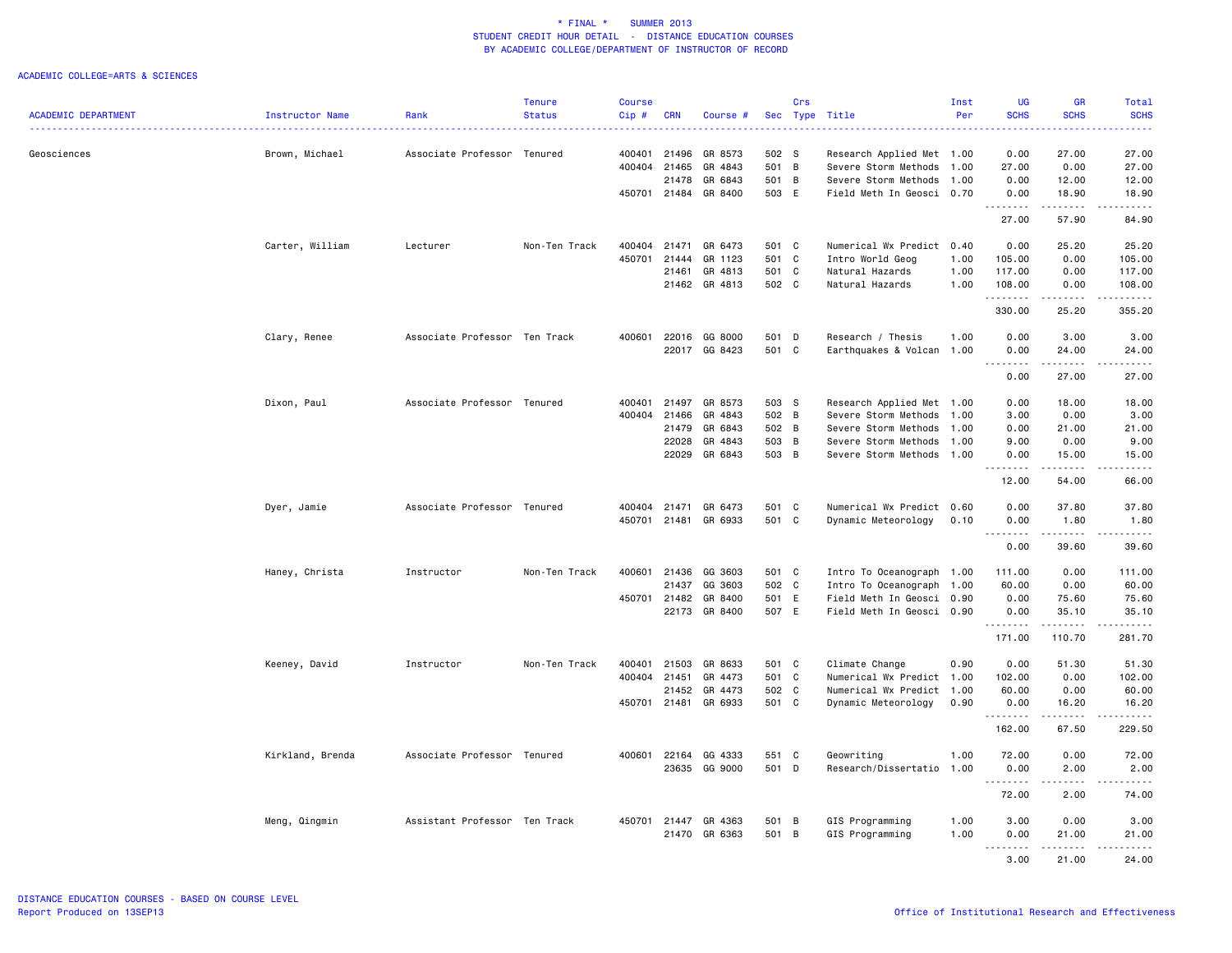|                            |                  |                               | <b>Tenure</b> | <b>Course</b> |            |                      |       | Crs      |                           | Inst | <b>UG</b>   | <b>GR</b>                                                                                                                                            | Total                                                                                                       |
|----------------------------|------------------|-------------------------------|---------------|---------------|------------|----------------------|-------|----------|---------------------------|------|-------------|------------------------------------------------------------------------------------------------------------------------------------------------------|-------------------------------------------------------------------------------------------------------------|
| <b>ACADEMIC DEPARTMENT</b> | Instructor Name  | Rank                          | <b>Status</b> | Cip#          | <b>CRN</b> | Course #             |       | Sec Type | Title                     | Per  | <b>SCHS</b> | <b>SCHS</b>                                                                                                                                          | <b>SCHS</b>                                                                                                 |
|                            |                  |                               | .             |               |            |                      |       |          |                           |      |             |                                                                                                                                                      | 22222                                                                                                       |
|                            |                  |                               |               |               |            |                      |       |          |                           |      |             |                                                                                                                                                      |                                                                                                             |
| Geosciences                | Brown, Michael   | Associate Professor Tenured   |               | 400401 21496  |            | GR 8573              | 502 S |          | Research Applied Met 1.00 |      | 0.00        | 27.00                                                                                                                                                | 27.00                                                                                                       |
|                            |                  |                               |               | 400404        | 21465      | GR 4843              | 501 B |          | Severe Storm Methods      | 1.00 | 27.00       | 0.00                                                                                                                                                 | 27.00                                                                                                       |
|                            |                  |                               |               |               | 21478      | GR 6843              | 501 B |          | Severe Storm Methods      | 1.00 | 0.00        | 12.00                                                                                                                                                | 12.00                                                                                                       |
|                            |                  |                               |               |               |            |                      |       |          |                           |      |             |                                                                                                                                                      |                                                                                                             |
|                            |                  |                               |               |               |            | 450701 21484 GR 8400 | 503 E |          | Field Meth In Geosci 0.70 |      | 0.00        | 18,90                                                                                                                                                | 18.90                                                                                                       |
|                            |                  |                               |               |               |            |                      |       |          |                           |      | .           | .                                                                                                                                                    | .                                                                                                           |
|                            |                  |                               |               |               |            |                      |       |          |                           |      | 27.00       | 57.90                                                                                                                                                | 84.90                                                                                                       |
|                            |                  |                               |               |               |            |                      |       |          |                           |      |             |                                                                                                                                                      |                                                                                                             |
|                            | Carter, William  | Lecturer                      | Non-Ten Track | 400404 21471  |            | GR 6473              | 501 C |          | Numerical Wx Predict 0.40 |      | 0.00        | 25.20                                                                                                                                                | 25.20                                                                                                       |
|                            |                  |                               |               | 450701        | 21444      | GR 1123              | 501 C |          | Intro World Geog          | 1.00 | 105.00      | 0.00                                                                                                                                                 | 105.00                                                                                                      |
|                            |                  |                               |               |               | 21461      | GR 4813              | 501 C |          | Natural Hazards           | 1.00 | 117.00      | 0.00                                                                                                                                                 | 117.00                                                                                                      |
|                            |                  |                               |               |               |            | 21462 GR 4813        | 502 C |          | Natural Hazards           | 1.00 | 108.00      | 0.00                                                                                                                                                 | 108.00                                                                                                      |
|                            |                  |                               |               |               |            |                      |       |          |                           |      | .           | $- - - - -$                                                                                                                                          | <u>.</u>                                                                                                    |
|                            |                  |                               |               |               |            |                      |       |          |                           |      | 330.00      | 25.20                                                                                                                                                | 355.20                                                                                                      |
|                            |                  |                               |               |               |            |                      |       |          |                           |      |             |                                                                                                                                                      |                                                                                                             |
|                            |                  |                               |               |               |            |                      | 501 D |          |                           |      |             |                                                                                                                                                      |                                                                                                             |
|                            | Clary, Renee     | Associate Professor Ten Track |               | 400601 22016  |            | GG 8000              |       |          | Research / Thesis         | 1.00 | 0.00        | 3.00                                                                                                                                                 | 3.00                                                                                                        |
|                            |                  |                               |               |               | 22017      | GG 8423              | 501 C |          | Earthquakes & Volcan 1.00 |      | 0.00        | 24.00                                                                                                                                                | 24.00                                                                                                       |
|                            |                  |                               |               |               |            |                      |       |          |                           |      | .           | $\frac{1}{2} \left( \frac{1}{2} \right) \left( \frac{1}{2} \right) \left( \frac{1}{2} \right) \left( \frac{1}{2} \right) \left( \frac{1}{2} \right)$ | .                                                                                                           |
|                            |                  |                               |               |               |            |                      |       |          |                           |      | 0.00        | 27.00                                                                                                                                                | 27.00                                                                                                       |
|                            |                  |                               |               |               |            |                      |       |          |                           |      |             |                                                                                                                                                      |                                                                                                             |
|                            | Dixon, Paul      | Associate Professor Tenured   |               | 400401        | 21497      | GR 8573              | 503 S |          | Research Applied Met 1.00 |      | 0.00        | 18.00                                                                                                                                                | 18.00                                                                                                       |
|                            |                  |                               |               | 400404        | 21466      | GR 4843              | 502 B |          | Severe Storm Methods 1.00 |      | 3.00        | 0.00                                                                                                                                                 | 3.00                                                                                                        |
|                            |                  |                               |               |               | 21479      | GR 6843              | 502 B |          | Severe Storm Methods 1.00 |      | 0.00        | 21.00                                                                                                                                                | 21.00                                                                                                       |
|                            |                  |                               |               |               | 22028      | GR 4843              | 503 B |          | Severe Storm Methods      | 1.00 | 9.00        | 0.00                                                                                                                                                 | 9.00                                                                                                        |
|                            |                  |                               |               |               | 22029      | GR 6843              | 503 B |          | Severe Storm Methods 1.00 |      | 0.00        | 15.00                                                                                                                                                | 15.00                                                                                                       |
|                            |                  |                               |               |               |            |                      |       |          |                           |      | .<br>$ -$   |                                                                                                                                                      | .                                                                                                           |
|                            |                  |                               |               |               |            |                      |       |          |                           |      | 12.00       | 54.00                                                                                                                                                | 66.00                                                                                                       |
|                            |                  |                               |               |               |            |                      |       |          |                           |      |             |                                                                                                                                                      |                                                                                                             |
|                            |                  |                               |               |               |            |                      |       |          |                           |      |             |                                                                                                                                                      |                                                                                                             |
|                            | Dyer, Jamie      | Associate Professor Tenured   |               | 400404 21471  |            | GR 6473              | 501 C |          | Numerical Wx Predict 0.60 |      | 0.00        | 37.80                                                                                                                                                | 37.80                                                                                                       |
|                            |                  |                               |               |               |            | 450701 21481 GR 6933 | 501 C |          | Dynamic Meteorology       | 0.10 | 0.00        | 1.80                                                                                                                                                 | 1.80                                                                                                        |
|                            |                  |                               |               |               |            |                      |       |          |                           |      | <u>.</u>    | . <b>.</b>                                                                                                                                           | <u>.</u>                                                                                                    |
|                            |                  |                               |               |               |            |                      |       |          |                           |      | 0.00        | 39.60                                                                                                                                                | 39.60                                                                                                       |
|                            |                  |                               |               |               |            |                      |       |          |                           |      |             |                                                                                                                                                      |                                                                                                             |
|                            | Haney, Christa   | Instructor                    | Non-Ten Track | 400601        | 21436      | GG 3603              | 501 C |          | Intro To Oceanograph 1.00 |      | 111.00      | 0.00                                                                                                                                                 | 111.00                                                                                                      |
|                            |                  |                               |               |               | 21437      | GG 3603              | 502 C |          | Intro To Oceanograph 1.00 |      | 60.00       | 0.00                                                                                                                                                 | 60.00                                                                                                       |
|                            |                  |                               |               | 450701        | 21482      | GR 8400              | 501 E |          | Field Meth In Geosci 0.90 |      | 0.00        | 75.60                                                                                                                                                | 75.60                                                                                                       |
|                            |                  |                               |               |               |            | 22173 GR 8400        | 507 E |          | Field Meth In Geosci 0.90 |      | 0.00        | 35.10                                                                                                                                                | 35.10                                                                                                       |
|                            |                  |                               |               |               |            |                      |       |          |                           |      | .           | .                                                                                                                                                    | $\begin{array}{cccccccccc} \bullet & \bullet & \bullet & \bullet & \bullet & \bullet & \bullet \end{array}$ |
|                            |                  |                               |               |               |            |                      |       |          |                           |      | 171.00      | 110.70                                                                                                                                               | 281.70                                                                                                      |
|                            |                  |                               |               |               |            |                      |       |          |                           |      |             |                                                                                                                                                      |                                                                                                             |
|                            | Keeney, David    | Instructor                    | Non-Ten Track | 400401        | 21503      | GR 8633              | 501 C |          | Climate Change            | 0.90 | 0.00        | 51.30                                                                                                                                                | 51.30                                                                                                       |
|                            |                  |                               |               |               |            | GR 4473              | 501 C |          |                           |      |             | 0.00                                                                                                                                                 | 102.00                                                                                                      |
|                            |                  |                               |               | 400404 21451  |            |                      |       |          | Numerical Wx Predict 1.00 |      | 102.00      |                                                                                                                                                      |                                                                                                             |
|                            |                  |                               |               |               | 21452      | GR 4473              | 502 C |          | Numerical Wx Predict 1.00 |      | 60.00       | 0.00                                                                                                                                                 | 60.00                                                                                                       |
|                            |                  |                               |               |               |            | 450701 21481 GR 6933 | 501 C |          | Dynamic Meteorology       | 0.90 | 0.00        | 16.20                                                                                                                                                | 16.20                                                                                                       |
|                            |                  |                               |               |               |            |                      |       |          |                           |      | .           | .                                                                                                                                                    | .                                                                                                           |
|                            |                  |                               |               |               |            |                      |       |          |                           |      | 162.00      | 67.50                                                                                                                                                | 229.50                                                                                                      |
|                            |                  |                               |               |               |            |                      |       |          |                           |      |             |                                                                                                                                                      |                                                                                                             |
|                            | Kirkland, Brenda | Associate Professor Tenured   |               | 400601        | 22164      | GG 4333              | 551 C |          | Geowriting                | 1.00 | 72.00       | 0.00                                                                                                                                                 | 72.00                                                                                                       |
|                            |                  |                               |               |               | 23635      | GG 9000              | 501 D |          | Research/Dissertatio 1.00 |      | 0.00        | 2.00                                                                                                                                                 | 2.00                                                                                                        |
|                            |                  |                               |               |               |            |                      |       |          |                           |      | .           | .                                                                                                                                                    | .                                                                                                           |
|                            |                  |                               |               |               |            |                      |       |          |                           |      | 72.00       | 2.00                                                                                                                                                 | 74.00                                                                                                       |
|                            |                  |                               |               |               |            |                      |       |          |                           |      |             |                                                                                                                                                      |                                                                                                             |
|                            | Meng, Qingmin    | Assistant Professor Ten Track |               |               |            | 450701 21447 GR 4363 | 501 B |          | GIS Programming           | 1.00 | 3.00        | 0.00                                                                                                                                                 | 3.00                                                                                                        |
|                            |                  |                               |               |               | 21470      | GR 6363              | 501 B |          | GIS Programming           | 1.00 | 0.00        | 21.00                                                                                                                                                | 21.00                                                                                                       |
|                            |                  |                               |               |               |            |                      |       |          |                           |      | <u>.</u>    | .                                                                                                                                                    | .                                                                                                           |
|                            |                  |                               |               |               |            |                      |       |          |                           |      | 3.00        | 21,00                                                                                                                                                |                                                                                                             |
|                            |                  |                               |               |               |            |                      |       |          |                           |      |             |                                                                                                                                                      | 24.00                                                                                                       |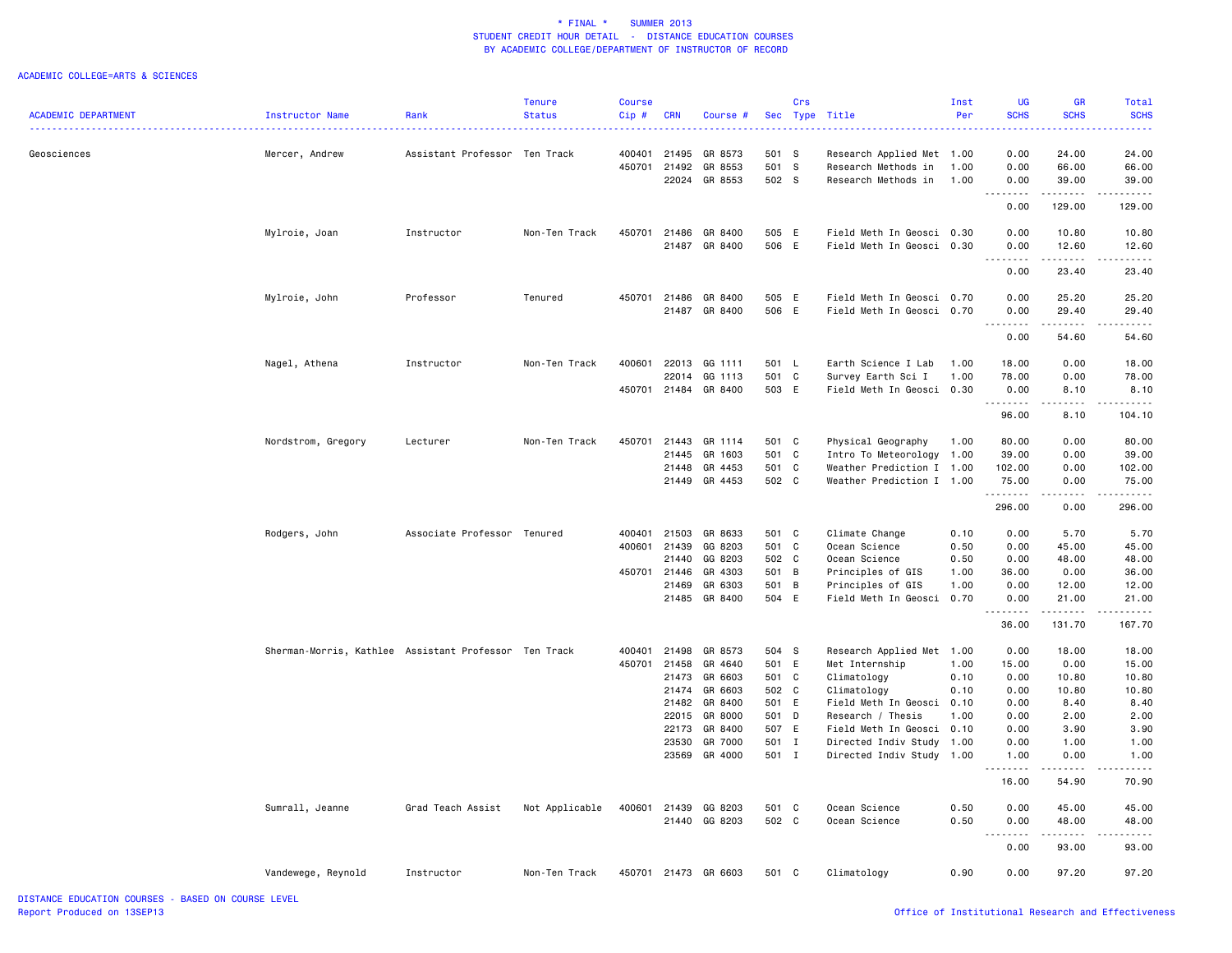|                            |                                                       |                               | <b>Tenure</b>             | <b>Course</b> |                |                          |                | Crs      |                                                | Inst         | UG                                          | <b>GR</b>                                                                                                                                            | Total                                                                                                                                                               |
|----------------------------|-------------------------------------------------------|-------------------------------|---------------------------|---------------|----------------|--------------------------|----------------|----------|------------------------------------------------|--------------|---------------------------------------------|------------------------------------------------------------------------------------------------------------------------------------------------------|---------------------------------------------------------------------------------------------------------------------------------------------------------------------|
| <b>ACADEMIC DEPARTMENT</b> | Instructor Name                                       | Rank                          | <b>Status</b><br><u>.</u> | Cip#          | <b>CRN</b>     | <b>Course</b>            |                | Sec Type | Title                                          | Per          | <b>SCHS</b><br>.                            | <b>SCHS</b>                                                                                                                                          | <b>SCHS</b><br>$\frac{1}{2} \left( \frac{1}{2} \right) \left( \frac{1}{2} \right) \left( \frac{1}{2} \right) \left( \frac{1}{2} \right) \left( \frac{1}{2} \right)$ |
| Geosciences                | Mercer, Andrew                                        | Assistant Professor Ten Track |                           |               | 400401 21495   | GR 8573                  | 501 S          |          | Research Applied Met 1.00                      |              | 0.00                                        | 24.00                                                                                                                                                | 24.00                                                                                                                                                               |
|                            |                                                       |                               |                           | 450701        | 21492          | GR 8553                  | 501 S          |          | Research Methods in                            | 1.00         | 0.00                                        | 66.00                                                                                                                                                | 66.00                                                                                                                                                               |
|                            |                                                       |                               |                           |               | 22024          | GR 8553                  | 502 S          |          | Research Methods in                            | 1.00         | 0.00                                        | 39.00                                                                                                                                                | 39.00                                                                                                                                                               |
|                            |                                                       |                               |                           |               |                |                          |                |          |                                                |              | <u> - - - - - - - -</u><br>0.00             | .<br>129.00                                                                                                                                          | .<br>129.00                                                                                                                                                         |
|                            |                                                       |                               |                           |               |                |                          |                |          |                                                |              |                                             |                                                                                                                                                      |                                                                                                                                                                     |
|                            | Mylroie, Joan                                         | Instructor                    | Non-Ten Track             | 450701        | 21486          | GR 8400                  | 505 E          |          | Field Meth In Geosci 0.30                      |              | 0.00                                        | 10.80                                                                                                                                                | 10.80                                                                                                                                                               |
|                            |                                                       |                               |                           |               | 21487          | GR 8400                  | 506 E          |          | Field Meth In Geosci 0.30                      |              | 0.00<br><u>.</u>                            | 12.60<br>.                                                                                                                                           | 12.60<br>.                                                                                                                                                          |
|                            |                                                       |                               |                           |               |                |                          |                |          |                                                |              | 0.00                                        | 23.40                                                                                                                                                | 23.40                                                                                                                                                               |
|                            | Mylroie, John                                         | Professor                     | Tenured                   |               | 450701 21486   | GR 8400                  | 505 E          |          | Field Meth In Geosci 0.70                      |              | 0.00                                        | 25.20                                                                                                                                                | 25.20                                                                                                                                                               |
|                            |                                                       |                               |                           |               | 21487          | GR 8400                  | 506 E          |          | Field Meth In Geosci 0.70                      |              | 0.00                                        | 29.40                                                                                                                                                | 29.40                                                                                                                                                               |
|                            |                                                       |                               |                           |               |                |                          |                |          |                                                |              | $- - - - -$<br>$\sim$ $\sim$ $\sim$<br>0.00 | .<br>54.60                                                                                                                                           | .<br>54.60                                                                                                                                                          |
|                            |                                                       |                               |                           |               |                |                          |                |          |                                                |              |                                             |                                                                                                                                                      |                                                                                                                                                                     |
|                            | Nagel, Athena                                         | Instructor                    | Non-Ten Track             |               | 400601 22013   | GG 1111                  | 501 L          |          | Earth Science I Lab                            | 1.00         | 18.00                                       | 0.00                                                                                                                                                 | 18.00                                                                                                                                                               |
|                            |                                                       |                               |                           |               | 22014          | GG 1113                  | 501 C          |          | Survey Earth Sci I                             | 1.00         | 78.00                                       | 0.00                                                                                                                                                 | 78.00                                                                                                                                                               |
|                            |                                                       |                               |                           | 450701        | 21484          | GR 8400                  | 503 E          |          | Field Meth In Geosci 0.30                      |              | 0.00<br>.                                   | 8.10<br>2.2.2.2.2                                                                                                                                    | 8.10<br>------                                                                                                                                                      |
|                            |                                                       |                               |                           |               |                |                          |                |          |                                                |              | 96.00                                       | 8.10                                                                                                                                                 | 104.10                                                                                                                                                              |
|                            | Nordstrom, Gregory                                    | Lecturer                      | Non-Ten Track             | 450701        | 21443          | GR 1114                  | 501 C          |          | Physical Geography                             | 1.00         | 80.00                                       | 0.00                                                                                                                                                 | 80.00                                                                                                                                                               |
|                            |                                                       |                               |                           |               | 21445          | GR 1603                  | 501 C          |          | Intro To Meteorology                           | 1.00         | 39.00                                       | 0.00                                                                                                                                                 | 39.00                                                                                                                                                               |
|                            |                                                       |                               |                           |               | 21448          | GR 4453                  | 501 C          |          | Weather Prediction I 1.00                      |              | 102.00                                      | 0.00                                                                                                                                                 | 102.00                                                                                                                                                              |
|                            |                                                       |                               |                           |               | 21449          | GR 4453                  | 502 C          |          | Weather Prediction I 1.00                      |              | 75.00<br>.                                  | 0.00<br>$\frac{1}{2} \left( \frac{1}{2} \right) \left( \frac{1}{2} \right) \left( \frac{1}{2} \right)$                                               | 75.00<br>.                                                                                                                                                          |
|                            |                                                       |                               |                           |               |                |                          |                |          |                                                |              | 296.00                                      | 0.00                                                                                                                                                 | 296.00                                                                                                                                                              |
|                            | Rodgers, John                                         | Associate Professor Tenured   |                           | 400401        | 21503          | GR 8633                  | 501 C          |          | Climate Change                                 | 0.10         | 0.00                                        | 5.70                                                                                                                                                 | 5.70                                                                                                                                                                |
|                            |                                                       |                               |                           | 400601        | 21439          | GG 8203                  | 501 C          |          | Ocean Science                                  | 0.50         | 0.00                                        | 45.00                                                                                                                                                | 45.00                                                                                                                                                               |
|                            |                                                       |                               |                           |               | 21440          | GG 8203                  | 502 C          |          | Ocean Science                                  | 0.50         | 0.00                                        | 48.00                                                                                                                                                | 48.00                                                                                                                                                               |
|                            |                                                       |                               |                           |               | 450701 21446   | GR 4303                  | 501 B          |          | Principles of GIS                              | 1.00         | 36.00                                       | 0.00                                                                                                                                                 | 36.00                                                                                                                                                               |
|                            |                                                       |                               |                           |               | 21469          | GR 6303                  | 501 B          |          | Principles of GIS                              | 1.00         | 0.00                                        | 12.00                                                                                                                                                | 12.00                                                                                                                                                               |
|                            |                                                       |                               |                           |               |                | 21485 GR 8400            | 504 E          |          | Field Meth In Geosci 0.70                      |              | 0.00<br>.                                   | 21.00<br>.                                                                                                                                           | 21.00<br>.                                                                                                                                                          |
|                            |                                                       |                               |                           |               |                |                          |                |          |                                                |              | 36.00                                       | 131.70                                                                                                                                               | 167.70                                                                                                                                                              |
|                            | Sherman-Morris, Kathlee Assistant Professor Ten Track |                               |                           | 400401        | 21498          | GR 8573                  | 504 S          |          | Research Applied Met 1.00                      |              | 0.00                                        | 18.00                                                                                                                                                | 18.00                                                                                                                                                               |
|                            |                                                       |                               |                           | 450701        | 21458          | GR 4640                  | 501 E          |          | Met Internship                                 | 1.00         | 15.00                                       | 0.00                                                                                                                                                 | 15.00                                                                                                                                                               |
|                            |                                                       |                               |                           |               | 21473          | GR 6603                  | 501 C          |          | Climatology                                    | 0.10         | 0.00                                        | 10.80                                                                                                                                                | 10.80                                                                                                                                                               |
|                            |                                                       |                               |                           |               | 21474          | GR 6603                  | 502 C          |          | Climatology                                    | 0.10         | 0.00                                        | 10.80                                                                                                                                                | 10.80                                                                                                                                                               |
|                            |                                                       |                               |                           |               | 21482<br>22015 | GR 8400                  | 501 E<br>501 D |          | Field Meth In Geosci                           | 0.10<br>1.00 | 0.00<br>0.00                                | 8.40<br>2.00                                                                                                                                         | 8.40<br>2.00                                                                                                                                                        |
|                            |                                                       |                               |                           |               | 22173          | GR 8000<br>GR 8400       | 507 E          |          | Research / Thesis<br>Field Meth In Geosci 0.10 |              | 0.00                                        | 3.90                                                                                                                                                 | 3.90                                                                                                                                                                |
|                            |                                                       |                               |                           |               | 23530          | GR 7000                  | 501 I          |          | Directed Indiv Study                           | 1.00         | 0.00                                        | 1.00                                                                                                                                                 | 1.00                                                                                                                                                                |
|                            |                                                       |                               |                           |               |                | 23569 GR 4000            | 501 I          |          | Directed Indiv Study 1.00                      |              | 1.00                                        | 0.00                                                                                                                                                 | 1.00                                                                                                                                                                |
|                            |                                                       |                               |                           |               |                |                          |                |          |                                                |              | .<br>16.00                                  | $\begin{array}{cccccccccc} \bullet & \bullet & \bullet & \bullet & \bullet & \bullet \end{array}$<br>54.90                                           | .<br>70.90                                                                                                                                                          |
|                            |                                                       |                               |                           |               |                |                          |                |          |                                                |              |                                             |                                                                                                                                                      |                                                                                                                                                                     |
|                            | Sumrall, Jeanne                                       | Grad Teach Assist             | Not Applicable            | 400601        | 21439          | GG 8203<br>21440 GG 8203 | 501 C<br>502 C |          | Ocean Science<br>Ocean Science                 | 0.50<br>0.50 | 0.00<br>0.00                                | 45.00<br>48.00                                                                                                                                       | 45.00<br>48.00                                                                                                                                                      |
|                            |                                                       |                               |                           |               |                |                          |                |          |                                                |              | .                                           | $\frac{1}{2} \left( \frac{1}{2} \right) \left( \frac{1}{2} \right) \left( \frac{1}{2} \right) \left( \frac{1}{2} \right) \left( \frac{1}{2} \right)$ | $\frac{1}{2} \left( \frac{1}{2} \right) \left( \frac{1}{2} \right) \left( \frac{1}{2} \right) \left( \frac{1}{2} \right) \left( \frac{1}{2} \right)$                |
|                            |                                                       |                               |                           |               |                |                          |                |          |                                                |              | 0.00                                        | 93.00                                                                                                                                                | 93.00                                                                                                                                                               |
|                            | Vandewege, Reynold                                    | Instructor                    | Non-Ten Track             | 450701        | 21473          | GR 6603                  | 501            | C        | Climatology                                    | 0.90         | 0.00                                        | 97.20                                                                                                                                                | 97.20                                                                                                                                                               |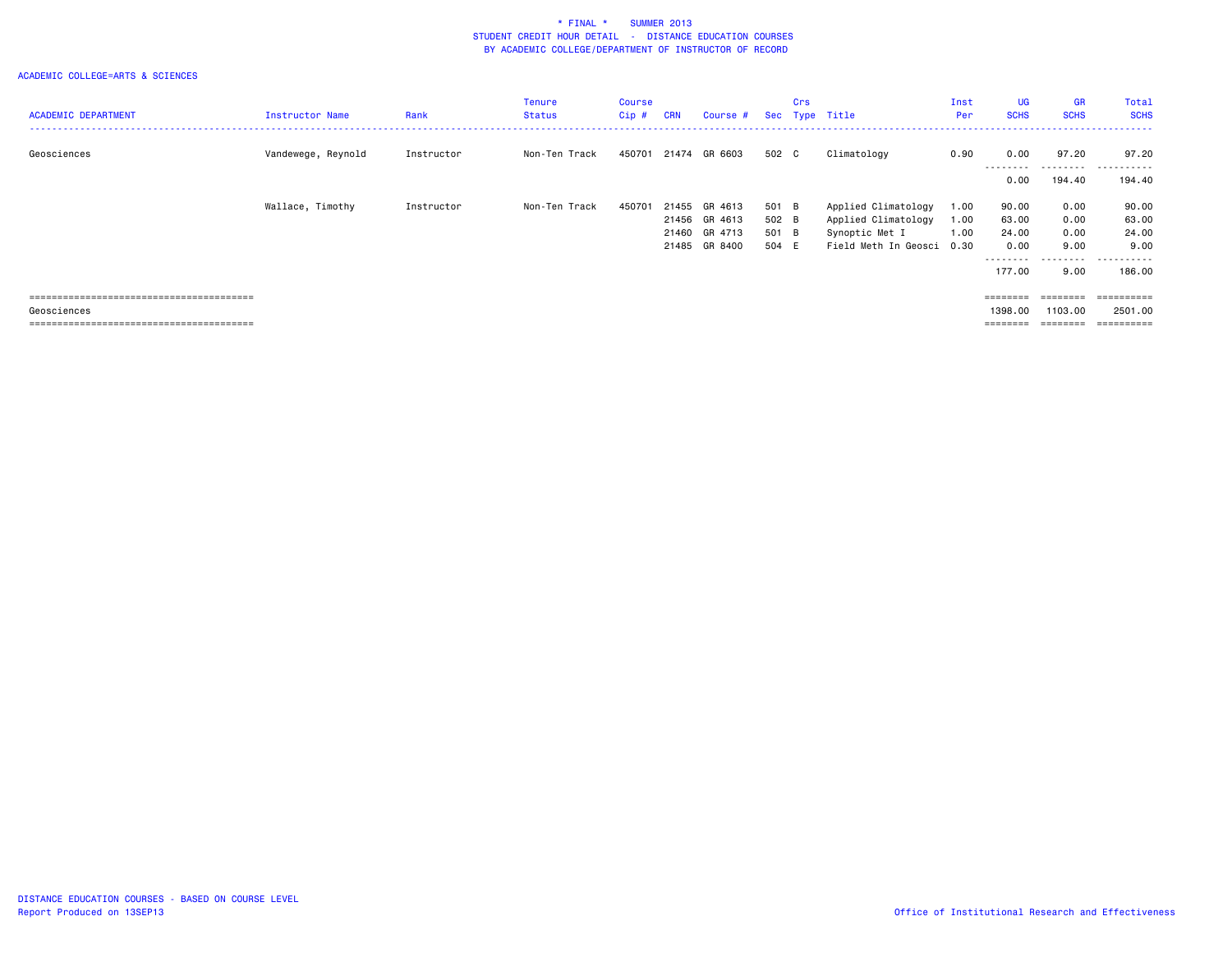| <b>ACADEMIC DEPARTMENT</b> | <b>Instructor Name</b> | Rank       | <b>Tenure</b><br><b>Status</b> | Course<br>$Cip$ # | <b>CRN</b> | Course #             |       | Crs | Sec Type Title            | Inst<br>Per | <b>UG</b><br><b>SCHS</b>                                                | <b>GR</b><br><b>SCHS</b> | Total<br><b>SCHS</b> |
|----------------------------|------------------------|------------|--------------------------------|-------------------|------------|----------------------|-------|-----|---------------------------|-------------|-------------------------------------------------------------------------|--------------------------|----------------------|
| Geosciences                | Vandewege, Reynold     | Instructor | Non-Ten Track                  |                   |            | 450701 21474 GR 6603 | 502 C |     | Climatology               | 0.90        | 0.00                                                                    | 97.20                    | 97.20                |
|                            |                        |            |                                |                   |            |                      |       |     |                           |             | ---------<br>0.00                                                       | ---------<br>194.40      | .<br>.<br>194.40     |
|                            | Wallace, Timothy       | Instructor | Non-Ten Track                  | 450701            | 21455      | GR 4613              | 501 B |     | Applied Climatology       | 1.00        | 90.00                                                                   | 0.00                     | 90.00                |
|                            |                        |            |                                |                   |            | 21456 GR 4613        | 502 B |     | Applied Climatology       | 1.00        | 63.00                                                                   | 0.00                     | 63.00                |
|                            |                        |            |                                |                   | 21460      | GR 4713              | 501 B |     | Synoptic Met I            | 1.00        | 24.00                                                                   | 0.00                     | 24.00                |
|                            |                        |            |                                |                   | 21485      | GR 8400              | 504 E |     | Field Meth In Geosci 0.30 |             | 0.00                                                                    | 9.00                     | 9.00                 |
|                            |                        |            |                                |                   |            |                      |       |     |                           |             | ---------                                                               | ---------                | .                    |
|                            |                        |            |                                |                   |            |                      |       |     |                           |             | 177.00                                                                  | 9.00                     | 186.00               |
|                            |                        |            |                                |                   |            |                      |       |     |                           |             |                                                                         |                          |                      |
|                            |                        |            |                                |                   |            |                      |       |     |                           |             | $= 222222222$                                                           | ========                 | ==========           |
| Geosciences                |                        |            |                                |                   |            |                      |       |     |                           |             | 1398,00                                                                 | 1103.00                  | 2501.00              |
|                            |                        |            |                                |                   |            |                      |       |     |                           |             | $\qquad \qquad \equiv \equiv \equiv \equiv \equiv \equiv \equiv \equiv$ | ========                 | ==========           |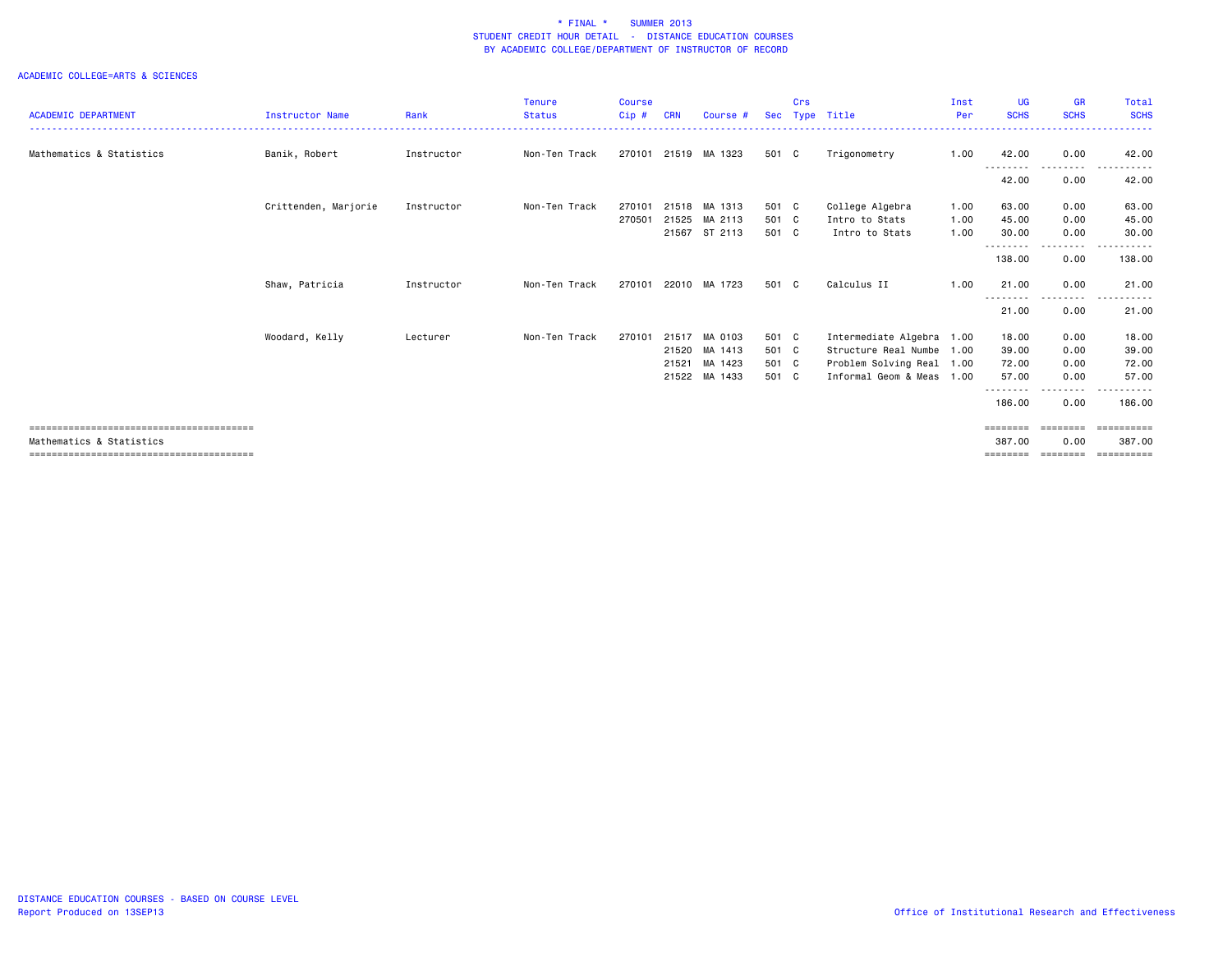|                            |                        |            | <b>Tenure</b> | <b>Course</b> |            |                      |       | Crs |                           | Inst | <b>UG</b>         | <b>GR</b>          | Total       |
|----------------------------|------------------------|------------|---------------|---------------|------------|----------------------|-------|-----|---------------------------|------|-------------------|--------------------|-------------|
| <b>ACADEMIC DEPARTMENT</b> | <b>Instructor Name</b> | Rank       | <b>Status</b> | Cip#          | <b>CRN</b> | Course #             |       |     | Sec Type Title            | Per  | <b>SCHS</b>       | <b>SCHS</b>        | <b>SCHS</b> |
| Mathematics & Statistics   | Banik, Robert          | Instructor | Non-Ten Track |               |            | 270101 21519 MA 1323 | 501 C |     | Trigonometry              | 1.00 | 42.00<br>.        | 0.00<br>.          | 42.00       |
|                            |                        |            |               |               |            |                      |       |     |                           |      | 42.00             | 0.00               | 42.00       |
|                            | Crittenden, Marjorie   | Instructor | Non-Ten Track | 270101        |            | 21518 MA 1313        | 501 C |     | College Algebra           | 1.00 | 63.00             | 0.00               | 63.00       |
|                            |                        |            |               | 270501        | 21525      | MA 2113              | 501 C |     | Intro to Stats            | 1.00 | 45.00             | 0.00               | 45.00       |
|                            |                        |            |               |               |            | 21567 ST 2113        | 501 C |     | Intro to Stats            | 1.00 | 30.00<br>.        | 0.00<br>. <b>.</b> | 30.00       |
|                            |                        |            |               |               |            |                      |       |     |                           |      | 138.00            | 0.00               | 138.00      |
|                            | Shaw, Patricia         | Instructor | Non-Ten Track | 270101        |            | 22010 MA 1723        | 501 C |     | Calculus II               | 1.00 | 21.00<br><u>.</u> | 0.00<br>.          | 21.00       |
|                            |                        |            |               |               |            |                      |       |     |                           |      | 21.00             | 0.00               | .<br>21.00  |
|                            | Woodard, Kelly         | Lecturer   | Non-Ten Track | 270101        | 21517      | MA 0103              | 501 C |     | Intermediate Algebra      | 1.00 | 18.00             | 0.00               | 18.00       |
|                            |                        |            |               |               | 21520      | MA 1413              | 501 C |     | Structure Real Numbe 1.00 |      | 39.00             | 0.00               | 39.00       |
|                            |                        |            |               |               | 21521      | MA 1423              | 501 C |     | Problem Solving Real 1.00 |      | 72.00             | 0.00               | 72.00       |
|                            |                        |            |               |               | 21522      | MA 1433              | 501 C |     | Informal Geom & Meas 1.00 |      | 57.00             | 0.00               | 57.00       |
|                            |                        |            |               |               |            |                      |       |     |                           |      | 186.00            | 0.00               | 186.00      |
|                            |                        |            |               |               |            |                      |       |     |                           |      | ========          | ========           | ==========  |
| Mathematics & Statistics   |                        |            |               |               |            |                      |       |     |                           |      | 387,00            | 0.00               | 387,00      |
|                            |                        |            |               |               |            |                      |       |     |                           |      | ========          | ========           | ==========  |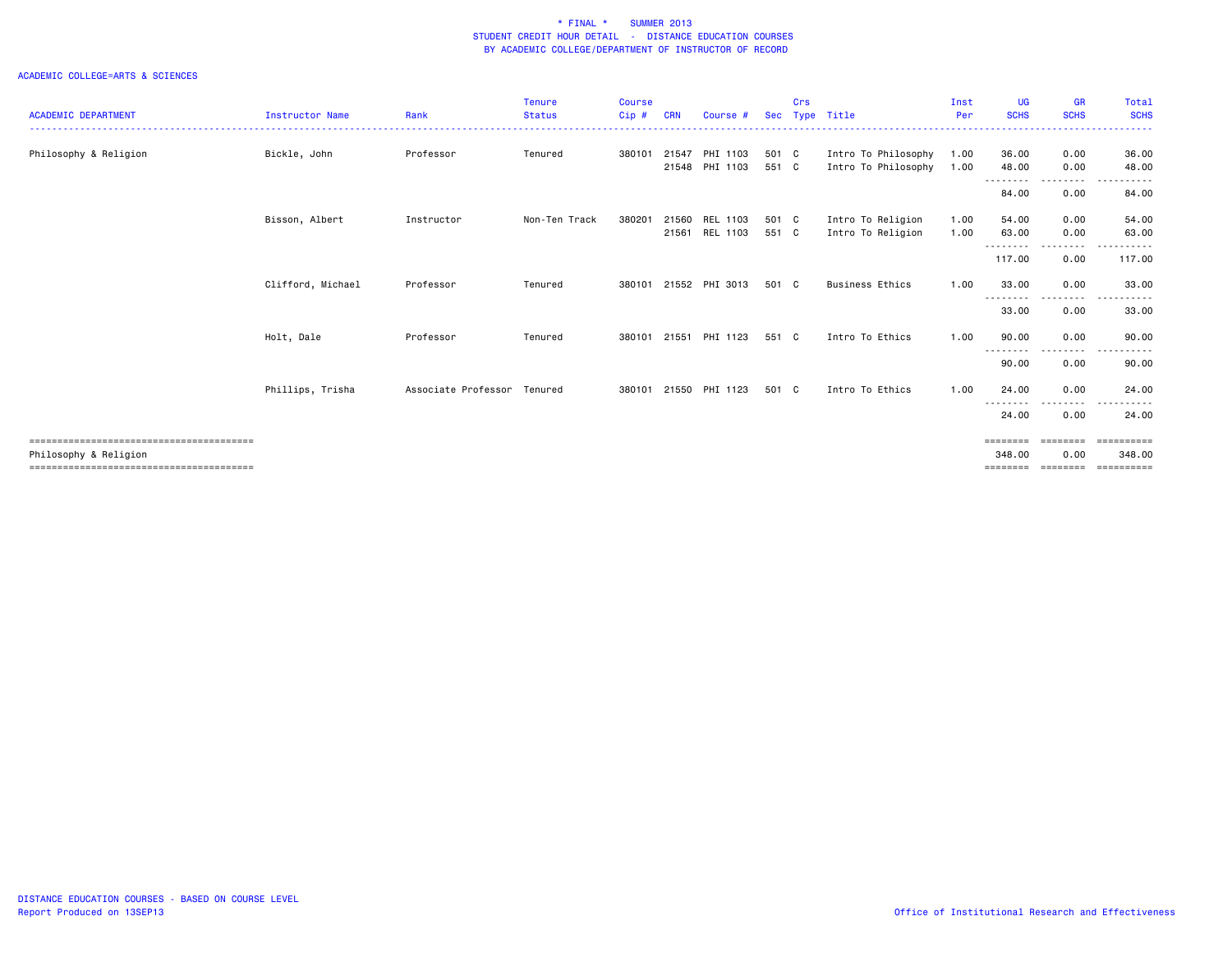|                            |                        |                             | <b>Tenure</b> | <b>Course</b> |            |                      |                | Crs |                                            | Inst         | <b>UG</b>                                                                                                                                                                                 | <b>GR</b>    | Total          |
|----------------------------|------------------------|-----------------------------|---------------|---------------|------------|----------------------|----------------|-----|--------------------------------------------|--------------|-------------------------------------------------------------------------------------------------------------------------------------------------------------------------------------------|--------------|----------------|
| <b>ACADEMIC DEPARTMENT</b> | <b>Instructor Name</b> | Rank                        | <b>Status</b> | $Cip$ #       | <b>CRN</b> | Course #             | Sec            |     | Type Title                                 | Per          | <b>SCHS</b>                                                                                                                                                                               | <b>SCHS</b>  | <b>SCHS</b>    |
|                            |                        |                             |               |               |            |                      |                |     |                                            |              |                                                                                                                                                                                           |              |                |
| Philosophy & Religion      | Bickle, John           | Professor                   | Tenured       | 380101 21547  | 21548      | PHI 1103<br>PHI 1103 | 501 C<br>551 C |     | Intro To Philosophy<br>Intro To Philosophy | 1.00<br>1.00 | 36.00<br>48.00                                                                                                                                                                            | 0.00<br>0.00 | 36.00<br>48.00 |
|                            |                        |                             |               |               |            |                      |                |     |                                            |              | --------                                                                                                                                                                                  | .            | $\frac{1}{2}$  |
|                            |                        |                             |               |               |            |                      |                |     |                                            |              | 84.00                                                                                                                                                                                     | 0.00         | 84.00          |
|                            | Bisson, Albert         | Instructor                  | Non-Ten Track | 380201        | 21560      | REL 1103             | 501 C          |     | Intro To Religion                          | 1.00         | 54.00                                                                                                                                                                                     | 0.00         | 54.00          |
|                            |                        |                             |               |               | 21561      | REL 1103             | 551 C          |     | Intro To Religion                          | 1.00         | 63.00                                                                                                                                                                                     | 0.00         | 63.00          |
|                            |                        |                             |               |               |            |                      |                |     |                                            |              | $\frac{1}{2} \left( \frac{1}{2} \right) \left( \frac{1}{2} \right) \left( \frac{1}{2} \right) \left( \frac{1}{2} \right) \left( \frac{1}{2} \right) \left( \frac{1}{2} \right)$<br>117.00 | 0.00         | 117.00         |
|                            | Clifford, Michael      | Professor                   | Tenured       | 380101        |            | 21552 PHI 3013       | 501 C          |     | <b>Business Ethics</b>                     | 1.00         | 33.00                                                                                                                                                                                     | 0.00         | 33.00          |
|                            |                        |                             |               |               |            |                      |                |     |                                            |              | ---------<br>33.00                                                                                                                                                                        | .<br>0.00    | 33.00          |
|                            | Holt, Dale             | Professor                   | Tenured       | 380101        | 21551      | PHI 1123             | 551 C          |     | Intro To Ethics                            | 1.00         | 90.00                                                                                                                                                                                     | 0.00         | 90.00          |
|                            |                        |                             |               |               |            |                      |                |     |                                            |              | 90.00                                                                                                                                                                                     | 0.00         | 90.00          |
|                            | Phillips, Trisha       | Associate Professor Tenured |               | 380101        | 21550      | PHI 1123             | 501 C          |     | Intro To Ethics                            | 1.00         | 24.00                                                                                                                                                                                     | 0.00         | 24.00          |
|                            |                        |                             |               |               |            |                      |                |     |                                            |              | 24.00                                                                                                                                                                                     | 0.00         | 24.00          |
|                            |                        |                             |               |               |            |                      |                |     |                                            |              | ========                                                                                                                                                                                  | ========     | ==========     |
| Philosophy & Religion      |                        |                             |               |               |            |                      |                |     |                                            |              | 348,00                                                                                                                                                                                    | 0.00         | 348,00         |
|                            |                        |                             |               |               |            |                      |                |     |                                            |              |                                                                                                                                                                                           |              | :======        |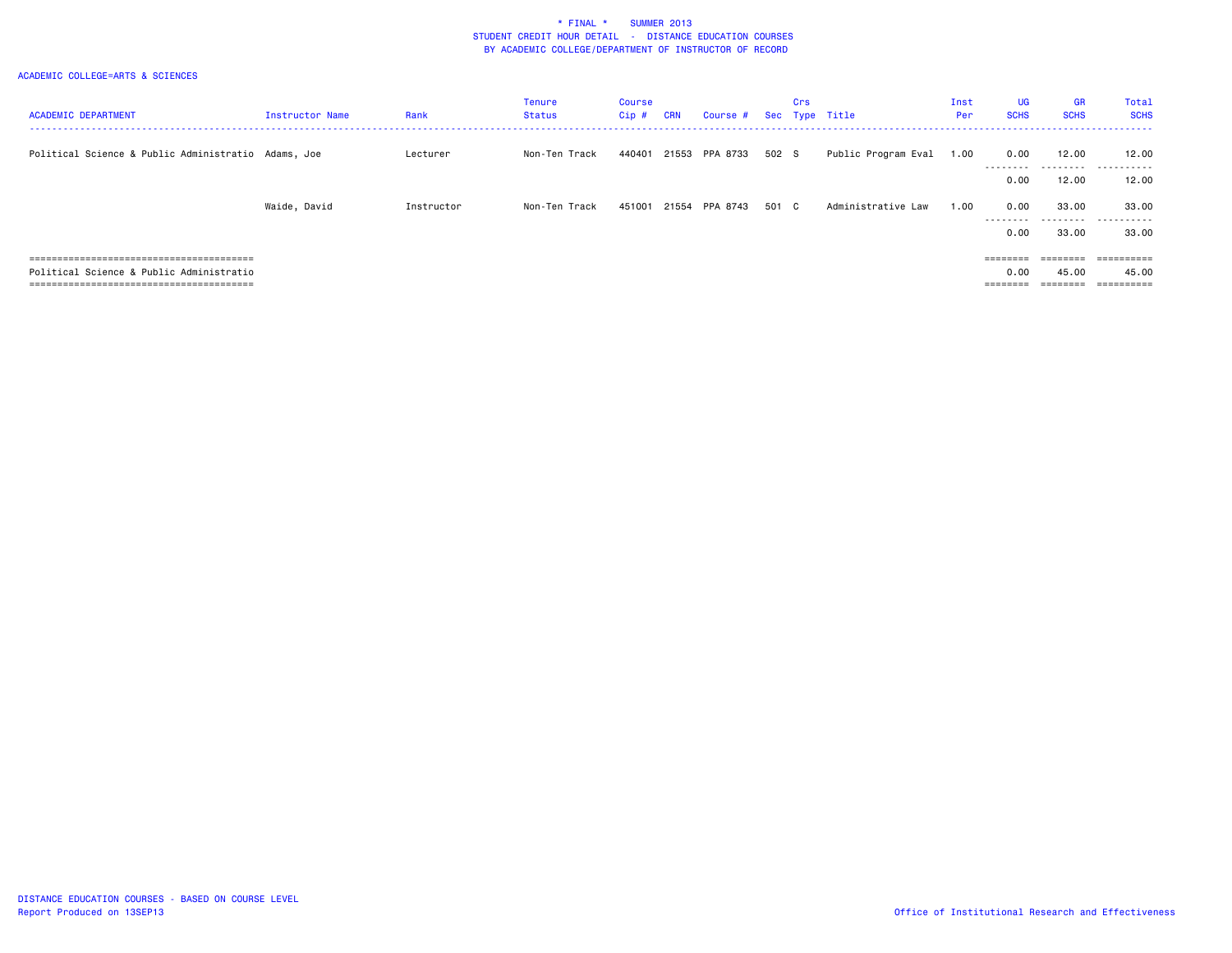| <b>ACADEMIC DEPARTMENT</b>                          | Instructor Name | Rank       | <b>Tenure</b><br><b>Status</b> | Course<br>Cip # | <b>CRN</b> | Course #       |       | Crs | Sec Type Title      | Inst<br>Per | <b>UG</b><br><b>SCHS</b> | <b>GR</b><br><b>SCHS</b> | Total<br><b>SCHS</b> |
|-----------------------------------------------------|-----------------|------------|--------------------------------|-----------------|------------|----------------|-------|-----|---------------------|-------------|--------------------------|--------------------------|----------------------|
| Political Science & Public Administratio Adams, Joe |                 | Lecturer   | Non-Ten Track                  | 440401          |            | 21553 PPA 8733 | 502 S |     | Public Program Eval | 1.00        | 0.00<br>---------        | 12.00<br>---------       | 12.00<br>.<br>----   |
|                                                     |                 |            |                                |                 |            |                |       |     |                     |             | 0.00                     | 12.00                    | 12.00                |
|                                                     | Waide, David    | Instructor | Non-Ten Track                  | 451001          | 21554      | PPA 8743       | 501 C |     | Administrative Law  | 1.00        | 0.00<br>---------        | 33.00<br>---------       | 33.00<br>.           |
|                                                     |                 |            |                                |                 |            |                |       |     |                     |             | 0.00                     | 33.00                    | 33.00                |
|                                                     |                 |            |                                |                 |            |                |       |     |                     |             | ========                 | $=$ = = = = = = =        | ==========           |
| Political Science & Public Administratio            |                 |            |                                |                 |            |                |       |     |                     |             | 0.00                     | 45.00                    | 45.00                |
|                                                     |                 |            |                                |                 |            |                |       |     |                     |             | =======                  |                          | ==========           |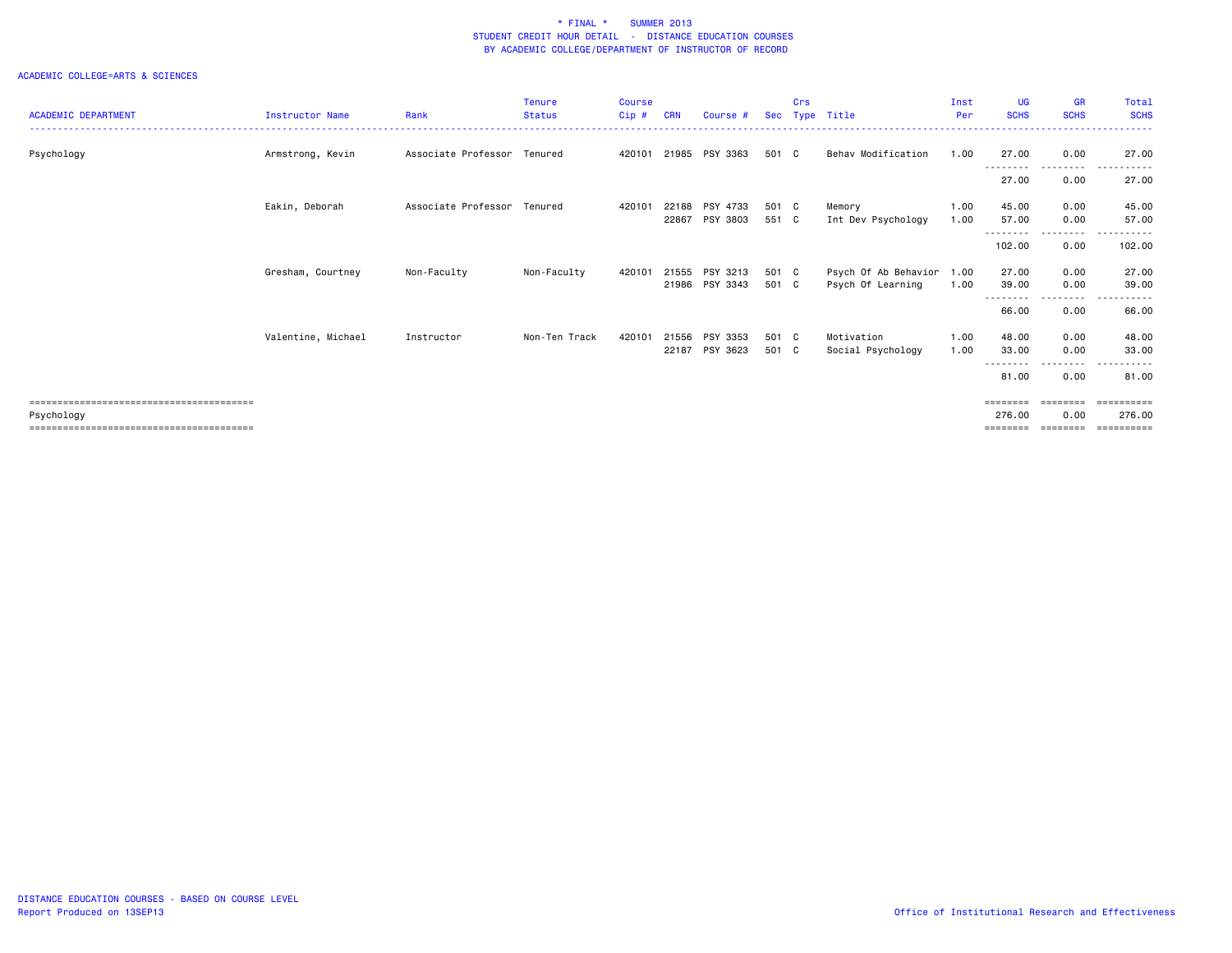| <b>ACADEMIC DEPARTMENT</b> | <b>Instructor Name</b> | Rank                        | <b>Tenure</b><br><b>Status</b> | <b>Course</b><br>Cip# | <b>CRN</b> | Course #       | <b>Sec</b> | Crs | Type Title           | Inst<br>Per | <b>UG</b><br><b>SCHS</b> | <b>GR</b><br><b>SCHS</b> | <b>Total</b><br><b>SCHS</b> |
|----------------------------|------------------------|-----------------------------|--------------------------------|-----------------------|------------|----------------|------------|-----|----------------------|-------------|--------------------------|--------------------------|-----------------------------|
|                            |                        |                             |                                |                       |            |                |            |     |                      |             |                          |                          |                             |
| Psychology                 | Armstrong, Kevin       | Associate Professor Tenured |                                | 420101                |            | 21985 PSY 3363 | 501 C      |     | Behav Modification   | 1.00        | 27.00<br><u>.</u>        | 0.00<br>---------        | 27.00<br>$- - -$<br>.       |
|                            |                        |                             |                                |                       |            |                |            |     |                      |             | 27.00                    | 0.00                     | 27.00                       |
|                            | Eakin, Deborah         | Associate Professor         | Tenured                        | 420101                | 22188      | PSY 4733       | 501 C      |     | Memory               | 1.00        | 45.00                    | 0.00                     | 45.00                       |
|                            |                        |                             |                                |                       | 22867      | PSY 3803       | 551 C      |     | Int Dev Psychology   | 1.00        | 57.00                    | 0.00                     | 57.00                       |
|                            |                        |                             |                                |                       |            |                |            |     |                      |             | .<br>102.00              | -----<br>0.00            | 102.00                      |
|                            | Gresham, Courtney      | Non-Faculty                 | Non-Faculty                    | 420101                | 21555      | PSY 3213       | 501 C      |     | Psych Of Ab Behavior | 1.00        | 27.00                    | 0.00                     | 27.00                       |
|                            |                        |                             |                                |                       |            | 21986 PSY 3343 | 501 C      |     | Psych Of Learning    | 1.00        | 39.00<br>.               | 0.00<br>$- - - -$        | 39.00                       |
|                            |                        |                             |                                |                       |            |                |            |     |                      |             | 66.00                    | 0.00                     | 66.00                       |
|                            | Valentine, Michael     | Instructor                  | Non-Ten Track                  | 420101                | 21556      | PSY 3353       | 501 C      |     | Motivation           | 1.00        | 48.00                    | 0.00                     | 48.00                       |
|                            |                        |                             |                                |                       | 22187      | PSY 3623       | 501 C      |     | Social Psychology    | 1.00        | 33.00                    | 0.00                     | 33.00                       |
|                            |                        |                             |                                |                       |            |                |            |     |                      |             | 81.00                    | $\cdots$<br>0.00         | 81.00                       |
|                            |                        |                             |                                |                       |            |                |            |     |                      |             | ========                 | ========                 | ==========                  |
| Psychology                 |                        |                             |                                |                       |            |                |            |     |                      |             | 276.00                   | 0.00                     | 276.00                      |
|                            |                        |                             |                                |                       |            |                |            |     |                      |             | ========                 | --------                 | ==========                  |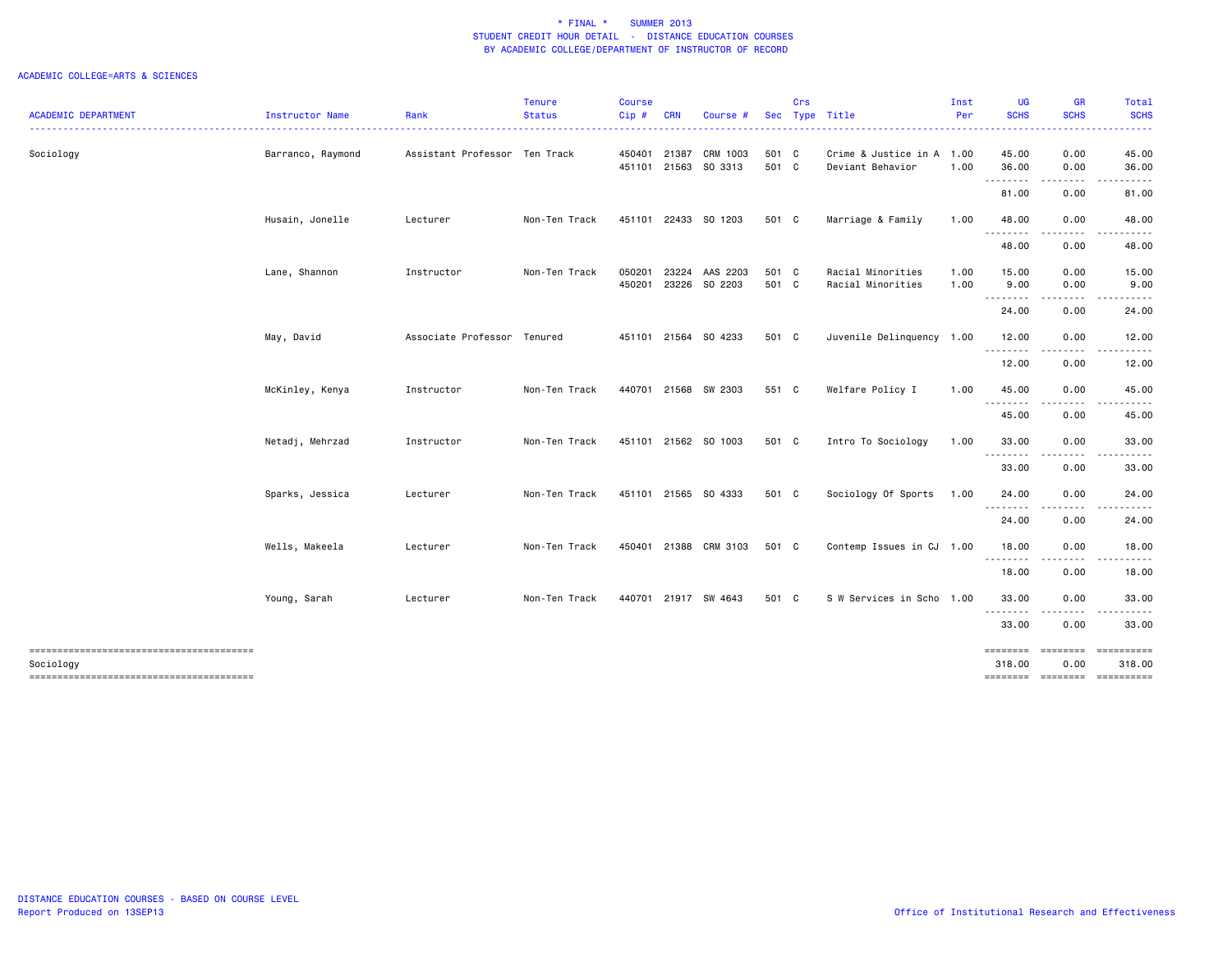|                                        |                   |                               | <b>Tenure</b> | Course           |            |                                  |                | Crs |                                               | Inst         | <b>UG</b>          | <b>GR</b>        | Total                |
|----------------------------------------|-------------------|-------------------------------|---------------|------------------|------------|----------------------------------|----------------|-----|-----------------------------------------------|--------------|--------------------|------------------|----------------------|
| <b>ACADEMIC DEPARTMENT</b>             | Instructor Name   | Rank                          | <b>Status</b> | $Cip$ #          | <b>CRN</b> | Course #                         |                |     | Sec Type Title                                | Per          | <b>SCHS</b>        | <b>SCHS</b>      | <b>SCHS</b>          |
| Sociology                              | Barranco, Raymond | Assistant Professor Ten Track |               | 450401           | 21387      | CRM 1003<br>451101 21563 SO 3313 | 501 C<br>501 C |     | Crime & Justice in A 1.00<br>Deviant Behavior | 1.00         | 45.00<br>36.00     | 0.00<br>0.00     | 45.00<br>36.00       |
|                                        |                   |                               |               |                  |            |                                  |                |     |                                               |              | .<br>81.00         | $\cdots$<br>0.00 | $\cdots$<br>81.00    |
|                                        | Husain, Jonelle   | Lecturer                      | Non-Ten Track |                  |            | 451101 22433 SO 1203             | 501 C          |     | Marriage & Family                             | 1.00         | 48.00              | 0.00             | 48.00                |
|                                        |                   |                               |               |                  |            |                                  |                |     |                                               |              | 48.00              | 0.00             | 48.00                |
|                                        | Lane, Shannon     | Instructor                    | Non-Ten Track | 050201<br>450201 | 23224      | AAS 2203<br>23226 SO 2203        | 501 C<br>501 C |     | Racial Minorities<br>Racial Minorities        | 1.00<br>1.00 | 15.00<br>9.00      | 0.00<br>0.00     | 15.00<br>9.00        |
|                                        |                   |                               |               |                  |            |                                  |                |     |                                               |              | 24.00              | 0.00             | 24.00                |
|                                        | May, David        | Associate Professor Tenured   |               |                  |            | 451101 21564 SO 4233             | 501 C          |     | Juvenile Delinquency 1.00                     |              | 12.00<br>.         | 0.00<br>.        | 12.00<br>.           |
|                                        |                   |                               |               |                  |            |                                  |                |     |                                               |              | 12.00              | 0.00             | 12.00                |
|                                        | McKinley, Kenya   | Instructor                    | Non-Ten Track |                  |            | 440701 21568 SW 2303             | 551 C          |     | Welfare Policy I                              | 1.00         | 45.00              | 0.00             | 45.00                |
|                                        |                   |                               |               |                  |            |                                  |                |     |                                               |              | 45.00              | 0.00             | 45.00                |
|                                        | Netadj, Mehrzad   | Instructor                    | Non-Ten Track |                  |            | 451101 21562 SO 1003             | 501 C          |     | Intro To Sociology                            | 1.00         | 33.00              | 0.00             | 33.00                |
|                                        |                   |                               |               |                  |            |                                  |                |     |                                               |              | 33.00              | 0.00             | 33.00                |
|                                        | Sparks, Jessica   | Lecturer                      | Non-Ten Track |                  |            | 451101 21565 SO 4333             | 501 C          |     | Sociology Of Sports                           | 1.00         | 24.00<br>.         | 0.00<br>.        | 24.00                |
|                                        |                   |                               |               |                  |            |                                  |                |     |                                               |              | 24.00              | 0.00             | 24.00                |
|                                        | Wells, Makeela    | Lecturer                      | Non-Ten Track |                  |            | 450401 21388 CRM 3103            | 501 C          |     | Contemp Issues in CJ 1.00                     |              | 18.00              | 0.00             | 18.00                |
|                                        |                   |                               |               |                  |            |                                  |                |     |                                               |              | 18.00              | 0.00             | 18.00                |
|                                        | Young, Sarah      | Lecturer                      | Non-Ten Track |                  |            | 440701 21917 SW 4643             | 501 C          |     | S W Services in Scho 1.00                     |              | 33.00<br>.         | 0.00<br>.        | 33.00                |
|                                        |                   |                               |               |                  |            |                                  |                |     |                                               |              | 33.00              | 0.00             | 33.00                |
| Sociology                              |                   |                               |               |                  |            |                                  |                |     |                                               |              | ========<br>318.00 | ========<br>0.00 | ==========<br>318.00 |
| -------------------------------------- |                   |                               |               |                  |            |                                  |                |     |                                               |              | ========           | ========         | ==========           |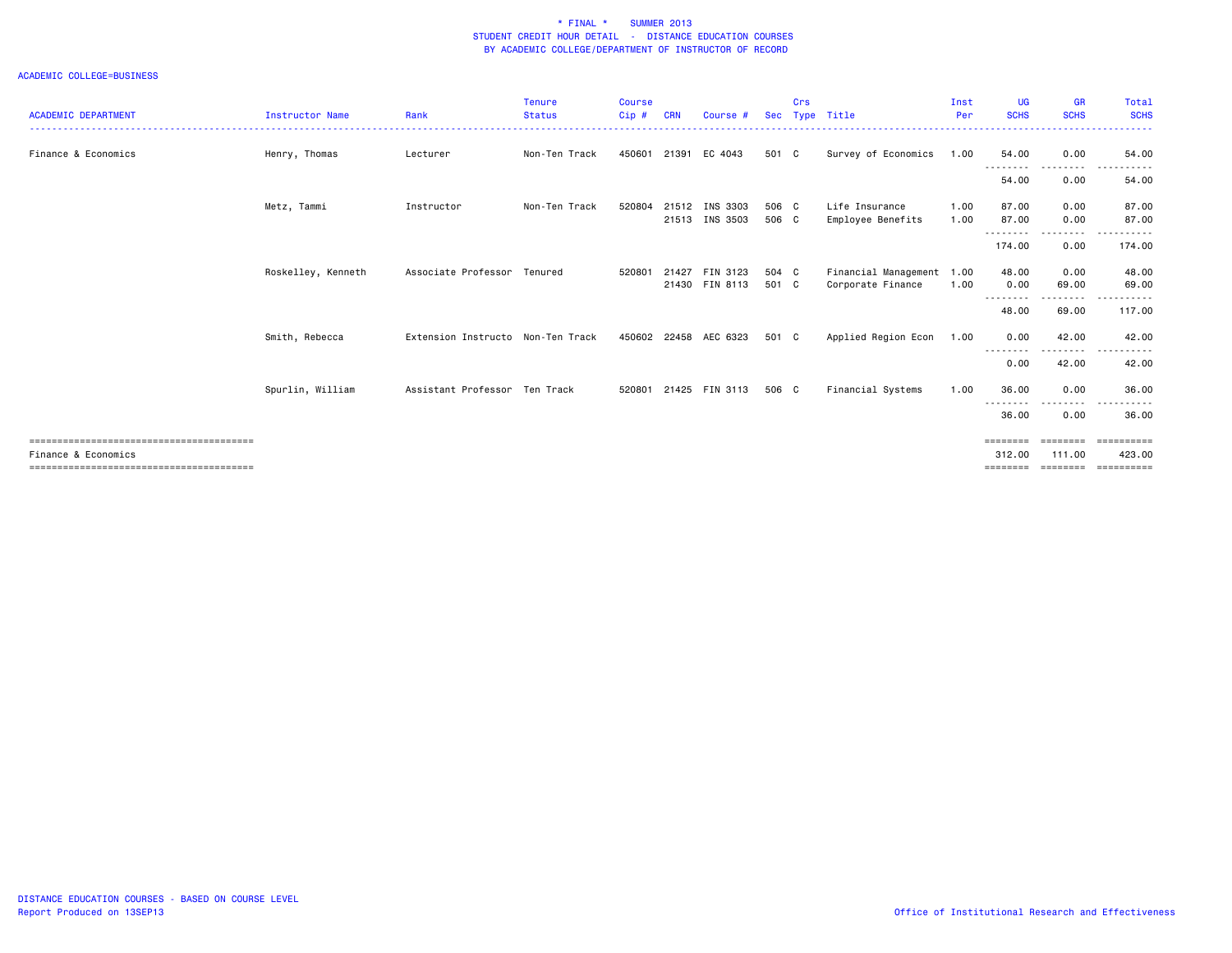| <b>ACADEMIC DEPARTMENT</b> | <b>Instructor Name</b> | Rank                              | <b>Tenure</b><br><b>Status</b> | <b>Course</b><br>Cip# | <b>CRN</b> | Course #                         | Sec            | Crs | Type Title                                     | Inst<br>Per  | <b>UG</b><br><b>SCHS</b>   | <b>GR</b><br><b>SCHS</b> | Total<br><b>SCHS</b>  |
|----------------------------|------------------------|-----------------------------------|--------------------------------|-----------------------|------------|----------------------------------|----------------|-----|------------------------------------------------|--------------|----------------------------|--------------------------|-----------------------|
|                            |                        |                                   |                                |                       |            |                                  |                |     |                                                |              |                            |                          |                       |
| Finance & Economics        | Henry, Thomas          | Lecturer                          | Non-Ten Track                  | 450601                |            | 21391 EC 4043                    | 501 C          |     | Survey of Economics                            | 1.00         | 54.00<br>--------          | 0.00<br>.                | 54.00                 |
|                            |                        |                                   |                                |                       |            |                                  |                |     |                                                |              | 54.00                      | 0.00                     | 54.00                 |
|                            | Metz, Tammi            | Instructor                        | Non-Ten Track                  | 520804                |            | 21512 INS 3303<br>21513 INS 3503 | 506 C<br>506 C |     | Life Insurance<br>Employee Benefits            | 1.00<br>1.00 | 87.00<br>87.00             | 0.00<br>0.00             | 87.00<br>87.00        |
|                            |                        |                                   |                                |                       |            |                                  |                |     |                                                |              | .<br>174.00                | $\cdots$<br>0.00         | 174.00                |
|                            | Roskelley, Kenneth     | Associate Professor Tenured       |                                | 520801                |            | 21427 FIN 3123<br>21430 FIN 8113 | 504 C<br>501 C |     | Financial Management 1.00<br>Corporate Finance | 1.00         | 48.00<br>0.00              | 0.00<br>69.00            | 48.00<br>69.00        |
|                            |                        |                                   |                                |                       |            |                                  |                |     |                                                |              | --------<br>48.00          | .<br>69.00               | 117.00                |
|                            | Smith, Rebecca         | Extension Instructo Non-Ten Track |                                | 450602                |            | 22458 AEC 6323                   | 501 C          |     | Applied Region Econ                            | 1.00         | 0.00<br>--------           | 42.00<br>-----           | 42.00                 |
|                            |                        |                                   |                                |                       |            |                                  |                |     |                                                |              | 0.00                       | 42.00                    | 42.00                 |
|                            | Spurlin, William       | Assistant Professor Ten Track     |                                | 520801                |            | 21425 FIN 3113                   | 506 C          |     | Financial Systems                              | 1.00         | 36.00<br>- - - - - - - - - | 0.00<br>. <b>.</b> .     | 36.00                 |
|                            |                        |                                   |                                |                       |            |                                  |                |     |                                                |              | 36.00                      | 0.00                     | 36.00                 |
|                            |                        |                                   |                                |                       |            |                                  |                |     |                                                |              |                            | ========                 | ==========            |
| Finance & Economics        |                        |                                   |                                |                       |            |                                  |                |     |                                                |              | 312.00<br>========         | 111.00<br>========       | 423.00<br>----------- |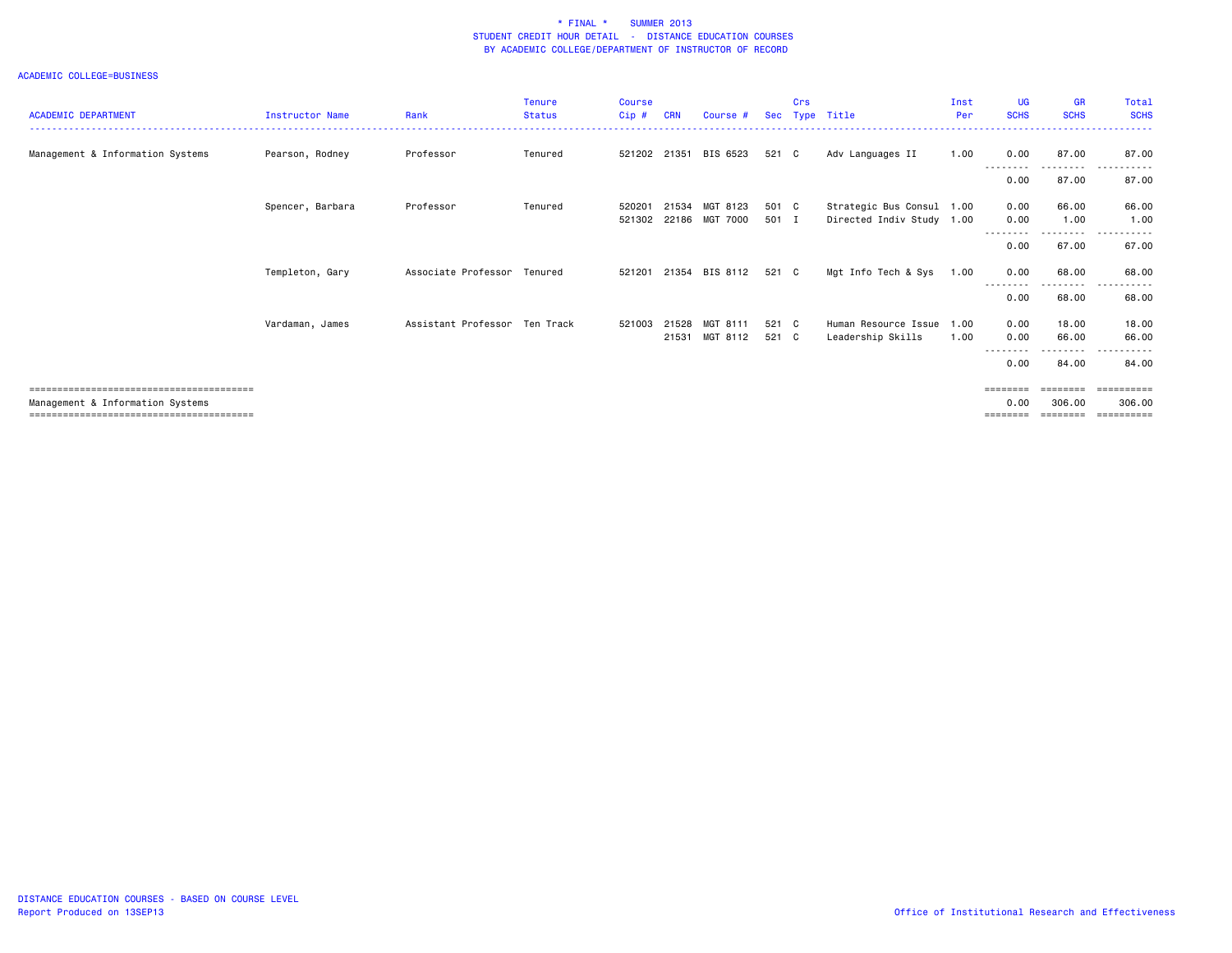|                                  |                        |                               | <b>Tenure</b> | <b>Course</b> |            |                       |       | Crs |                           | Inst | UG               | <b>GR</b>          | Total                 |
|----------------------------------|------------------------|-------------------------------|---------------|---------------|------------|-----------------------|-------|-----|---------------------------|------|------------------|--------------------|-----------------------|
| <b>ACADEMIC DEPARTMENT</b>       | <b>Instructor Name</b> | Rank                          | <b>Status</b> | Cip#          | <b>CRN</b> | Course #              | Sec   |     | Type Title                | Per  | <b>SCHS</b>      | <b>SCHS</b>        | <b>SCHS</b>           |
|                                  |                        |                               |               |               |            |                       |       |     |                           |      |                  |                    |                       |
| Management & Information Systems | Pearson, Rodney        | Professor                     | Tenured       |               |            | 521202 21351 BIS 6523 | 521 C |     | Adv Languages II          | 1.00 | 0.00             | 87.00              | 87.00                 |
|                                  |                        |                               |               |               |            |                       |       |     |                           |      | .                | ---------          | .<br>$  -$            |
|                                  |                        |                               |               |               |            |                       |       |     |                           |      | 0.00             | 87.00              | 87.00                 |
|                                  | Spencer, Barbara       | Professor                     | Tenured       | 520201        | 21534      | MGT 8123              | 501 C |     | Strategic Bus Consul 1.00 |      | 0.00             | 66.00              | 66.00                 |
|                                  |                        |                               |               | 521302        | 22186      | MGT 7000              | 501 I |     | Directed Indiv Study 1.00 |      | 0.00             | 1.00               | 1.00                  |
|                                  |                        |                               |               |               |            |                       |       |     |                           |      | .<br>0.00        | .<br>67.00         | 67.00                 |
|                                  |                        |                               |               |               |            |                       |       |     |                           |      |                  |                    |                       |
|                                  | Templeton, Gary        | Associate Professor           | Tenured       | 521201        | 21354      | BIS 8112              | 521 C |     | Mgt Info Tech & Sys       | 1.00 | 0.00             | 68.00              | 68.00                 |
|                                  |                        |                               |               |               |            |                       |       |     |                           |      | --------<br>0.00 | ---------<br>68.00 | .<br>$- - -$<br>68.00 |
|                                  |                        |                               |               |               |            |                       |       |     |                           |      |                  |                    |                       |
|                                  | Vardaman, James        | Assistant Professor Ten Track |               | 521003        | 21528      | MGT 8111              | 521 C |     | Human Resource Issue      | 1.00 | 0.00             | 18.00              | 18.00                 |
|                                  |                        |                               |               |               | 21531      | MGT 8112              | 521 C |     | Leadership Skills         | 1.00 | 0.00             | 66.00              | 66.00                 |
|                                  |                        |                               |               |               |            |                       |       |     |                           |      | 0.00             | .<br>84.00         | 84.00                 |
|                                  |                        |                               |               |               |            |                       |       |     |                           |      |                  |                    |                       |
|                                  |                        |                               |               |               |            |                       |       |     |                           |      |                  | ========           | ==========            |
| Management & Information Systems |                        |                               |               |               |            |                       |       |     |                           |      | 0.00             | 306,00             | 306,00<br>==========  |
|                                  |                        |                               |               |               |            |                       |       |     |                           |      | ========         |                    |                       |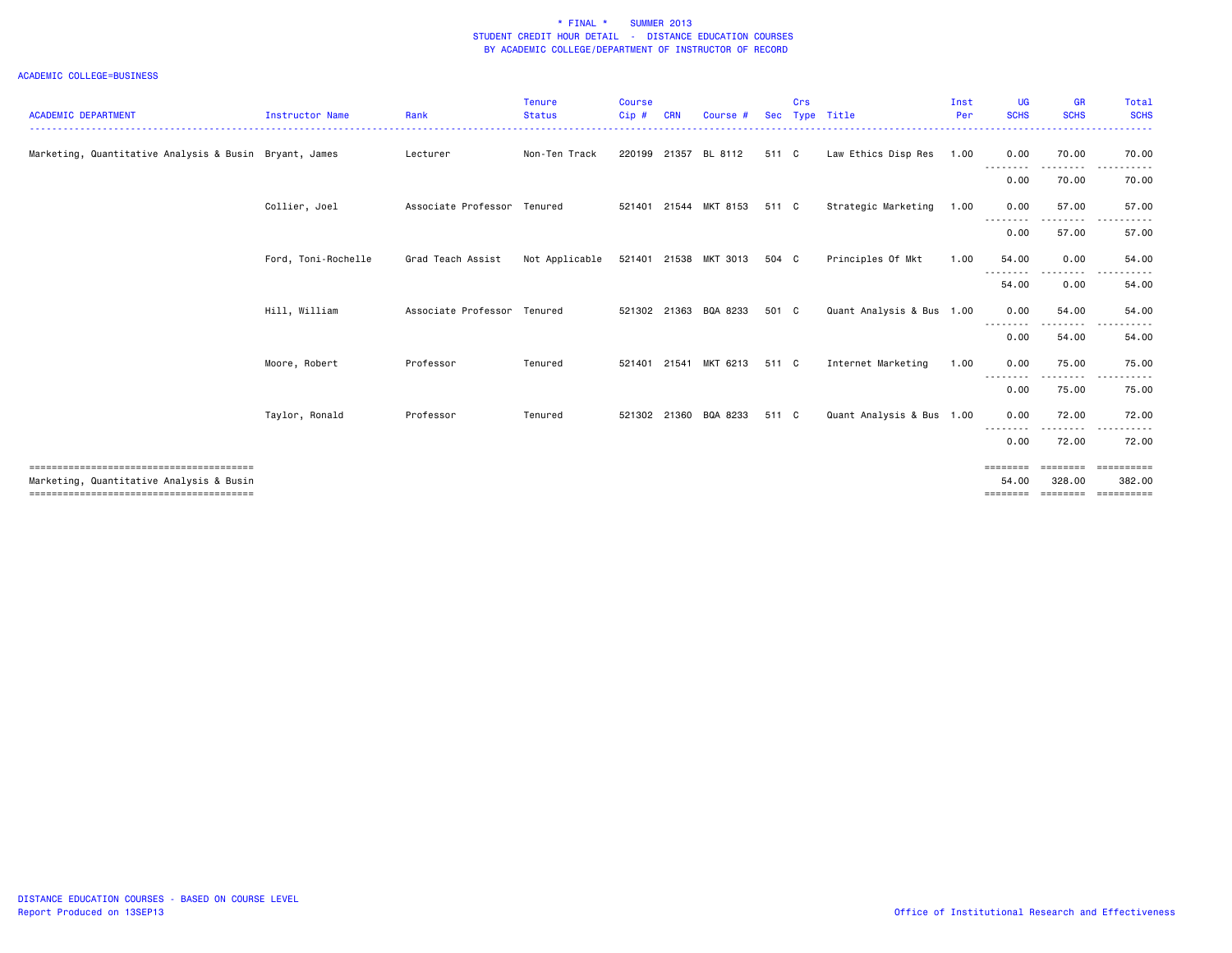| <b>ACADEMIC DEPARTMENT</b>                             | <b>Instructor Name</b> | Rank                        | <b>Tenure</b><br><b>Status</b> | <b>Course</b><br>Cip# | CRN   | Course #              | <b>Sec</b> | Crs | Type Title                | Inst<br>Per | UG<br><b>SCHS</b> | <b>GR</b><br><b>SCHS</b> | Total<br><b>SCHS</b> |
|--------------------------------------------------------|------------------------|-----------------------------|--------------------------------|-----------------------|-------|-----------------------|------------|-----|---------------------------|-------------|-------------------|--------------------------|----------------------|
|                                                        |                        |                             |                                |                       |       |                       |            |     |                           |             |                   |                          |                      |
| Marketing, Quantitative Analysis & Busin Bryant, James |                        | Lecturer                    | Non-Ten Track                  | 220199                | 21357 | BL 8112               | 511 C      |     | Law Ethics Disp Res       | 1.00        | 0.00<br>--------  | 70.00                    | 70.00                |
|                                                        |                        |                             |                                |                       |       |                       |            |     |                           |             | 0.00              | 70.00                    | 70.00                |
|                                                        | Collier, Joel          | Associate Professor Tenured |                                |                       |       | 521401 21544 MKT 8153 | 511 C      |     | Strategic Marketing       | 1.00        | 0.00              | 57.00<br>. <u>.</u>      | 57.00                |
|                                                        |                        |                             |                                |                       |       |                       |            |     |                           |             | 0.00              | 57.00                    | 57.00                |
|                                                        | Ford, Toni-Rochelle    | Grad Teach Assist           | Not Applicable                 |                       |       | 521401 21538 MKT 3013 | 504 C      |     | Principles Of Mkt         | 1.00        | 54.00             | 0.00                     | 54.00                |
|                                                        |                        |                             |                                |                       |       |                       |            |     |                           |             | 54.00             | 0.00                     | 54.00                |
|                                                        | Hill, William          | Associate Professor         | Tenured                        |                       |       | 521302 21363 BQA 8233 | 501 C      |     | Quant Analysis & Bus 1.00 |             | 0.00<br>--------  | 54.00                    | 54.00                |
|                                                        |                        |                             |                                |                       |       |                       |            |     |                           |             | 0.00              | 54.00                    | 54.00                |
|                                                        | Moore, Robert          | Professor                   | Tenured                        | 521401                | 21541 | MKT 6213              | 511 C      |     | Internet Marketing        | 1.00        | 0.00              | 75.00                    | 75.00                |
|                                                        |                        |                             |                                |                       |       |                       |            |     |                           |             | 0.00              | 75.00                    | 75.00                |
|                                                        | Taylor, Ronald         | Professor                   | Tenured                        | 521302                |       | 21360 BQA 8233        | 511 C      |     | Quant Analysis & Bus 1.00 |             | 0.00              | 72.00<br>. <b>.</b> .    | 72.00<br>.           |
|                                                        |                        |                             |                                |                       |       |                       |            |     |                           |             | 0.00              | 72.00                    | 72.00                |
| Marketing, Quantitative Analysis & Busin               |                        |                             |                                |                       |       |                       |            |     |                           |             | ========<br>54.00 | ========<br>328,00       | ==========<br>382.00 |
|                                                        |                        |                             |                                |                       |       |                       |            |     |                           |             | ========          | ========                 |                      |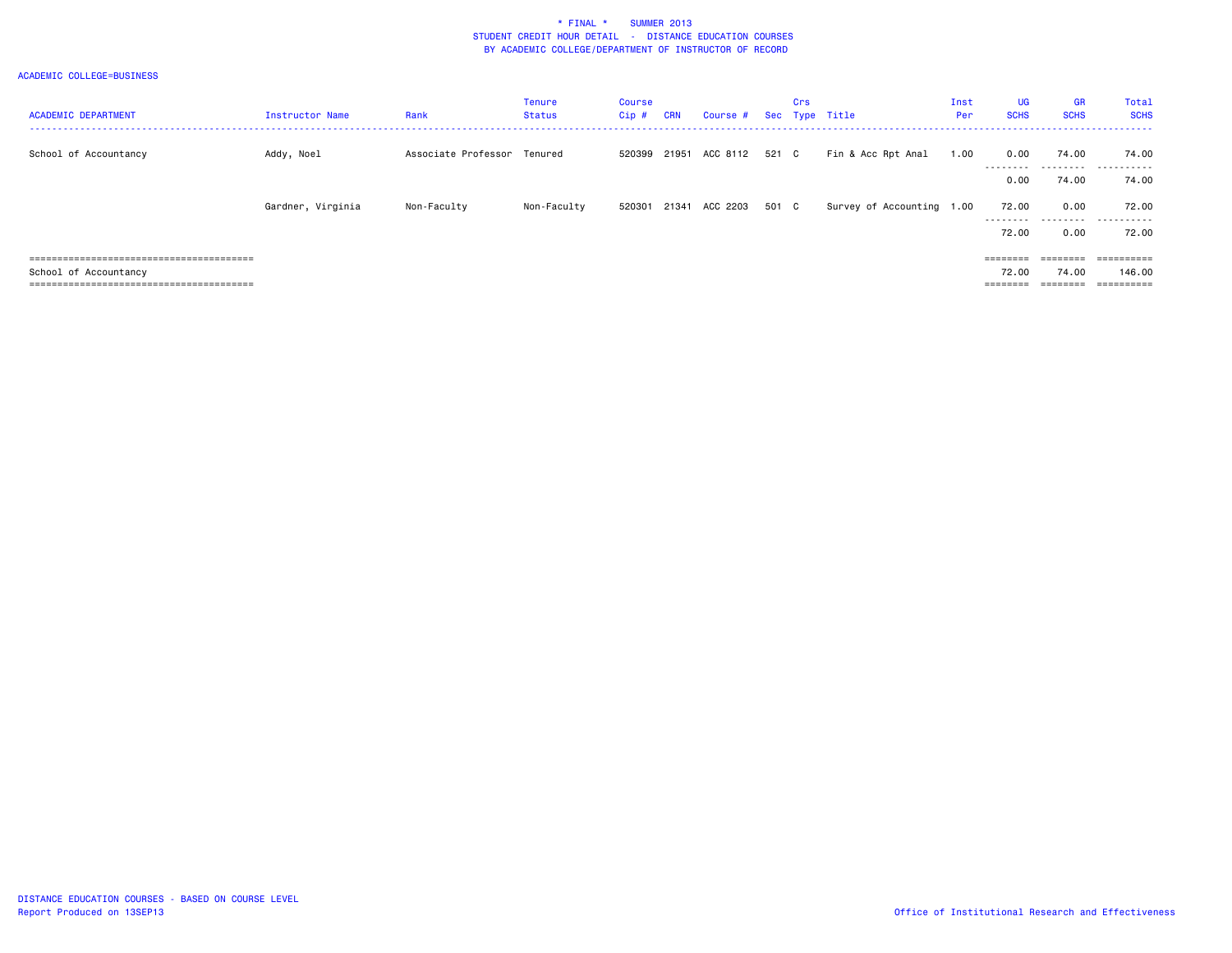| <b>ACADEMIC DEPARTMENT</b> | <b>Instructor Name</b> | Rank                        | <b>Tenure</b><br>Status | Course<br>Cip# | <b>CRN</b> | Course # Sec Type Title |       | Crs |                           | Inst<br>Per | <b>UG</b><br><b>SCHS</b> | <b>GR</b><br><b>SCHS</b> | Total<br><b>SCHS</b>   |
|----------------------------|------------------------|-----------------------------|-------------------------|----------------|------------|-------------------------|-------|-----|---------------------------|-------------|--------------------------|--------------------------|------------------------|
| School of Accountancy      | Addy, Noel             | Associate Professor Tenured |                         | 520399         | 21951      | ACC 8112                | 521 C |     | Fin & Acc Rpt Anal        | 1.00        | 0.00                     | 74.00                    | 74.00                  |
|                            |                        |                             |                         |                |            |                         |       |     |                           |             | ---------<br>0.00        | .<br>74.00               | .<br>74.00             |
|                            | Gardner, Virginia      | Non-Faculty                 | Non-Faculty             | 520301         | 21341      | ACC 2203                | 501 C |     | Survey of Accounting 1.00 |             | 72.00<br>---------       | 0.00<br>.                | 72.00<br>------<br>--- |
|                            |                        |                             |                         |                |            |                         |       |     |                           |             | 72.00                    | 0.00                     | 72.00                  |
|                            |                        |                             |                         |                |            |                         |       |     |                           |             | $=$ = = = = = = =        | ========                 | ==========             |
| School of Accountancy      |                        |                             |                         |                |            |                         |       |     |                           |             | 72.00                    | 74.00                    | 146.00                 |
|                            |                        |                             |                         |                |            |                         |       |     |                           |             |                          |                          | ==========             |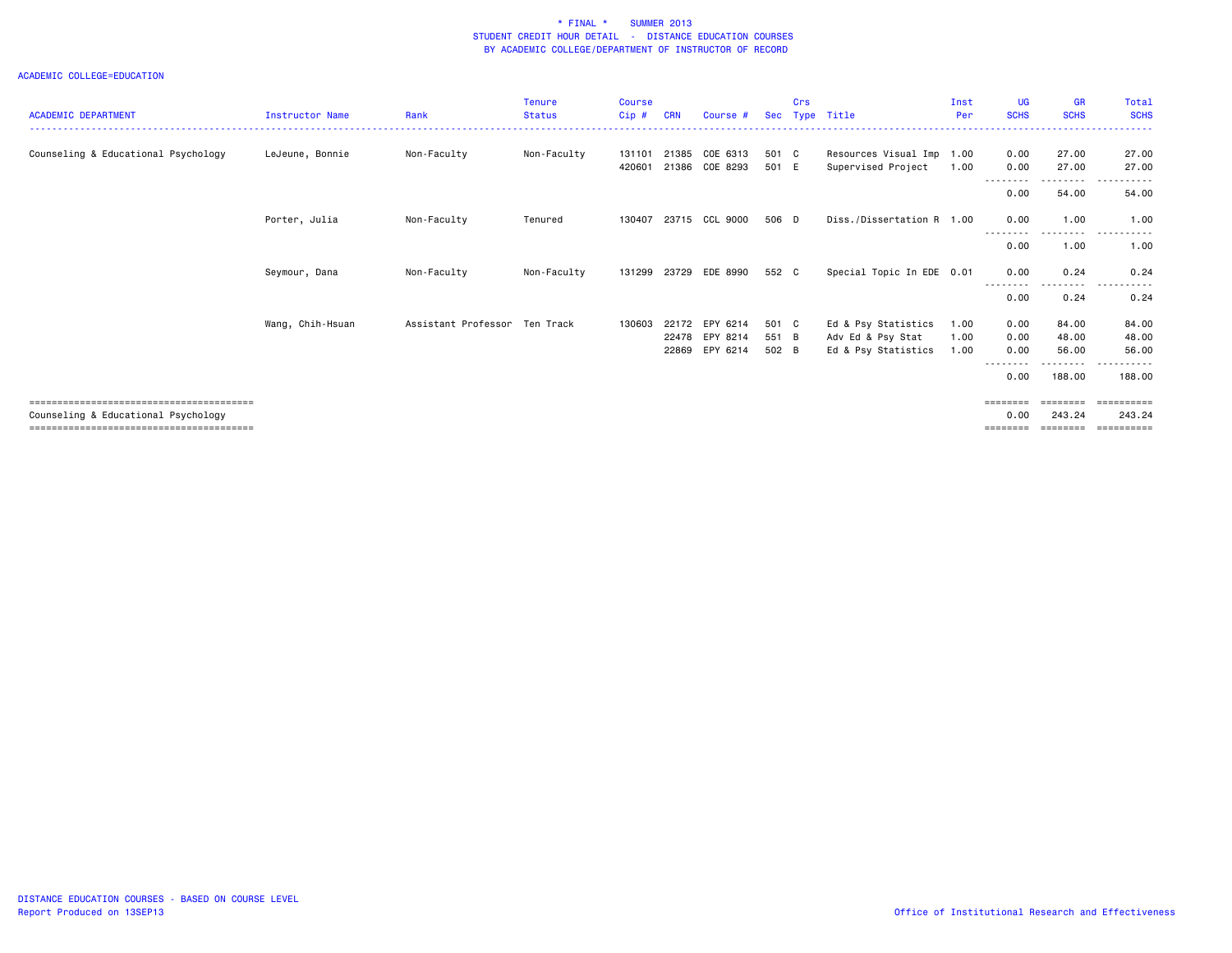| <b>ACADEMIC DEPARTMENT</b>          | <b>Instructor Name</b> | Rank                          | <b>Tenure</b><br><b>Status</b> | <b>Course</b><br>Cip# | CRN | Course #       | Sec   | Crs<br>Type | Title                     | Inst<br>Per | <b>UG</b><br><b>SCHS</b> | <b>GR</b><br><b>SCHS</b> | Total<br><b>SCHS</b>  |
|-------------------------------------|------------------------|-------------------------------|--------------------------------|-----------------------|-----|----------------|-------|-------------|---------------------------|-------------|--------------------------|--------------------------|-----------------------|
|                                     |                        |                               |                                |                       |     |                |       |             |                           |             |                          |                          |                       |
| Counseling & Educational Psychology | LeJeune, Bonnie        | Non-Faculty                   | Non-Faculty                    | 131101                |     | 21385 COE 6313 | 501 C |             | Resources Visual Imp 1.00 |             | 0.00                     | 27.00                    | 27.00                 |
|                                     |                        |                               |                                | 420601                |     | 21386 COE 8293 | 501 E |             | Supervised Project        | 1.00        | 0.00                     | 27.00                    | 27.00                 |
|                                     |                        |                               |                                |                       |     |                |       |             |                           |             | .<br>0.00                | . <b>.</b><br>54.00      | .<br>54.00            |
|                                     | Porter, Julia          | Non-Faculty                   | Tenured                        | 130407                |     | 23715 CCL 9000 | 506 D |             | Diss./Dissertation R 1.00 |             | 0.00                     | 1.00<br>.                | 1.00                  |
|                                     |                        |                               |                                |                       |     |                |       |             |                           |             | 0.00                     | 1.00                     | 1.00                  |
|                                     | Seymour, Dana          | Non-Faculty                   | Non-Faculty                    | 131299                |     | 23729 EDE 8990 | 552 C |             | Special Topic In EDE 0.01 |             | 0.00<br><u>.</u>         | 0.24<br>. <u>.</u> .     | 0.24                  |
|                                     |                        |                               |                                |                       |     |                |       |             |                           |             | 0.00                     | 0.24                     | 0.24                  |
|                                     | Wang, Chih-Hsuan       | Assistant Professor Ten Track |                                | 130603                |     | 22172 EPY 6214 | 501 C |             | Ed & Psy Statistics       | 1.00        | 0.00                     | 84.00                    | 84.00                 |
|                                     |                        |                               |                                |                       |     | 22478 EPY 8214 | 551 B |             | Adv Ed & Psy Stat         | 1.00        | 0.00                     | 48.00                    | 48.00                 |
|                                     |                        |                               |                                |                       |     | 22869 EPY 6214 | 502 B |             | Ed & Psy Statistics       | 1.00        | 0.00                     | 56.00                    | 56.00                 |
|                                     |                        |                               |                                |                       |     |                |       |             |                           |             | 0.00                     | $\cdots$<br>188,00       | 188,00                |
|                                     |                        |                               |                                |                       |     |                |       |             |                           |             | ========                 |                          | $=$ = = = = = = = = = |
| Counseling & Educational Psychology |                        |                               |                                |                       |     |                |       |             |                           |             | 0.00<br>========         | 243.24<br>========       | 243.24<br>==========  |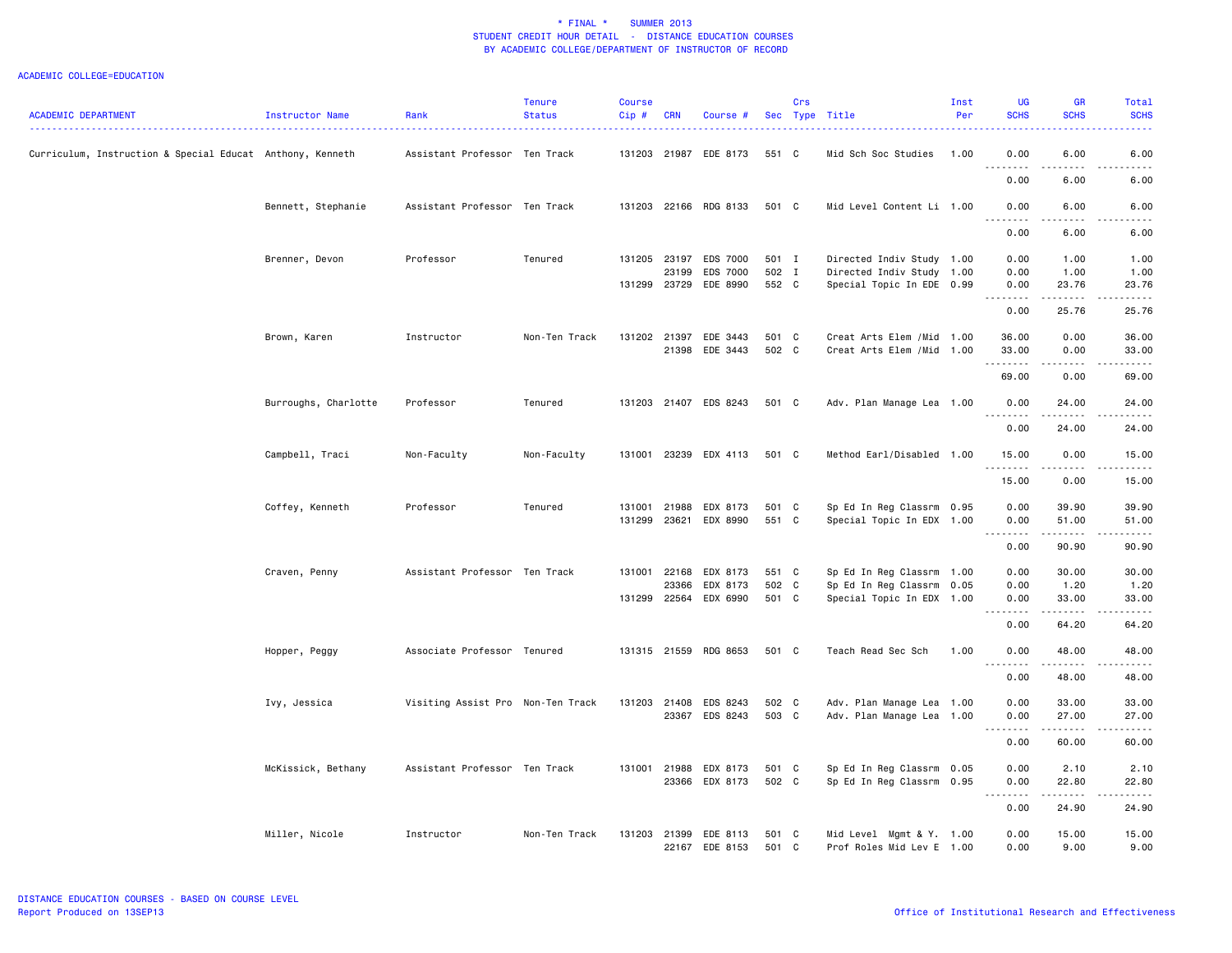| <b>ACADEMIC DEPARTMENT</b>                                | Instructor Name      | Rank                              | <b>Tenure</b><br><b>Status</b> | <b>Course</b><br>Cip# | <b>CRN</b>            | Course                | Sec            | Crs | Type Title                                             | Inst<br>Per | <b>UG</b><br><b>SCHS</b>     | <b>GR</b><br><b>SCHS</b> | Total<br><b>SCHS</b>                                                                                                                                          |
|-----------------------------------------------------------|----------------------|-----------------------------------|--------------------------------|-----------------------|-----------------------|-----------------------|----------------|-----|--------------------------------------------------------|-------------|------------------------------|--------------------------|---------------------------------------------------------------------------------------------------------------------------------------------------------------|
| Curriculum, Instruction & Special Educat Anthony, Kenneth |                      | Assistant Professor Ten Track     |                                | 131203                | 21987                 | EDE 8173              | 551 C          |     | Mid Sch Soc Studies                                    | 1.00        | 0.00<br>$\sim$ $\sim$ $\sim$ | 6.00                     | 6.00<br>-----                                                                                                                                                 |
|                                                           |                      |                                   |                                |                       |                       |                       |                |     |                                                        |             | 0.00                         | 6.00                     | 6.00                                                                                                                                                          |
|                                                           | Bennett, Stephanie   | Assistant Professor Ten Track     |                                | 131203                |                       | 22166 RDG 8133        | 501 C          |     | Mid Level Content Li 1.00                              |             | 0.00                         | 6.00<br>.                | 6.00<br>$\frac{1}{2} \left( \frac{1}{2} \right) \left( \frac{1}{2} \right) \left( \frac{1}{2} \right) \left( \frac{1}{2} \right) \left( \frac{1}{2} \right)$  |
|                                                           |                      |                                   |                                |                       |                       |                       |                |     |                                                        |             | 0.00                         | 6.00                     | 6.00                                                                                                                                                          |
|                                                           | Brenner, Devon       | Professor                         | Tenured                        |                       | 131205 23197          | EDS 7000              | 501 I          |     | Directed Indiv Study 1.00                              |             | 0.00                         | 1.00                     | 1.00                                                                                                                                                          |
|                                                           |                      |                                   |                                | 131299                | 23199<br>23729        | EDS 7000<br>EDE 8990  | 502 I<br>552 C |     | Directed Indiv Study 1.00<br>Special Topic In EDE 0.99 |             | 0.00<br>0.00                 | 1.00<br>23.76            | 1.00<br>23.76                                                                                                                                                 |
|                                                           |                      |                                   |                                |                       |                       |                       |                |     |                                                        |             | .<br>0.00                    | .<br>25.76               | $\frac{1}{2} \left( \frac{1}{2} \right) \left( \frac{1}{2} \right) \left( \frac{1}{2} \right) \left( \frac{1}{2} \right) \left( \frac{1}{2} \right)$<br>25.76 |
|                                                           |                      |                                   | Non-Ten Track                  |                       | 131202 21397          | EDE 3443              | 501 C          |     | Creat Arts Elem / Mid 1.00                             |             | 36.00                        | 0.00                     | 36.00                                                                                                                                                         |
|                                                           | Brown, Karen         | Instructor                        |                                |                       | 21398                 | EDE 3443              | 502 C          |     | Creat Arts Elem / Mid 1.00                             |             | 33.00                        | 0.00                     | 33.00                                                                                                                                                         |
|                                                           |                      |                                   |                                |                       |                       |                       |                |     |                                                        |             | .<br>69.00                   | .<br>0.00                | $\frac{1}{2} \left( \frac{1}{2} \right) \left( \frac{1}{2} \right) \left( \frac{1}{2} \right) \left( \frac{1}{2} \right) \left( \frac{1}{2} \right)$<br>69.00 |
|                                                           | Burroughs, Charlotte | Professor                         | Tenured                        |                       |                       | 131203 21407 EDS 8243 | 501 C          |     | Adv. Plan Manage Lea 1.00                              |             | 0.00                         | 24.00                    | 24.00                                                                                                                                                         |
|                                                           |                      |                                   |                                |                       |                       |                       |                |     |                                                        |             | .<br>0.00                    | . <u>.</u><br>24.00      | .<br>24.00                                                                                                                                                    |
|                                                           | Campbell, Traci      | Non-Faculty                       | Non-Faculty                    | 131001                |                       | 23239 EDX 4113        | 501 C          |     | Method Earl/Disabled 1.00                              |             | 15.00                        | 0.00                     | 15.00                                                                                                                                                         |
|                                                           |                      |                                   |                                |                       |                       |                       |                |     |                                                        |             | .<br>15.00                   | .<br>0.00                | .<br>15.00                                                                                                                                                    |
|                                                           | Coffey, Kenneth      | Professor                         | Tenured                        | 131001                | 21988                 | EDX 8173              | 501 C          |     | Sp Ed In Reg Classrm 0.95                              |             | 0.00                         | 39.90                    | 39.90                                                                                                                                                         |
|                                                           |                      |                                   |                                | 131299                | 23621                 | EDX 8990              | 551 C          |     | Special Topic In EDX 1.00                              |             | 0.00<br>.                    | 51.00<br>$\cdots$        | 51.00<br>.                                                                                                                                                    |
|                                                           |                      |                                   |                                |                       |                       |                       |                |     |                                                        |             | 0.00                         | 90.90                    | 90.90                                                                                                                                                         |
|                                                           | Craven, Penny        | Assistant Professor Ten Track     |                                |                       | 131001 22168          | EDX 8173              | 551 C          |     | Sp Ed In Reg Classrm 1.00                              |             | 0.00                         | 30.00                    | 30.00                                                                                                                                                         |
|                                                           |                      |                                   |                                | 131299                | 23366<br>22564        | EDX 8173<br>EDX 6990  | 502 C<br>501 C |     | Sp Ed In Reg Classrm 0.05<br>Special Topic In EDX 1.00 |             | 0.00<br>0.00                 | 1.20<br>33.00            | 1.20<br>33.00                                                                                                                                                 |
|                                                           |                      |                                   |                                |                       |                       |                       |                |     |                                                        |             | $\sim$ $\sim$<br>.           | .                        | $\sim$ $\sim$ $\sim$ $\sim$ $\sim$                                                                                                                            |
|                                                           |                      |                                   |                                |                       |                       |                       |                |     |                                                        |             | 0.00                         | 64.20                    | 64.20                                                                                                                                                         |
|                                                           | Hopper, Peggy        | Associate Professor Tenured       |                                |                       |                       | 131315 21559 RDG 8653 | 501 C          |     | Teach Read Sec Sch                                     | 1.00        | 0.00<br>.<br>$\sim$ $\sim$   | 48.00<br>$    -$         | 48.00<br>.                                                                                                                                                    |
|                                                           |                      |                                   |                                |                       |                       |                       |                |     |                                                        |             | 0.00                         | 48.00                    | 48.00                                                                                                                                                         |
|                                                           | Ivy, Jessica         | Visiting Assist Pro Non-Ten Track |                                | 131203                | 21408                 | EDS 8243              | 502 C          |     | Adv. Plan Manage Lea 1.00                              |             | 0.00                         | 33.00                    | 33.00                                                                                                                                                         |
|                                                           |                      |                                   |                                |                       |                       | 23367 EDS 8243        | 503 C          |     | Adv. Plan Manage Lea 1.00                              |             | 0.00<br>.<br>$ -$            | 27.00<br>.               | 27.00<br>.                                                                                                                                                    |
|                                                           |                      |                                   |                                |                       |                       |                       |                |     |                                                        |             | 0.00                         | 60.00                    | 60.00                                                                                                                                                         |
|                                                           | McKissick, Bethany   | Assistant Professor Ten Track     |                                | 131001                | 21988<br>23366        | EDX 8173<br>EDX 8173  | 501 C<br>502 C |     | Sp Ed In Reg Classrm 0.05<br>Sp Ed In Reg Classrm 0.95 |             | 0.00<br>0.00                 | 2.10<br>22.80            | 2.10<br>22.80                                                                                                                                                 |
|                                                           |                      |                                   |                                |                       |                       |                       |                |     |                                                        |             | $ -$<br>0.00                 | .<br>24.90               | $\frac{1}{2}$<br>24.90                                                                                                                                        |
|                                                           | Miller, Nicole       | Instructor                        | Non-Ten Track                  |                       | 131203 21399<br>22167 | EDE 8113<br>EDE 8153  | 501 C<br>501 C |     | Mid Level Mgmt & Y. 1.00<br>Prof Roles Mid Lev E 1.00  |             | 0.00<br>0.00                 | 15.00<br>9.00            | 15.00<br>9.00                                                                                                                                                 |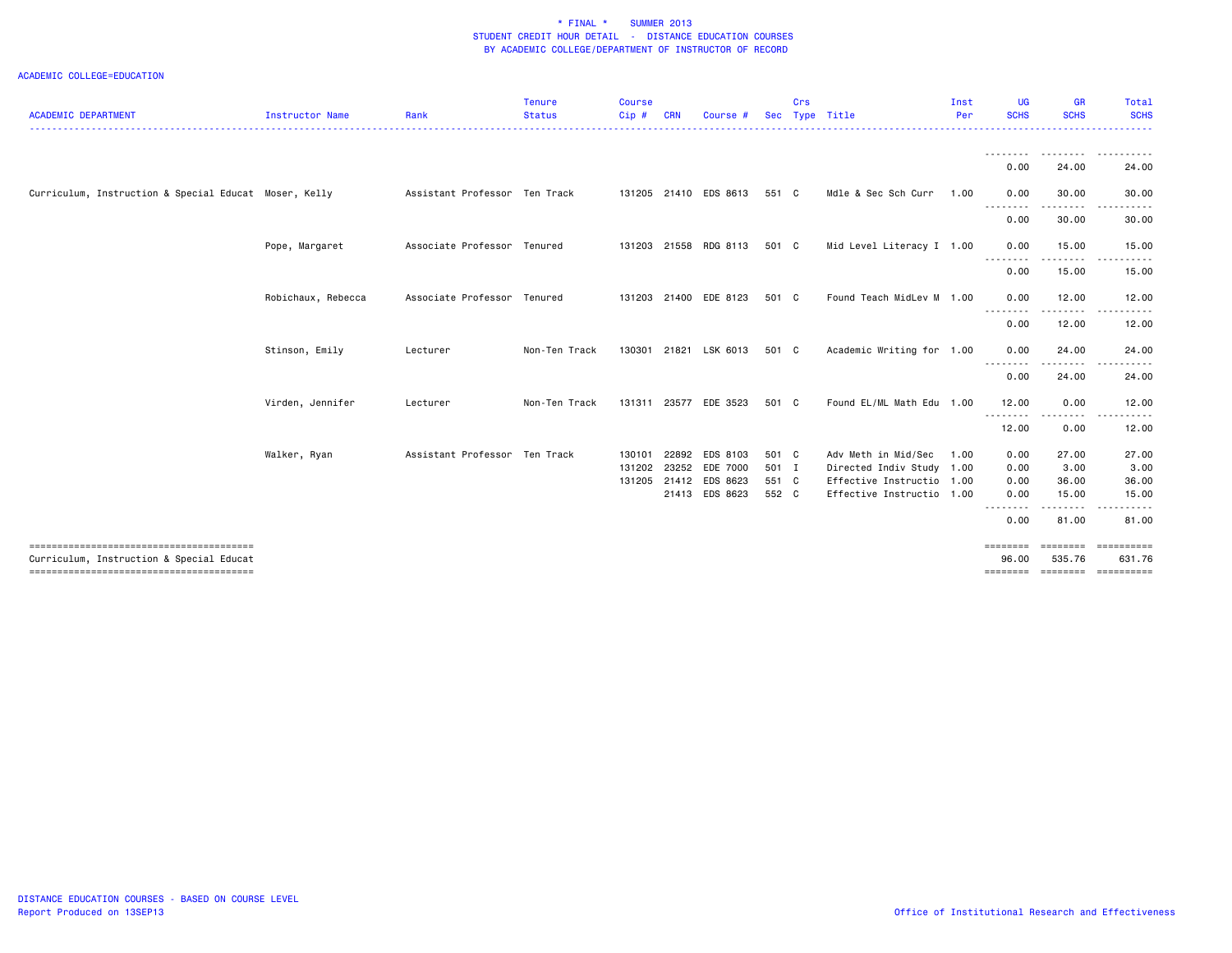| <b>ACADEMIC DEPARTMENT</b>                            | <b>Instructor Name</b> | Rank                          | <b>Tenure</b><br><b>Status</b> | <b>Course</b><br>Cip# | <b>CRN</b> | Course #              |       | Crs | Sec Type Title            | Inst<br>Per | <b>UG</b><br><b>SCHS</b> | GR<br><b>SCHS</b>                        | Total<br><b>SCHS</b> |
|-------------------------------------------------------|------------------------|-------------------------------|--------------------------------|-----------------------|------------|-----------------------|-------|-----|---------------------------|-------------|--------------------------|------------------------------------------|----------------------|
|                                                       |                        |                               |                                |                       |            |                       |       |     |                           |             |                          |                                          |                      |
|                                                       |                        |                               |                                |                       |            |                       |       |     |                           |             | --------<br>0.00         | 24.00                                    | <u>.</u><br>24.00    |
| Curriculum, Instruction & Special Educat Moser, Kelly |                        | Assistant Professor Ten Track |                                |                       |            | 131205 21410 EDS 8613 | 551 C |     | Mdle & Sec Sch Curr       | 1.00        | 0.00                     | 30.00                                    | 30.00                |
|                                                       |                        |                               |                                |                       |            |                       |       |     |                           |             | 0.00                     | 30.00                                    | 30.00                |
|                                                       | Pope, Margaret         | Associate Professor Tenured   |                                |                       |            | 131203 21558 RDG 8113 | 501 C |     | Mid Level Literacy I 1.00 |             | 0.00                     | 15.00                                    | 15.00                |
|                                                       |                        |                               |                                |                       |            |                       |       |     |                           |             | 0.00                     | 15.00                                    | 15.00                |
|                                                       | Robichaux, Rebecca     | Associate Professor Tenured   |                                |                       |            | 131203 21400 EDE 8123 | 501 C |     | Found Teach MidLev M 1.00 |             | 0.00                     | 12.00                                    | 12.00                |
|                                                       |                        |                               |                                |                       |            |                       |       |     |                           |             | --------<br>0.00         | $\cdots$<br>12.00                        | 12.00                |
|                                                       | Stinson, Emily         | Lecturer                      | Non-Ten Track                  |                       |            | 130301 21821 LSK 6013 | 501 C |     | Academic Writing for 1.00 |             | 0.00                     | 24.00                                    | 24.00                |
|                                                       |                        |                               |                                |                       |            |                       |       |     |                           |             | .<br>0.00                | 24.00                                    | 24.00                |
|                                                       | Virden, Jennifer       | Lecturer                      | Non-Ten Track                  |                       |            | 131311 23577 EDE 3523 | 501 C |     | Found EL/ML Math Edu 1.00 |             | 12.00                    | 0.00                                     | 12.00                |
|                                                       |                        |                               |                                |                       |            |                       |       |     |                           |             | .<br>12.00               | .<br>0.00                                | 12.00                |
|                                                       | Walker, Ryan           | Assistant Professor Ten Track |                                | 130101                | 22892      | EDS 8103              | 501 C |     | Adv Meth in Mid/Sec       | 1.00        | 0.00                     | 27.00                                    | 27.00                |
|                                                       |                        |                               |                                |                       |            | 131202 23252 EDE 7000 | 501 I |     | Directed Indiv Study 1.00 |             | 0.00                     | 3.00                                     | 3.00                 |
|                                                       |                        |                               |                                |                       |            | 131205 21412 EDS 8623 | 551 C |     | Effective Instructio 1.00 |             | 0.00                     | 36.00                                    | 36.00                |
|                                                       |                        |                               |                                |                       |            | 21413 EDS 8623        | 552 C |     | Effective Instructio 1.00 |             | 0.00<br><u>.</u>         | 15.00<br>.                               | 15.00                |
|                                                       |                        |                               |                                |                       |            |                       |       |     |                           |             | 0.00                     | 81.00                                    | 81.00                |
|                                                       |                        |                               |                                |                       |            |                       |       |     |                           |             | ========                 | ========                                 | ==========           |
| Curriculum, Instruction & Special Educat              |                        |                               |                                |                       |            |                       |       |     |                           |             | 96.00                    | 535.76<br>========= ========= ========== | 631.76               |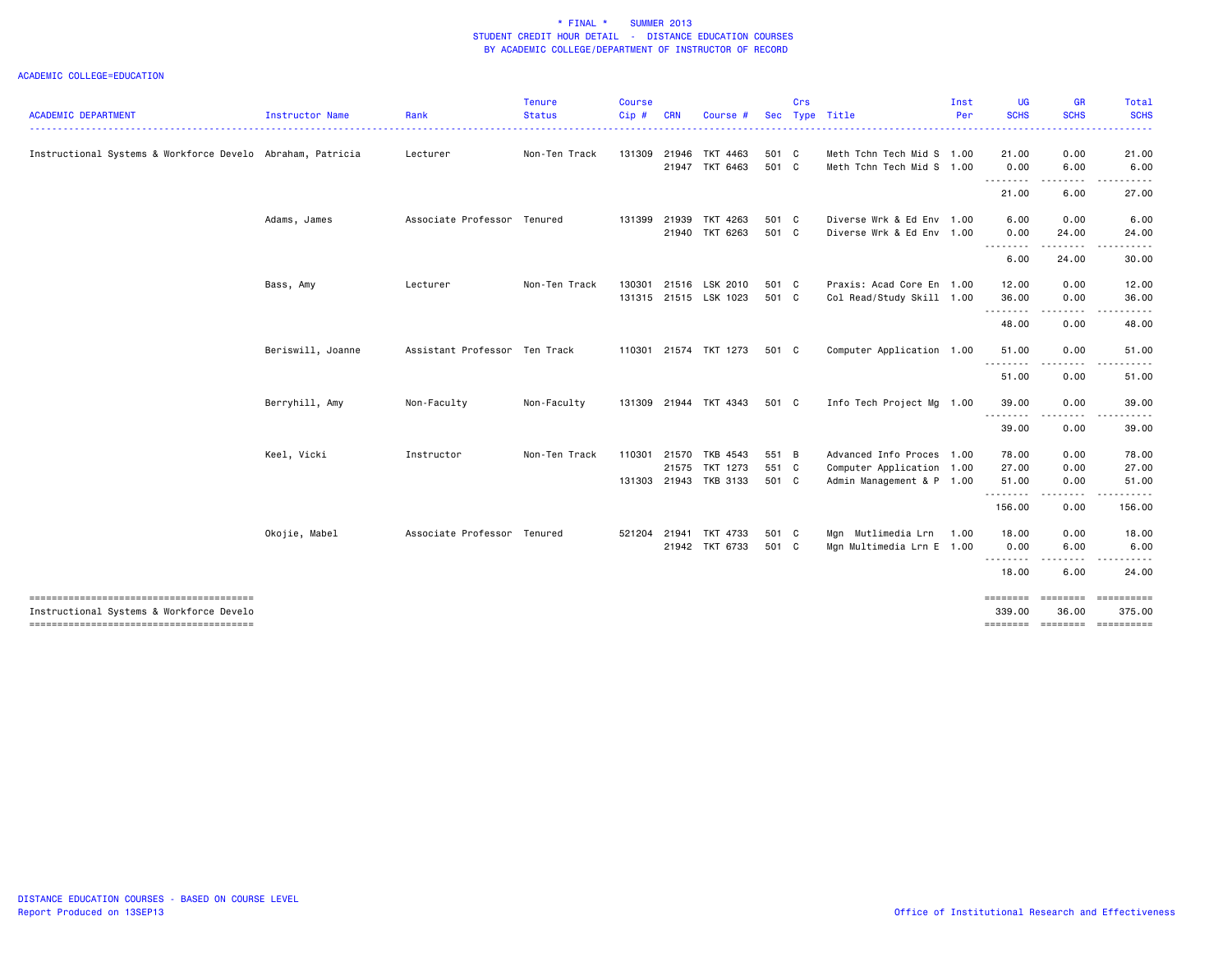|                                                                                    |                   |                               | <b>Tenure</b> | Course |              |                                         |                | Crs |                                                        | Inst | UG                 | <b>GR</b>               | Total                 |
|------------------------------------------------------------------------------------|-------------------|-------------------------------|---------------|--------|--------------|-----------------------------------------|----------------|-----|--------------------------------------------------------|------|--------------------|-------------------------|-----------------------|
| <b>ACADEMIC DEPARTMENT</b>                                                         | Instructor Name   | Rank                          | <b>Status</b> | Cip#   | <b>CRN</b>   | Course #                                |                |     | Sec Type Title                                         | Per  | <b>SCHS</b>        | <b>SCHS</b>             | <b>SCHS</b>           |
| Instructional Systems & Workforce Develo Abraham, Patricia                         |                   | Lecturer                      | Non-Ten Track |        |              | 131309 21946 TKT 4463<br>21947 TKT 6463 | 501 C<br>501 C |     | Meth Tchn Tech Mid S 1.00<br>Meth Tchn Tech Mid S 1.00 |      | 21.00<br>0.00      | 0.00<br>6.00            | 21.00<br>6.00         |
|                                                                                    |                   |                               |               |        |              |                                         |                |     |                                                        |      | --------<br>21.00  | .<br>6.00               | . <b>.</b> .<br>27.00 |
|                                                                                    | Adams, James      | Associate Professor Tenured   |               |        | 131399 21939 | TKT 4263<br>21940 TKT 6263              | 501 C<br>501 C |     | Diverse Wrk & Ed Env 1.00<br>Diverse Wrk & Ed Env 1.00 |      | 6.00<br>0.00       | 0.00<br>24.00           | 6.00<br>24.00         |
|                                                                                    |                   |                               |               |        |              |                                         |                |     |                                                        |      | .<br>6.00          | 24.00                   | 30.00                 |
|                                                                                    | Bass, Amy         | Lecturer                      | Non-Ten Track | 130301 |              | 21516 LSK 2010<br>131315 21515 LSK 1023 | 501 C<br>501 C |     | Praxis: Acad Core En 1.00<br>Col Read/Study Skill 1.00 |      | 12.00<br>36.00     | 0.00<br>0.00            | 12.00<br>36.00        |
|                                                                                    |                   |                               |               |        |              |                                         |                |     |                                                        |      | .<br>48.00         | $- - - - -$<br>0.00     | .<br>48.00            |
|                                                                                    | Beriswill, Joanne | Assistant Professor Ten Track |               |        |              | 110301 21574 TKT 1273                   | 501 C          |     | Computer Application 1.00                              |      | 51.00<br>.         | 0.00<br>$\frac{1}{2}$   | 51.00                 |
|                                                                                    |                   |                               |               |        |              |                                         |                |     |                                                        |      | 51.00              | 0.00                    | 51.00                 |
|                                                                                    | Berryhill, Amy    | Non-Faculty                   | Non-Faculty   |        |              | 131309 21944 TKT 4343                   | 501 C          |     | Info Tech Project Mg 1.00                              |      | 39.00<br>.         | 0.00<br>----            | 39.00                 |
|                                                                                    |                   |                               |               |        |              |                                         |                |     |                                                        |      | 39.00              | 0.00                    | 39.00                 |
|                                                                                    | Keel, Vicki       | Instructor                    | Non-Ten Track | 110301 |              | 21570 TKB 4543                          | 551 B          |     | Advanced Info Proces 1.00                              |      | 78.00              | 0.00                    | 78.00                 |
|                                                                                    |                   |                               |               |        | 21575        | TKT 1273<br>131303 21943 TKB 3133       | 551 C<br>501 C |     | Computer Application 1.00<br>Admin Management & P 1.00 |      | 27.00<br>51.00     | 0.00<br>0.00            | 27.00<br>51.00        |
|                                                                                    |                   |                               |               |        |              |                                         |                |     |                                                        |      | .<br>156.00        | .<br>0.00               | .<br>156.00           |
|                                                                                    | Okojie, Mabel     | Associate Professor Tenured   |               |        |              | 521204 21941 TKT 4733<br>21942 TKT 6733 | 501 C<br>501 C |     | Mgn Mutlimedia Lrn<br>Mgn Multimedia Lrn E 1.00        | 1.00 | 18.00<br>0.00      | 0.00<br>6.00            | 18.00<br>6.00         |
|                                                                                    |                   |                               |               |        |              |                                         |                |     |                                                        |      | <u>.</u><br>18.00  | 6.00                    | 24.00                 |
| Instructional Systems & Workforce Develo<br>-------------------------------------- |                   |                               |               |        |              |                                         |                |     |                                                        |      | ========<br>339.00 | <b>EEEEEEE</b><br>36.00 | ==========<br>375.00  |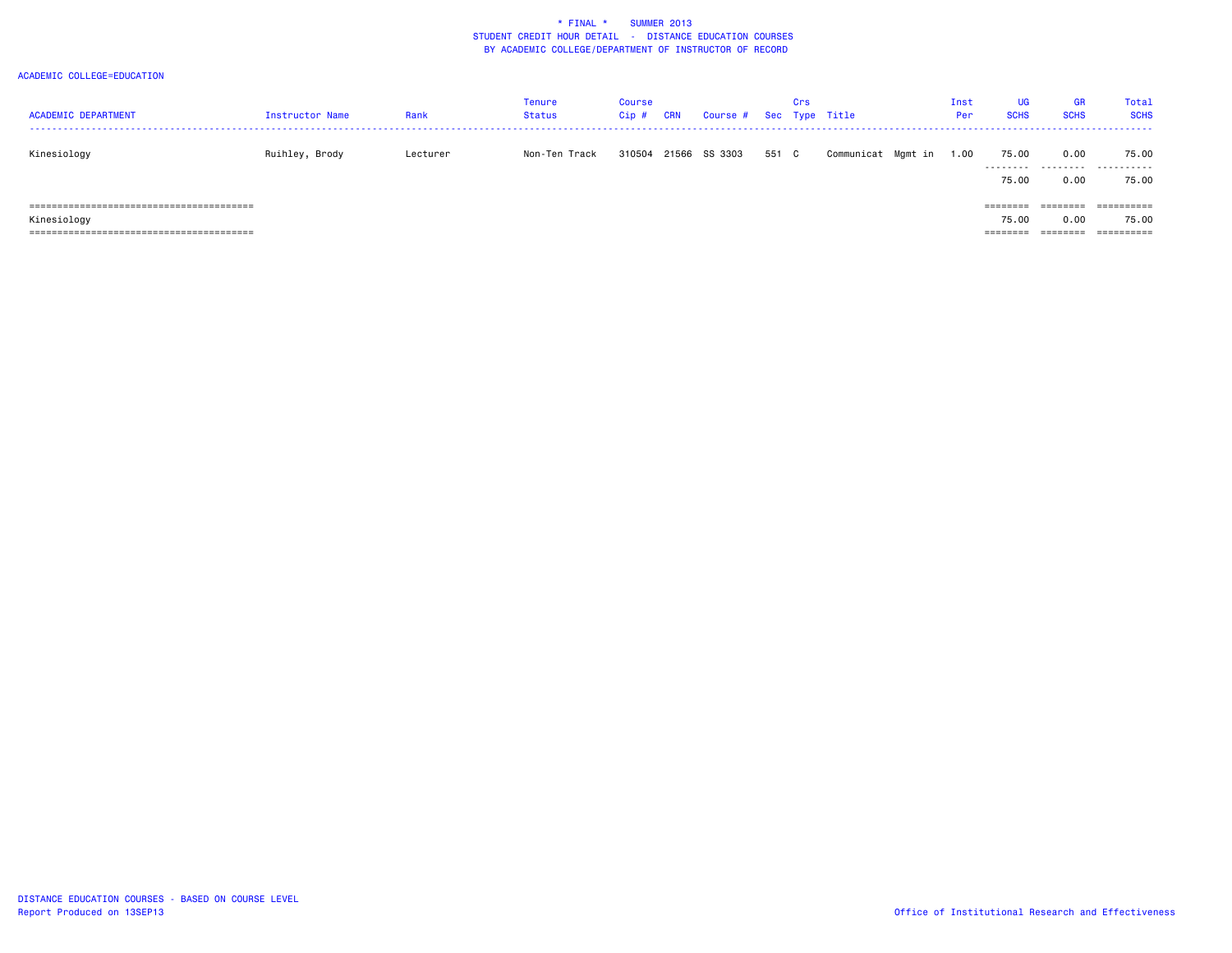| <b>ACADEMIC DEPARTMENT</b>                                                                              | <b>Instructor Name</b> | Rank     | <b>Tenure</b><br><b>Status</b> | Course<br>$Cip$ # | CRN | Course # Sec Type Title |       | Crs |                    | Inst<br>Per | <b>UG</b><br><b>SCHS</b>             | GR<br><b>SCHS</b> | Total<br><b>SCHS</b>              |
|---------------------------------------------------------------------------------------------------------|------------------------|----------|--------------------------------|-------------------|-----|-------------------------|-------|-----|--------------------|-------------|--------------------------------------|-------------------|-----------------------------------|
| Kinesiology                                                                                             | Ruihley, Brody         | Lecturer | Non-Ten Track                  | 310504            |     | 21566 SS 3303           | 551 C |     | Communicat Mgmt in | 1.00        | 75.00<br>.<br>75.00                  | 0.00<br>.<br>0.00 | 75.00<br>.<br>75.00               |
| , ===========================<br>=========<br>Kinesiology<br>===========================<br>=========== |                        |          |                                |                   |     |                         |       |     |                    |             | $=$ = = = = = = =<br>75.00<br>====== | 0.00              | ==========<br>75.00<br>========== |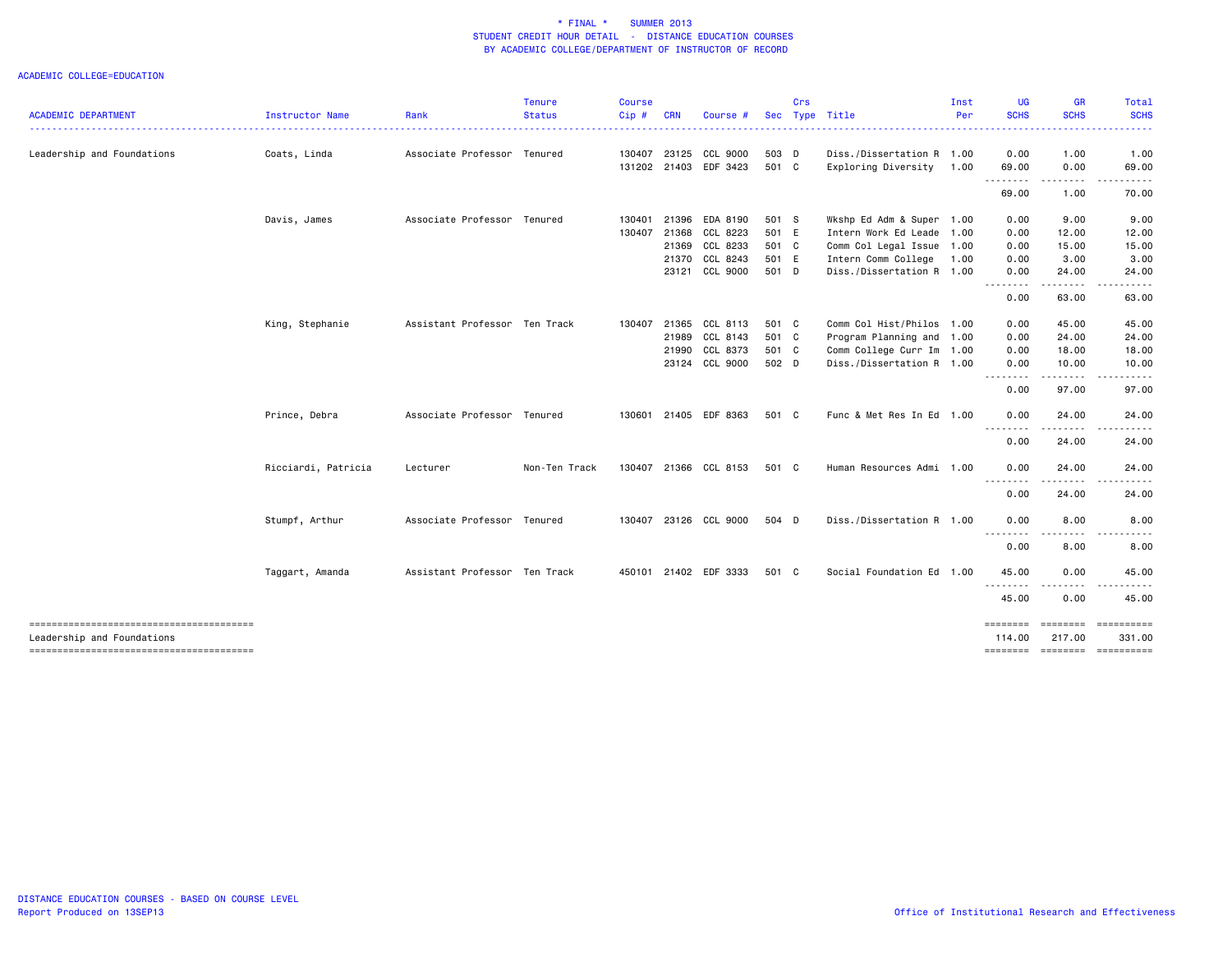|                                                                      |                     |                               | <b>Tenure</b> | <b>Course</b> |            |                       |       | Crs |                           | Inst | <b>UG</b>                   | GR                  | Total                          |
|----------------------------------------------------------------------|---------------------|-------------------------------|---------------|---------------|------------|-----------------------|-------|-----|---------------------------|------|-----------------------------|---------------------|--------------------------------|
| <b>ACADEMIC DEPARTMENT</b>                                           | Instructor Name     | Rank                          | <b>Status</b> | Cip#          | <b>CRN</b> | Course #              |       |     | Sec Type Title            | Per  | <b>SCHS</b>                 | <b>SCHS</b>         | <b>SCHS</b>                    |
| Leadership and Foundations                                           | Coats, Linda        | Associate Professor Tenured   |               | 130407        | 23125      | CCL 9000              | 503 D |     | Diss./Dissertation R 1.00 |      | 0.00                        | 1.00                | 1.00                           |
|                                                                      |                     |                               |               |               |            | 131202 21403 EDF 3423 | 501 C |     | Exploring Diversity       | 1.00 | 69.00<br>.                  | 0.00<br>.           | 69.00                          |
|                                                                      |                     |                               |               |               |            |                       |       |     |                           |      | 69.00                       | 1.00                | 70.00                          |
|                                                                      | Davis, James        | Associate Professor Tenured   |               | 130401        | 21396      | EDA 8190              | 501 S |     | Wkshp Ed Adm & Super 1.00 |      | 0.00                        | 9.00                | 9.00                           |
|                                                                      |                     |                               |               | 130407        | 21368      | CCL 8223              | 501 E |     | Intern Work Ed Leade 1.00 |      | 0.00                        | 12.00               | 12.00                          |
|                                                                      |                     |                               |               |               | 21369      | CCL 8233              | 501 C |     | Comm Col Legal Issue 1.00 |      | 0.00                        | 15.00               | 15.00                          |
|                                                                      |                     |                               |               |               | 21370      | CCL 8243              | 501 E |     | Intern Comm College       | 1.00 | 0.00                        | 3.00                | 3.00                           |
|                                                                      |                     |                               |               |               | 23121      | CCL 9000              | 501 D |     | Diss./Dissertation R 1.00 |      | 0.00<br><u>.</u>            | 24.00               | 24.00                          |
|                                                                      |                     |                               |               |               |            |                       |       |     |                           |      | 0.00                        | 63.00               | 63.00                          |
|                                                                      | King, Stephanie     | Assistant Professor Ten Track |               | 130407        | 21365      | CCL 8113              | 501 C |     | Comm Col Hist/Philos 1.00 |      | 0.00                        | 45.00               | 45.00                          |
|                                                                      |                     |                               |               |               | 21989      | CCL 8143              | 501 C |     | Program Planning and 1.00 |      | 0.00                        | 24.00               | 24.00                          |
|                                                                      |                     |                               |               |               | 21990      | CCL 8373              | 501 C |     | Comm College Curr Im 1.00 |      | 0.00                        | 18.00               | 18.00                          |
|                                                                      |                     |                               |               |               |            | 23124 CCL 9000        | 502 D |     | Diss./Dissertation R 1.00 |      | 0.00<br>.                   | 10.00<br>. <b>.</b> | 10.00                          |
|                                                                      |                     |                               |               |               |            |                       |       |     |                           |      | 0.00                        | 97.00               | 97.00                          |
|                                                                      | Prince, Debra       | Associate Professor Tenured   |               | 130601        |            | 21405 EDF 8363        | 501 C |     | Func & Met Res In Ed 1.00 |      | 0.00                        | 24.00               | 24.00                          |
|                                                                      |                     |                               |               |               |            |                       |       |     |                           |      | .<br>0.00                   | .<br>24.00          | 24.00                          |
|                                                                      | Ricciardi, Patricia | Lecturer                      | Non-Ten Track |               |            | 130407 21366 CCL 8153 | 501 C |     | Human Resources Admi 1.00 |      | 0.00<br><u>.</u>            | 24.00               | 24.00                          |
|                                                                      |                     |                               |               |               |            |                       |       |     |                           |      | 0.00                        | 24.00               | 24.00                          |
|                                                                      | Stumpf, Arthur      | Associate Professor Tenured   |               |               |            | 130407 23126 CCL 9000 | 504 D |     | Diss./Dissertation R 1.00 |      | 0.00                        | 8.00                | 8.00                           |
|                                                                      |                     |                               |               |               |            |                       |       |     |                           |      | --------<br>0.00            | 8.00                | 8.00                           |
|                                                                      | Taggart, Amanda     | Assistant Professor Ten Track |               |               |            | 450101 21402 EDF 3333 | 501 C |     | Social Foundation Ed 1.00 |      | 45.00                       | 0.00                | 45.00                          |
|                                                                      |                     |                               |               |               |            |                       |       |     |                           |      | 45.00                       | 0.00                | 45.00                          |
|                                                                      |                     |                               |               |               |            |                       |       |     |                           |      | ========                    |                     |                                |
| Leadership and Foundations<br>-------------------------------------- |                     |                               |               |               |            |                       |       |     |                           |      | 114,00<br>$=$ = = = = = = = | 217,00              | 331.00<br>========= ========== |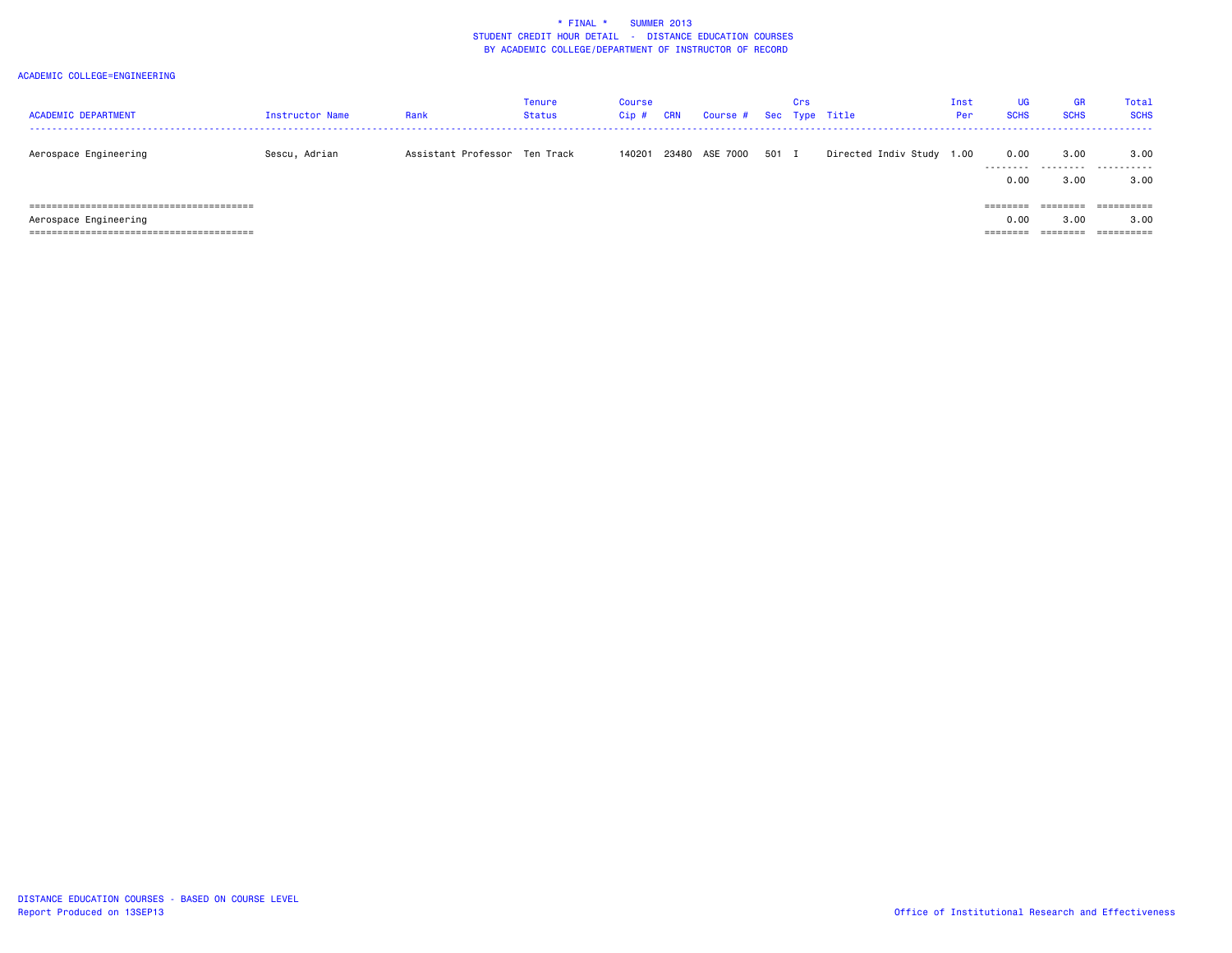| <b>ACADEMIC DEPARTMENT</b> | <b>Instructor Name</b> | Rank                          | <b>Tenure</b><br><b>Status</b> | Course<br>$Cip$ # | <b>CRN</b> | Course # Sec Type Title |       | Crs |                           | Inst<br>Per | <b>UG</b><br><b>SCHS</b>              | <b>GR</b><br><b>SCHS</b> | <b>Total</b><br><b>SCHS</b> |
|----------------------------|------------------------|-------------------------------|--------------------------------|-------------------|------------|-------------------------|-------|-----|---------------------------|-------------|---------------------------------------|--------------------------|-----------------------------|
| Aerospace Engineering      | Sescu, Adrian          | Assistant Professor Ten Track |                                |                   |            | 140201 23480 ASE 7000   | 501 I |     | Directed Indiv Study 1.00 |             | 0.00<br>---------<br>0.00             | 3.00<br>.<br>3.00        | 3.00<br>.<br>3.00           |
| Aerospace Engineering      |                        |                               |                                |                   |            |                         |       |     |                           |             | ========<br>0.00<br>$=$ = = = = = = = | -------<br>3.00          | 3.00                        |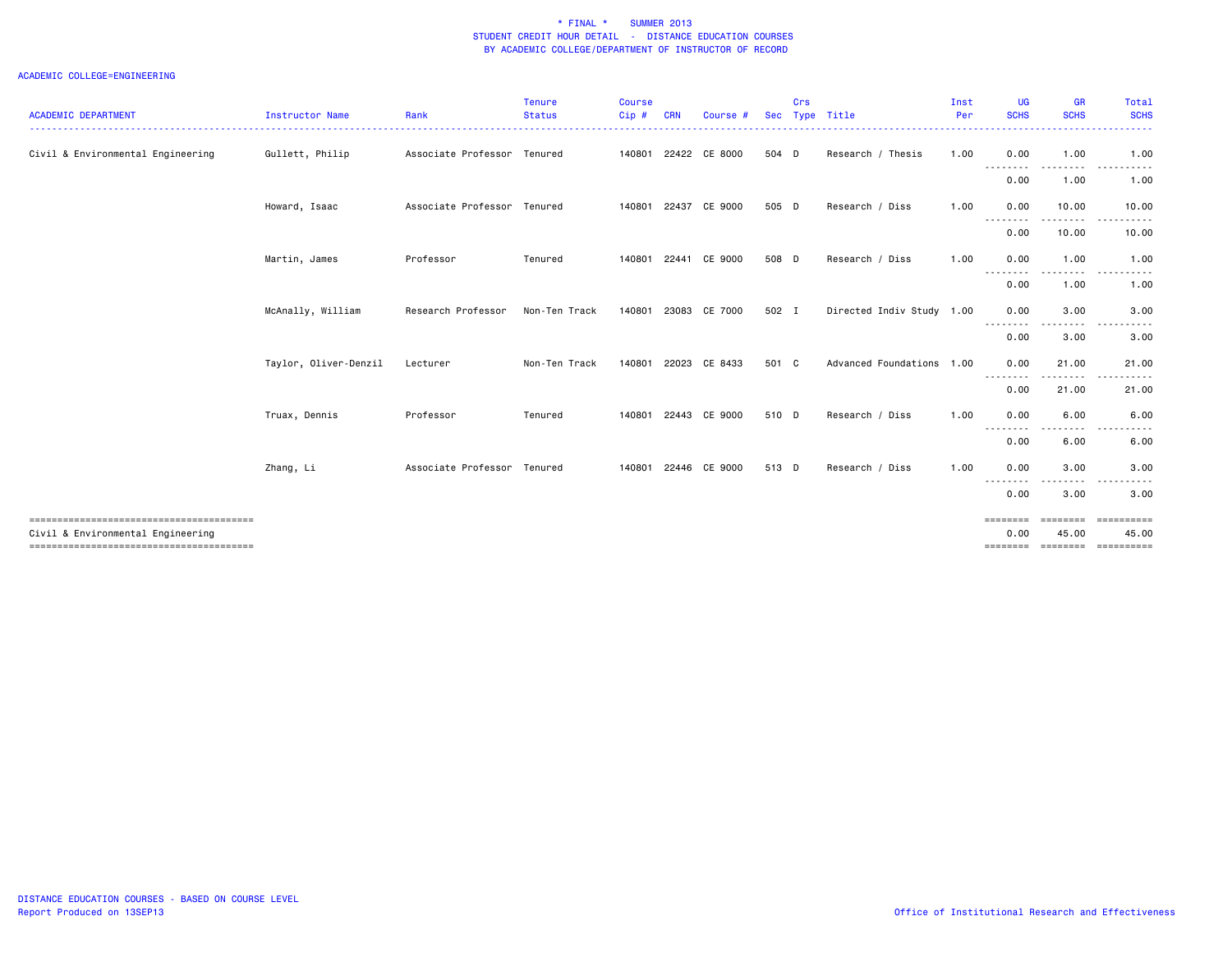| <b>ACADEMIC DEPARTMENT</b>        | <b>Instructor Name</b> | Rank                        | <b>Tenure</b><br><b>Status</b> | <b>Course</b><br>Cip # | <b>CRN</b> | Course               | <b>Sec</b> | Crs | Type Title                | Inst<br>Per | <b>UG</b><br><b>SCHS</b> | <b>GR</b><br><b>SCHS</b>                                                                                                           | Total<br><b>SCHS</b> |
|-----------------------------------|------------------------|-----------------------------|--------------------------------|------------------------|------------|----------------------|------------|-----|---------------------------|-------------|--------------------------|------------------------------------------------------------------------------------------------------------------------------------|----------------------|
|                                   |                        |                             |                                |                        |            |                      |            |     |                           |             |                          |                                                                                                                                    |                      |
| Civil & Environmental Engineering | Gullett, Philip        | Associate Professor Tenured |                                | 140801                 |            | 22422 CE 8000        | 504 D      |     | Research / Thesis         | 1.00        | 0.00<br>.                | 1.00<br>.                                                                                                                          | 1.00<br>----------   |
|                                   |                        |                             |                                |                        |            |                      |            |     |                           |             | 0.00                     | 1.00                                                                                                                               | 1.00                 |
|                                   | Howard, Isaac          | Associate Professor Tenured |                                | 140801                 |            | 22437 CE 9000        | 505 D      |     | Research / Diss           | 1.00        | 0.00                     | 10.00                                                                                                                              | 10.00                |
|                                   |                        |                             |                                |                        |            |                      |            |     |                           |             | 0.00                     | 10.00                                                                                                                              | 10.00                |
|                                   | Martin, James          | Professor                   | Tenured                        | 140801                 |            | 22441 CE 9000        | 508 D      |     | Research / Diss           | 1.00        | 0.00<br><u>.</u>         | 1.00                                                                                                                               | 1.00                 |
|                                   |                        |                             |                                |                        |            |                      |            |     |                           |             | 0.00                     | 1.00                                                                                                                               | 1.00                 |
|                                   | McAnally, William      | Research Professor          | Non-Ten Track                  |                        |            | 140801 23083 CE 7000 | 502 I      |     | Directed Indiv Study 1.00 |             | 0.00<br>--------         | 3.00                                                                                                                               | 3.00                 |
|                                   |                        |                             |                                |                        |            |                      |            |     |                           |             | 0.00                     | 3.00                                                                                                                               | 3.00                 |
|                                   | Taylor, Oliver-Denzil  | Lecturer                    | Non-Ten Track                  | 140801                 |            | 22023 CE 8433        | 501 C      |     | Advanced Foundations 1.00 |             | 0.00                     | 21.00<br>$\frac{1}{2} \left( \frac{1}{2} \right) \left( \frac{1}{2} \right) \left( \frac{1}{2} \right) \left( \frac{1}{2} \right)$ | 21.00                |
|                                   |                        |                             |                                |                        |            |                      |            |     |                           |             | 0.00                     | 21.00                                                                                                                              | 21.00                |
|                                   | Truax, Dennis          | Professor                   | Tenured                        | 140801                 |            | 22443 CE 9000        | 510 D      |     | Research / Diss           | 1.00        | 0.00                     | 6.00                                                                                                                               | 6.00                 |
|                                   |                        |                             |                                |                        |            |                      |            |     |                           |             | 0.00                     | 6.00                                                                                                                               | 6.00                 |
|                                   | Zhang, Li              | Associate Professor Tenured |                                | 140801                 |            | 22446 CE 9000        | 513 D      |     | Research / Diss           | 1.00        | 0.00                     | 3.00                                                                                                                               | 3.00                 |
|                                   |                        |                             |                                |                        |            |                      |            |     |                           |             | 0.00                     | 3.00                                                                                                                               | 3.00                 |
|                                   |                        |                             |                                |                        |            |                      |            |     |                           |             | ========                 |                                                                                                                                    |                      |
| Civil & Environmental Engineering |                        |                             |                                |                        |            |                      |            |     |                           |             | 0.00<br>========         | 45.00<br>========                                                                                                                  | 45.00<br>==========  |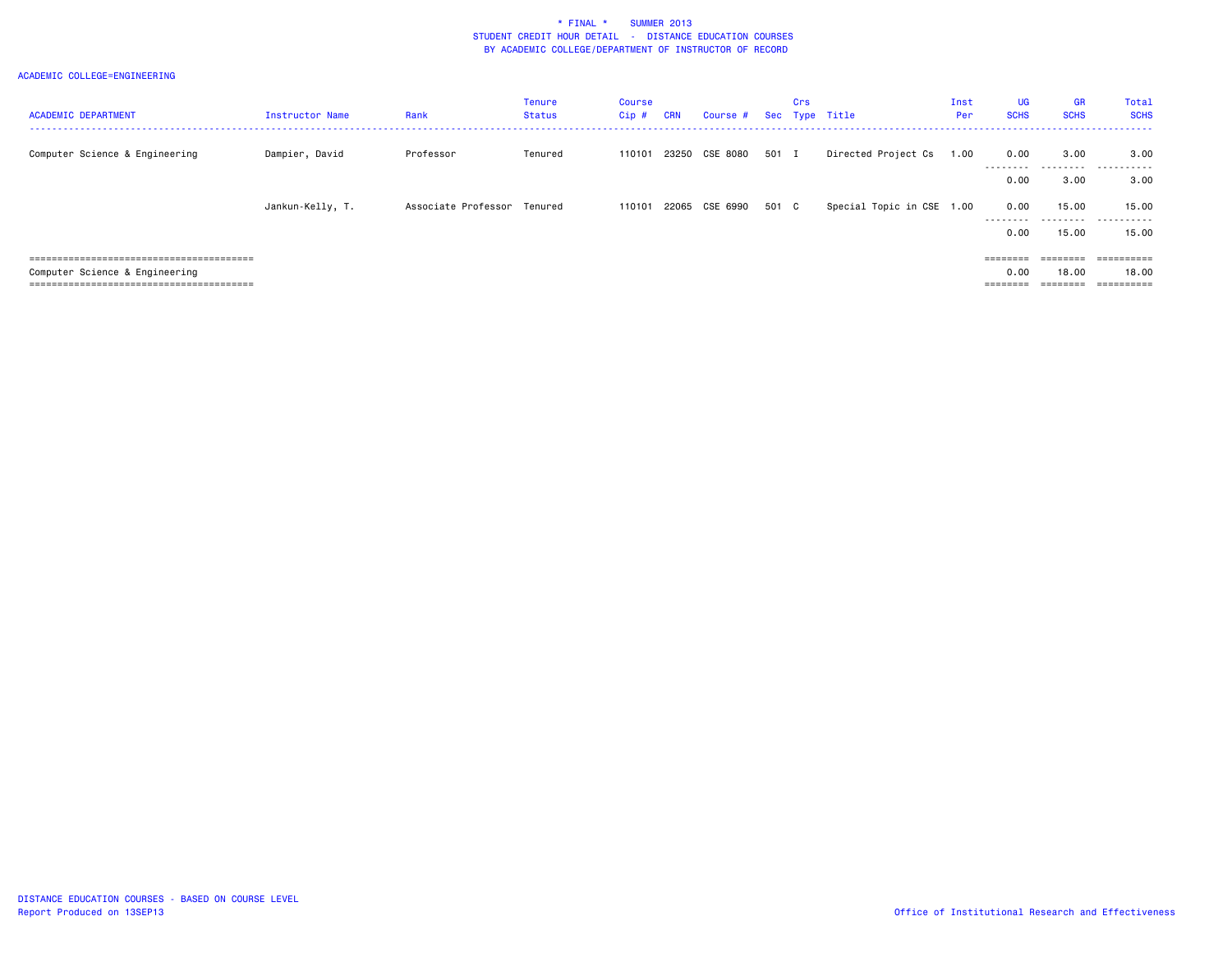| <b>ACADEMIC DEPARTMENT</b>            | <b>Instructor Name</b> | Rank                        | <b>Tenure</b><br><b>Status</b> | Course<br>$Cip$ # | <b>CRN</b> | Course # Sec Type Title |       | Crs |                           | Inst<br>Per | <b>UG</b><br><b>SCHS</b>                                                | <b>GR</b><br><b>SCHS</b> | Total<br><b>SCHS</b> |
|---------------------------------------|------------------------|-----------------------------|--------------------------------|-------------------|------------|-------------------------|-------|-----|---------------------------|-------------|-------------------------------------------------------------------------|--------------------------|----------------------|
|                                       |                        |                             |                                |                   |            |                         |       |     |                           |             |                                                                         |                          |                      |
| Computer Science & Engineering        | Dampier, David         | Professor                   | Tenured                        | 110101            |            | 23250 CSE 8080          | 501 I |     | Directed Project Cs       | 1.00        | 0.00                                                                    | 3.00                     | 3.00                 |
|                                       |                        |                             |                                |                   |            |                         |       |     |                           |             | ---------<br>0.00                                                       | ---------<br>3.00        | .<br>3,00            |
|                                       |                        |                             |                                |                   |            |                         |       |     |                           |             |                                                                         |                          |                      |
|                                       | Jankun-Kelly, T.       | Associate Professor Tenured |                                | 110101            |            | 22065 CSE 6990          | 501 C |     | Special Topic in CSE 1.00 |             | 0.00                                                                    | 15.00                    | 15.00                |
|                                       |                        |                             |                                |                   |            |                         |       |     |                           |             | .<br>0.00                                                               | ---------<br>15.00       | .<br>15.00           |
|                                       |                        |                             |                                |                   |            |                         |       |     |                           |             |                                                                         |                          |                      |
| ===================================== |                        |                             |                                |                   |            |                         |       |     |                           |             | $\qquad \qquad \equiv \equiv \equiv \equiv \equiv \equiv \equiv \equiv$ | ========                 |                      |
| Computer Science & Engineering        |                        |                             |                                |                   |            |                         |       |     |                           |             | 0.00                                                                    | 18,00                    | 18,00                |
|                                       |                        |                             |                                |                   |            |                         |       |     |                           |             | ========                                                                | -------                  | ==========           |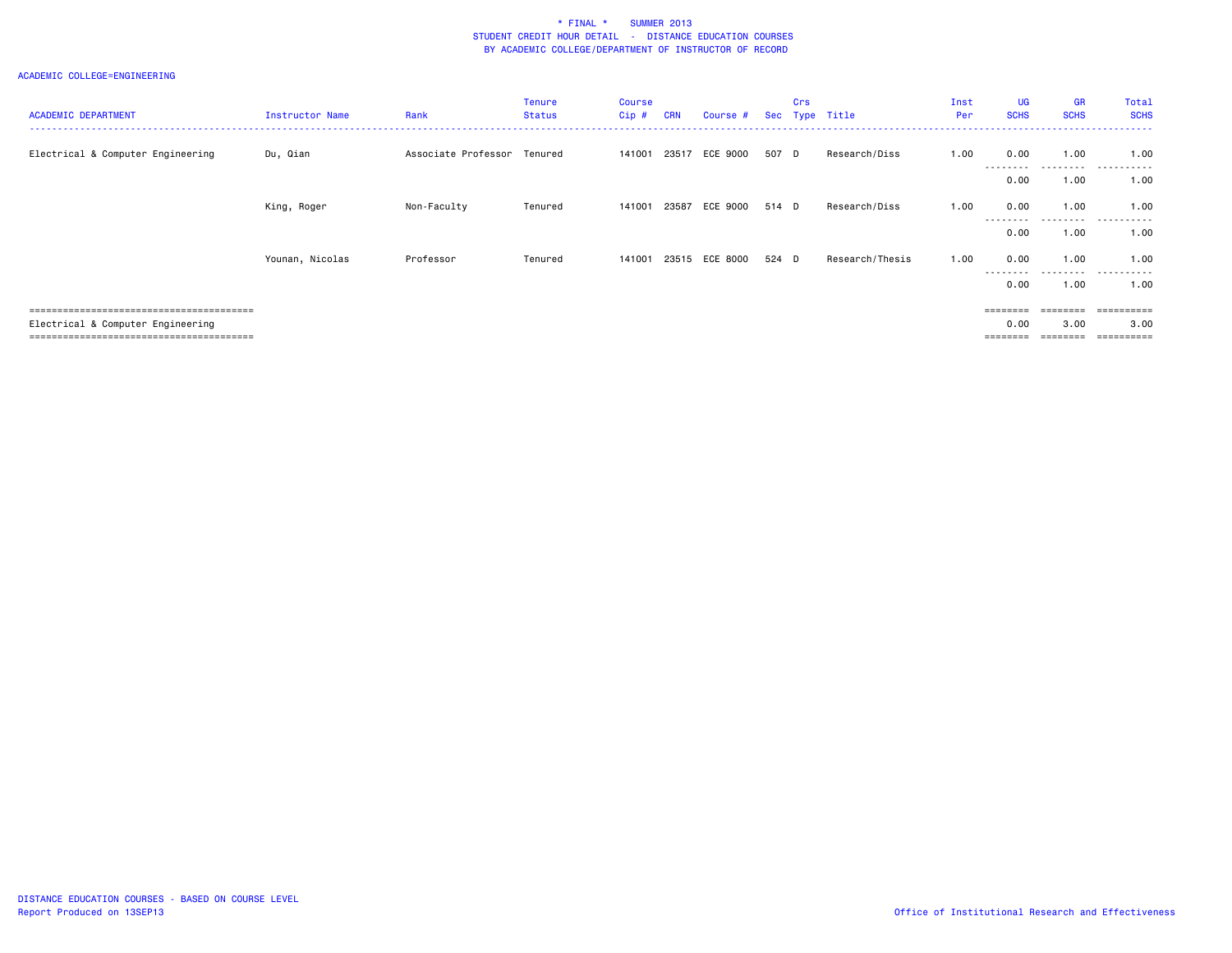| <b>ACADEMIC DEPARTMENT</b>        | <b>Instructor Name</b> | Rank                        | <b>Tenure</b><br><b>Status</b> | <b>Course</b><br>Cip# | <b>CRN</b> | Course #       |       | Crs | Sec Type Title  | Inst<br>Per | <b>UG</b><br><b>SCHS</b> | <b>GR</b><br><b>SCHS</b> | Total<br><b>SCHS</b> |
|-----------------------------------|------------------------|-----------------------------|--------------------------------|-----------------------|------------|----------------|-------|-----|-----------------|-------------|--------------------------|--------------------------|----------------------|
| Electrical & Computer Engineering | Du, Qian               | Associate Professor Tenured |                                | 141001                |            | 23517 ECE 9000 | 507 D |     | Research/Diss   | 1.00        | 0.00<br>.                | 1.00<br>.                | 1.00<br>.            |
|                                   |                        |                             |                                |                       |            |                |       |     |                 |             | 0.00                     | 1.00                     | 1.00                 |
|                                   | King, Roger            | Non-Faculty                 | Tenured                        | 141001                | 23587      | ECE 9000       | 514 D |     | Research/Diss   | 1.00        | 0.00<br>--------         | 1.00<br>---------        | 1.00<br>.            |
|                                   |                        |                             |                                |                       |            |                |       |     |                 |             | 0.00                     | 1.00                     | 1.00                 |
|                                   | Younan, Nicolas        | Professor                   | Tenured                        | 141001                |            | 23515 ECE 8000 | 524 D |     | Research/Thesis | 1.00        | 0.00<br>---------        | 1.00<br>.                | 1.00<br>.            |
|                                   |                        |                             |                                |                       |            |                |       |     |                 |             | 0.00                     | 1.00                     | 1.00                 |
|                                   |                        |                             |                                |                       |            |                |       |     |                 |             |                          |                          |                      |
| Electrical & Computer Engineering |                        |                             |                                |                       |            |                |       |     |                 |             | 0.00                     | 3.00                     | 3.00                 |
|                                   |                        |                             |                                |                       |            |                |       |     |                 |             | ========                 | ========                 | ==========           |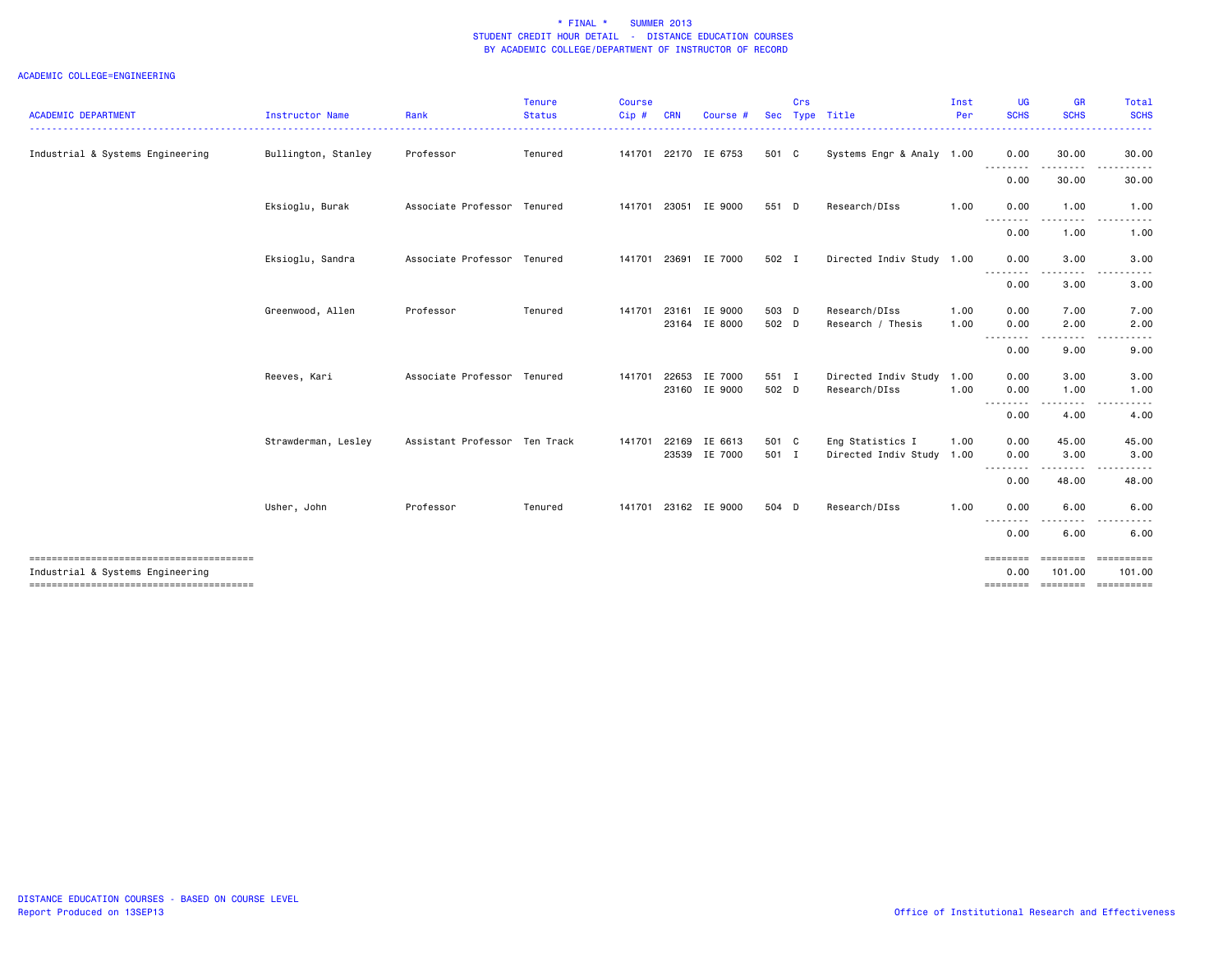| <b>ACADEMIC DEPARTMENT</b>                                                 | Instructor Name     | Rank                          | Tenure<br><b>Status</b> | <b>Course</b><br>Cip# | <b>CRN</b> | Course #                       |                | Crs | Sec Type Title                                | Inst<br>Per  | <b>UG</b><br><b>SCHS</b>                                                          | <b>GR</b><br><b>SCHS</b> | Total<br><b>SCHS</b> |
|----------------------------------------------------------------------------|---------------------|-------------------------------|-------------------------|-----------------------|------------|--------------------------------|----------------|-----|-----------------------------------------------|--------------|-----------------------------------------------------------------------------------|--------------------------|----------------------|
| Industrial & Systems Engineering                                           | Bullington, Stanley | Professor                     | Tenured                 |                       |            | 141701 22170 IE 6753           | 501 C          |     | Systems Engr & Analy 1.00                     |              | 0.00                                                                              | 30.00                    | .<br>30.00           |
|                                                                            |                     |                               |                         |                       |            |                                |                |     |                                               |              | 0.00                                                                              | 30.00                    | 30.00                |
|                                                                            | Eksioglu, Burak     | Associate Professor Tenured   |                         |                       |            | 141701 23051 IE 9000           | 551 D          |     | Research/DIss                                 | 1.00         | 0.00                                                                              | 1.00                     | 1.00                 |
|                                                                            |                     |                               |                         |                       |            |                                |                |     |                                               |              | <u>.</u><br>0.00                                                                  | 1.00                     | 1.00                 |
|                                                                            | Eksioglu, Sandra    | Associate Professor Tenured   |                         |                       |            | 141701 23691 IE 7000           | 502 I          |     | Directed Indiv Study 1.00                     |              | 0.00                                                                              | 3.00                     | 3.00                 |
|                                                                            |                     |                               |                         |                       |            |                                |                |     |                                               |              | - - - - - - - -<br>0.00                                                           | 3.00                     | 3.00                 |
|                                                                            | Greenwood, Allen    | Professor                     | Tenured                 | 141701                | 23161      | IE 9000<br>23164 IE 8000       | 503 D<br>502 D |     | Research/DIss<br>Research / Thesis            | 1.00<br>1.00 | 0.00<br>0.00                                                                      | 7.00<br>2.00             | 7.00<br>2.00         |
|                                                                            |                     |                               |                         |                       |            |                                |                |     |                                               |              | --------<br>0.00                                                                  | 9.00                     | 9.00                 |
|                                                                            | Reeves, Kari        | Associate Professor Tenured   |                         | 141701                | 22653      | IE 7000<br>23160 IE 9000       | 551 I<br>502 D |     | Directed Indiv Study 1.00<br>Research/DIss    | 1.00         | 0.00<br>0.00                                                                      | 3.00<br>1.00             | 3.00<br>1.00         |
|                                                                            |                     |                               |                         |                       |            |                                |                |     |                                               |              | .<br>0.00                                                                         | 4.00                     | 4.00                 |
|                                                                            | Strawderman, Lesley | Assistant Professor Ten Track |                         | 141701                |            | 22169 IE 6613<br>23539 IE 7000 | 501 C<br>501 I |     | Eng Statistics I<br>Directed Indiv Study 1.00 | 1.00         | 0.00<br>0.00                                                                      | 45.00<br>3.00            | 45.00<br>3.00        |
|                                                                            |                     |                               |                         |                       |            |                                |                |     |                                               |              | 0.00                                                                              | 48.00                    | 48.00                |
|                                                                            | Usher, John         | Professor                     | Tenured                 |                       |            | 141701 23162 IE 9000           | 504 D          |     | Research/DIss                                 | 1.00         | 0.00                                                                              | 6.00                     | 6.00                 |
|                                                                            |                     |                               |                         |                       |            |                                |                |     |                                               |              | $\frac{1}{2} \frac{1}{2} \frac{1}{2} \frac{1}{2} \frac{1}{2} \frac{1}{2}$<br>0.00 | 6.00                     | 6.00                 |
| --------------------------------------<br>Industrial & Systems Engineering |                     |                               |                         |                       |            |                                |                |     |                                               |              | ========<br>0.00                                                                  | ========<br>101.00       | ==========<br>101.00 |
|                                                                            |                     |                               |                         |                       |            |                                |                |     |                                               |              | ========                                                                          |                          |                      |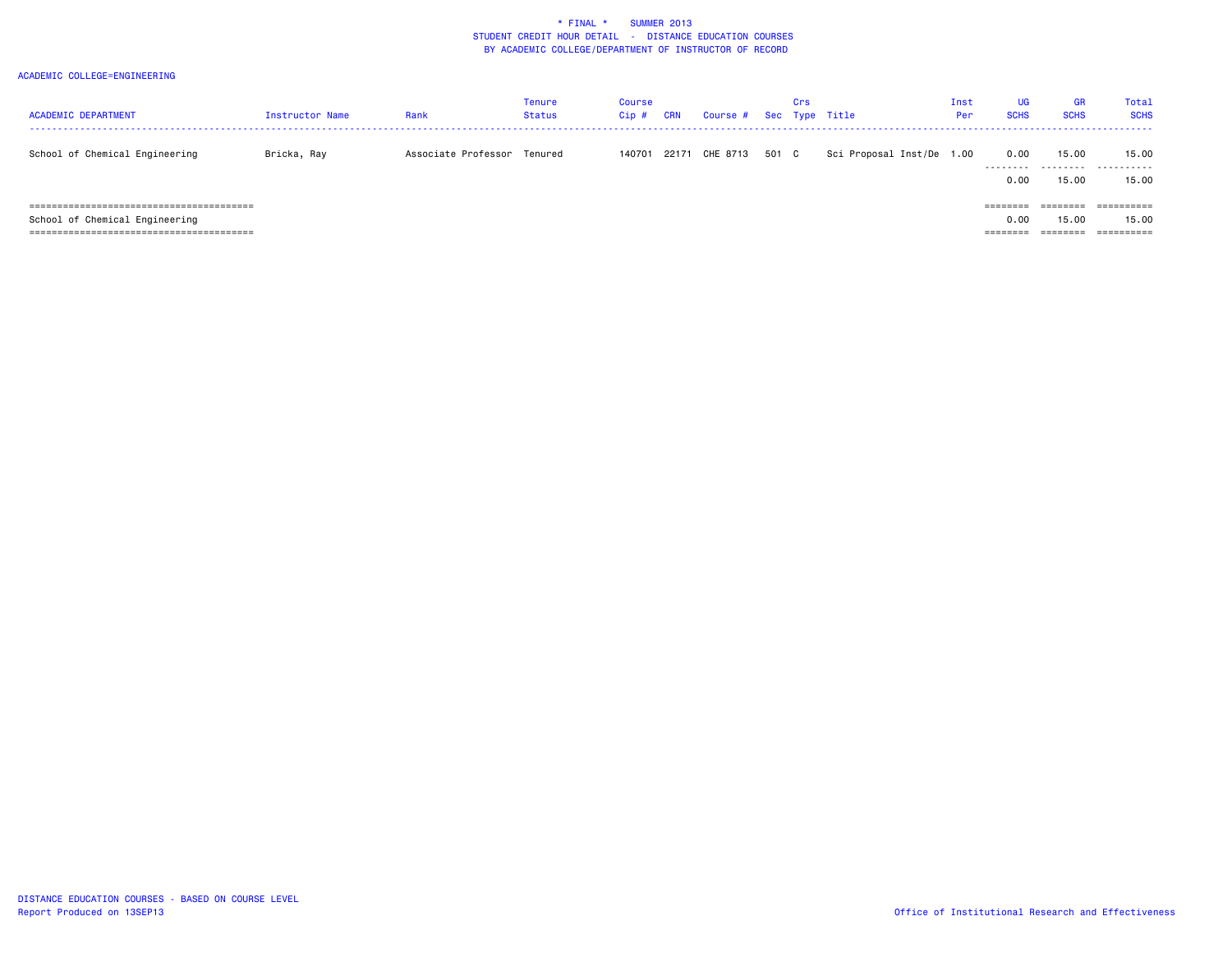| <b>ACADEMIC DEPARTMENT</b>          | Instructor Name | Rank                        | <b>Tenure</b><br><b>Status</b> | Course<br>Cip# | CRN | Course # Sec Type Title |       | Crs |                           | Inst<br>Per: | <b>UG</b><br><b>SCHS</b> | GR.<br><b>SCHS</b> | Total<br><b>SCHS</b> |
|-------------------------------------|-----------------|-----------------------------|--------------------------------|----------------|-----|-------------------------|-------|-----|---------------------------|--------------|--------------------------|--------------------|----------------------|
| School of Chemical Engineering      | Bricka, Ray     | Associate Professor Tenured |                                |                |     | 140701 22171 CHE 8713   | 501 C |     | Sci Proposal Inst/De 1.00 |              | 0.00<br>---------        | 15.00              | 15.00<br>            |
|                                     |                 |                             |                                |                |     |                         |       |     |                           |              | 0.00                     | 15.00              | 15.00                |
| =================================== |                 |                             |                                |                |     |                         |       |     |                           |              | $=$ $=$ $=$ $=$ $=$ $=$  |                    |                      |
| School of Chemical Engineering      |                 |                             |                                |                |     |                         |       |     |                           |              | 0.00                     | 15.00              | 15.00                |
|                                     |                 |                             |                                |                |     |                         |       |     |                           |              | =======                  |                    | ==========           |